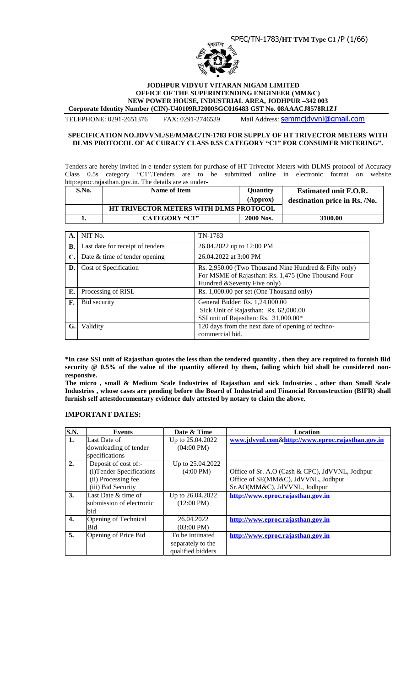

#### **JODHPUR VIDYUT VITARAN NIGAM LIMITED OFFICE OF THE SUPERINTENDING ENGINEER (MM&C) NEW POWER HOUSE, INDUSTRIAL AREA, JODHPUR –342 003 Corporate Identity Number (CIN)-U40109RJ2000SGC016483 GST No. 08AAACJ8578R1ZJ**

TELEPHONE: 0291-2651376 FAX: 0291-2746539 Mail Address: [semmcjdvvnl@gmail.com](mailto:semmcjdvvnl@gmail.com)

# **SPECIFICATION NO.JDVVNL/SE/MM&C/TN-1783 FOR SUPPLY OF HT TRIVECTOR METERS WITH**

**DLMS PROTOCOL OF ACCURACY CLASS 0.5S CATEGORY "C1" FOR CONSUMER METERING".**

Tenders are hereby invited in e-tender system for purchase of HT Trivector Meters with DLMS protocol of Accuracy Class 0.5s category "C1".Tenders are to be submitted online in electronic format on website http:eproc.rajasthan.gov.in. The details are as under-

| S.No. | Name of Item                                  | <b>Ouantity</b> | <b>Estimated unit F.O.R.</b>  |
|-------|-----------------------------------------------|-----------------|-------------------------------|
|       |                                               | (Approx)        | destination price in Rs. /No. |
|       | <b>HT TRIVECTOR METERS WITH DLMS PROTOCOL</b> |                 |                               |
|       | <b>CATEGORY "C1"</b>                          | 2000 Nos.       | 3100.00                       |

| А.             | NIT No.                          | TN-1783                                                                                                                                      |
|----------------|----------------------------------|----------------------------------------------------------------------------------------------------------------------------------------------|
| В.             | Last date for receipt of tenders | 26.04.2022 up to 12:00 PM                                                                                                                    |
| $\mathbf{C}$ . | Date & time of tender opening    | 26.04.2022 at 3:00 PM                                                                                                                        |
| D.             | Cost of Specification            | Rs. 2,950.00 (Two Thousand Nine Hundred & Fifty only)<br>For MSME of Rajasthan: Rs. 1,475 (One Thousand Four<br>Hundred & Seventy Five only) |
| Е.             | Processing of RISL               | Rs. 1,000.00 per set (One Thousand only)                                                                                                     |
| F.             | Bid security                     | General Bidder: Rs. 1,24,000.00<br>Sick Unit of Rajasthan: Rs. 62,000.00<br>SSI unit of Rajasthan: Rs. 31,000.00*                            |
| G.             | Validity                         | 120 days from the next date of opening of techno-<br>commercial bid.                                                                         |

**\*In case SSI unit of Rajasthan quotes the less than the tendered quantity , then they are required to furnish Bid security @ 0.5% of the value of the quantity offered by them, failing which bid shall be considered nonresponsive.**

**The micro , small & Medium Scale Industries of Rajasthan and sick Industries , other than Small Scale Industries , whose cases are pending before the Board of Industrial and Financial Reconstruction (BIFR) shall furnish self attestdocumentary evidence duly attested by notary to claim the above.**

# **IMPORTANT DATES:**

| <b>S.N.</b> | <b>Events</b>             | Date & Time          | Location                                         |
|-------------|---------------------------|----------------------|--------------------------------------------------|
| 1.          | Last Date of              | Up to 25.04.2022     | www.jdvvnl.com&http://www.eproc.rajasthan.gov.in |
|             | downloading of tender     | $(04:00 \text{ PM})$ |                                                  |
|             | specifications            |                      |                                                  |
| 2.          | Deposit of cost of:-      | Up to 25.04.2022     |                                                  |
|             | (i) Tender Specifications | $(4:00 \text{ PM})$  | Office of Sr. A.O (Cash & CPC), JdVVNL, Jodhpur  |
|             | (ii) Processing fee       |                      | Office of SE(MM&C), JdVVNL, Jodhpur              |
|             | (iii) Bid Security        |                      | Sr.AO(MM&C), JdVVNL, Jodhpur                     |
| 3.          | Last Date & time of       | Up to 26.04.2022     | http://www.eproc.rajasthan.gov.in                |
|             | submission of electronic  | $(12:00 \text{ PM})$ |                                                  |
|             | bid                       |                      |                                                  |
| 4.          | Opening of Technical      | 26.04.2022           | http://www.eproc.rajasthan.gov.in                |
|             | Bid                       | $(03:00 \text{ PM})$ |                                                  |
| 5.          | Opening of Price Bid      | To be intimated      | http://www.eproc.rajasthan.gov.in                |
|             |                           | separately to the    |                                                  |
|             |                           | qualified bidders    |                                                  |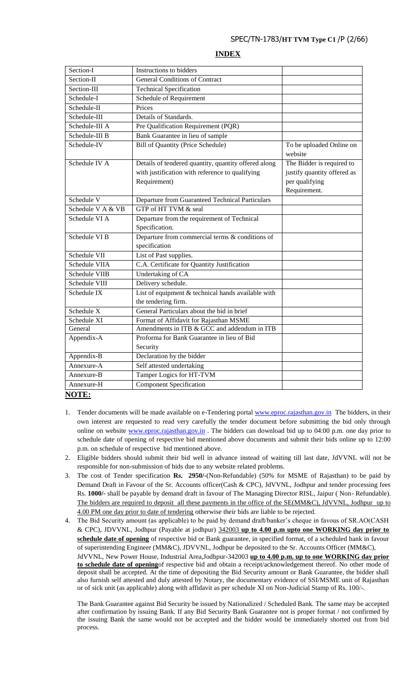# **INDEX**

| Section-I              | Instructions to bidders                              |                             |
|------------------------|------------------------------------------------------|-----------------------------|
| Section-II             | <b>General Conditions of Contract</b>                |                             |
| Section-III            | <b>Technical Specification</b>                       |                             |
| Schedule-I             | Schedule of Requirement                              |                             |
| Schedule-II            | Prices                                               |                             |
| Schedule-III           | Details of Standards.                                |                             |
| Schedule-III A         | Pre Qualification Requirement (PQR)                  |                             |
| Schedule-III B         | Bank Guarantee in lieu of sample                     |                             |
| Schedule-IV            | Bill of Quantity (Price Schedule)                    | To be uploaded Online on    |
|                        |                                                      | website                     |
| Schedule IV A          | Details of tendered quantity, quantity offered along | The Bidder is required to   |
|                        | with justification with reference to qualifying      | justify quantity offered as |
|                        | Requirement)                                         | per qualifying              |
|                        |                                                      | Requirement.                |
| Schedule V             | Departure from Guaranteed Technical Particulars      |                             |
| Schedule V A & VB      | GTP of HT TVM & seal                                 |                             |
| Schedule VI A          | Departure from the requirement of Technical          |                             |
|                        | Specification.                                       |                             |
| Schedule VI B          | Departure from commercial terms & conditions of      |                             |
|                        | specification                                        |                             |
| Schedule VII           | List of Past supplies.                               |                             |
| Schedule VIIA          | C.A. Certificate for Quantity Justification          |                             |
| Schedule VIIB          | <b>Undertaking of CA</b>                             |                             |
| Schedule VIII          | Delivery schedule.                                   |                             |
| Schedule IX            | List of equipment $&$ technical hands available with |                             |
|                        | the tendering firm.                                  |                             |
| Schedule X             | General Particulars about the bid in brief           |                             |
| Schedule XI            | Format of Affidavit for Rajasthan MSME               |                             |
| General                | Amendments in ITB & GCC and addendum in ITB          |                             |
| Appendix-A             | Proforma for Bank Guarantee in lieu of Bid           |                             |
|                        | Security                                             |                             |
| Appendix-B             | Declaration by the bidder                            |                             |
| Annexure-A             | Self attested undertaking                            |                             |
| Annexure-B             | Tamper Logics for HT-TVM                             |                             |
| Annexure-H             | <b>Component Specification</b>                       |                             |
| $T\bigcap T\mathbb{R}$ |                                                      |                             |

#### **NOTE:**

- 1. Tender documents will be made available on e-Tendering portal [www.eproc.rajasthan.gov.in](http://www.eproc.rajasthan.gov.in/) The bidders, in their own interest are requested to read very carefully the tender document before submitting the bid only through online on website [www.eproc.rajasthan.gov.in](http://www.eproc.rajasthan.gov.in/) . The bidders can download bid up to 04:00 p.m. one day prior to schedule date of opening of respective bid mentioned above documents and submit their bids online up to 12:00 p.m. on schedule of respective bid mentioned above.
- 2. Eligible bidders should submit their bid well in advance instead of waiting till last date, JdVVNL will not be responsible for non-submission of bids due to any website related problems.
- 3. The cost of Tender specification **Rs. 2950/-**(Non-Refundable) (50% for MSME of Rajasthan) to be paid by Demand Draft in Favour of the Sr. Accounts officer(Cash & CPC), JdVVNL, Jodhpur and tender processing fees Rs. **1000/-** shall be payable by demand draft in favour of The Managing Director RISL, Jaipur ( Non- Refundable). The bidders are required to deposit all these payments in the office of the SE(MM&C), JdVVNL, Jodhpur up to 4.00 PM one day prior to date of tendering otherwise their bids are liable to be rejected.
- 4. The Bid Security amount (as applicable) to be paid by demand draft/banker"s cheque in favous of SR.AO(CASH & CPC), JDVVNL, Jodhpur (Payable at jodhpur) 342003 **up to 4.00 p.m upto one WORKING day prior to schedule date of opening** of respective bid or Bank guarantee, in specified format, of a scheduled bank in favour of superintending Engineer (MM&C), JDVVNL, Jodhpur be deposited to the Sr. Accounts Officer (MM&C), JdVVNL, New Power House, Industrial Area,Jodhpur-342003 **up to 4.00 p.m. up to one WORKING day prior to schedule date of opening**of respective bid and obtain a receipt/acknowledgement thereof. No other mode of deposit shall be accepted. At the time of depositing the Bid Security amount or Bank Guarantee, the bidder shall also furnish self attested and duly attested by Notary, the documentary evidence of SSI/MSME unit of Rajasthan or of sick unit (as applicable) along with affidavit as per schedule XI on Non-Judicial Stamp of Rs. 100/-.

The Bank Guarantee against Bid Security be issued by Nationalized / Scheduled Bank. The same may be accepted after confirmation by issuing Bank. If any Bid Security Bank Guarantee not is proper format / not confirmed by the issuing Bank the same would not be accepted and the bidder would be immediately shorted out from bid process.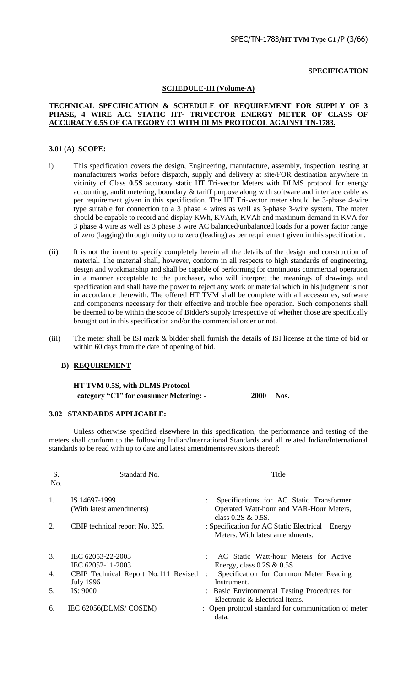#### **SPECIFICATION**

# **SCHEDULE-III (Volume-A)**

#### **TECHNICAL SPECIFICATION & SCHEDULE OF REQUIREMENT FOR SUPPLY OF 3 PHASE, 4 WIRE A.C. STATIC HT- TRIVECTOR ENERGY METER OF CLASS OF ACCURACY 0.5S OF CATEGORY C1 WITH DLMS PROTOCOL AGAINST TN-1783.**

#### **3.01 (A) SCOPE:**

- i) This specification covers the design, Engineering, manufacture, assembly, inspection, testing at manufacturers works before dispatch, supply and delivery at site/FOR destination anywhere in vicinity of Class **0.5S** accuracy static HT Tri-vector Meters with DLMS protocol for energy accounting, audit metering, boundary & tariff purpose along with software and interface cable as per requirement given in this specification. The HT Tri-vector meter should be 3-phase 4-wire type suitable for connection to a 3 phase 4 wires as well as 3-phase 3-wire system. The meter should be capable to record and display KWh, KVArh, KVAh and maximum demand in KVA for 3 phase 4 wire as well as 3 phase 3 wire AC balanced/unbalanced loads for a power factor range of zero (lagging) through unity up to zero (leading) as per requirement given in this specification.
- (ii) It is not the intent to specify completely herein all the details of the design and construction of material. The material shall, however, conform in all respects to high standards of engineering, design and workmanship and shall be capable of performing for continuous commercial operation in a manner acceptable to the purchaser, who will interpret the meanings of drawings and specification and shall have the power to reject any work or material which in his judgment is not in accordance therewith. The offered HT TVM shall be complete with all accessories, software and components necessary for their effective and trouble free operation. Such components shall be deemed to be within the scope of Bidder's supply irrespective of whether those are specifically brought out in this specification and/or the commercial order or not.
- (iii) The meter shall be ISI mark & bidder shall furnish the details of ISI license at the time of bid or within 60 days from the date of opening of bid.

#### **B) REQUIREMENT**

**HT TVM 0.5S, with DLMS Protocol category "C1" for consumer Metering: - 2000 Nos.**

#### **3.02 STANDARDS APPLICABLE:**

Unless otherwise specified elsewhere in this specification, the performance and testing of the meters shall conform to the following Indian/International Standards and all related Indian/International standards to be read with up to date and latest amendments/revisions thereof:

| S.<br>No. | Standard No.                                               | Title                                                                                                         |
|-----------|------------------------------------------------------------|---------------------------------------------------------------------------------------------------------------|
| 1.        | IS 14697-1999<br>(With latest amendments)                  | Specifications for AC Static Transformer<br>Operated Watt-hour and VAR-Hour Meters,<br>class $0.2S \& 0.5S$ . |
| 2.        | CBIP technical report No. 325.                             | : Specification for AC Static Electrical<br>Energy<br>Meters. With latest amendments.                         |
| 3.        | IEC 62053-22-2003<br>IEC 62052-11-2003                     | AC Static Watt-hour Meters for Active<br>Energy, class $0.2S \& 0.5S$                                         |
| 4.        | CBIP Technical Report No.111 Revised :<br><b>July 1996</b> | Specification for Common Meter Reading<br>Instrument.                                                         |
| 5.        | IS: 9000                                                   | : Basic Environmental Testing Procedures for<br>Electronic & Electrical items.                                |
| 6.        | IEC 62056(DLMS/COSEM)                                      | : Open protocol standard for communication of meter<br>data.                                                  |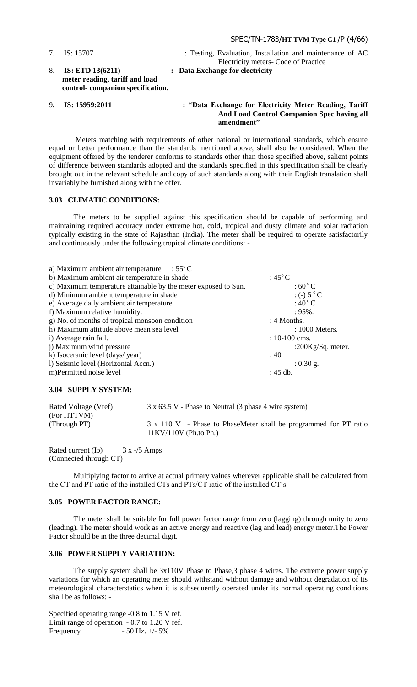7. IS: 15707 : Testing, Evaluation, Installation and maintenance of AC Electricity meters- Code of Practice 8. **IS: ETD 13(6211) : Data Exchange for electricity meter reading, tariff and load control- companion specification.**

#### 9. IS: 15959:2011 : "Data Exchange for Electricity Meter Reading, Tariff **And Load Control Companion Spec having all amendment"**

Meters matching with requirements of other national or international standards, which ensure equal or better performance than the standards mentioned above, shall also be considered. When the equipment offered by the tenderer conforms to standards other than those specified above, salient points of difference between standards adopted and the standards specified in this specification shall be clearly brought out in the relevant schedule and copy of such standards along with their English translation shall invariably be furnished along with the offer.

# **3.03 CLIMATIC CONDITIONS:**

The meters to be supplied against this specification should be capable of performing and maintaining required accuracy under extreme hot, cold, tropical and dusty climate and solar radiation typically existing in the state of Rajasthan (India). The meter shall be required to operate satisfactorily and continuously under the following tropical climate conditions: -

| a) Maximum ambient air temperature $\therefore$ 55 $^{\circ}$ C |                       |
|-----------------------------------------------------------------|-----------------------|
| b) Maximum ambient air temperature in shade                     | : $45^{\circ}$ C      |
| c) Maximum temperature attainable by the meter exposed to Sun.  | $:60\degree$ C        |
| d) Minimum ambient temperature in shade                         | $:(-) 5 °C$           |
| e) Average daily ambient air temperature                        | $:40\degree$ C        |
| f) Maximum relative humidity.                                   | $:95\%$ .             |
| g) No. of months of tropical monsoon condition                  | : 4 Months.           |
| h) Maximum attitude above mean sea level                        | : 1000 Meters.        |
| i) Average rain fall.                                           | $: 10-100$ cms.       |
| j) Maximum wind pressure                                        | :200 $Kg/Sq$ . meter. |
| k) Isoceranic level (days/year)                                 | :40                   |
| 1) Seismic level (Horizontal Accn.)                             | $: 0.30$ g.           |
| m)Permitted noise level                                         | $: 45$ db.            |

#### **3.04 SUPPLY SYSTEM:**

| Rated Voltage (Vref) | 3 x 63.5 V - Phase to Neutral (3 phase 4 wire system)            |
|----------------------|------------------------------------------------------------------|
| (For HTTVM)          |                                                                  |
| (Through PT)         | 3 x 110 V - Phase to PhaseMeter shall be programmed for PT ratio |
|                      | $11KV/110V$ (Ph.to Ph.)                                          |

Rated current (Ib) 3 x -/5 Amps (Connected through CT)

Multiplying factor to arrive at actual primary values wherever applicable shall be calculated from the CT and PT ratio of the installed CTs and PTs/CT ratio of the installed CT"s.

#### **3.05 POWER FACTOR RANGE:**

The meter shall be suitable for full power factor range from zero (lagging) through unity to zero (leading). The meter should work as an active energy and reactive (lag and lead) energy meter.The Power Factor should be in the three decimal digit.

#### **3.06 POWER SUPPLY VARIATION:**

The supply system shall be 3x110V Phase to Phase,3 phase 4 wires. The extreme power supply variations for which an operating meter should withstand without damage and without degradation of its meteorological characterstatics when it is subsequently operated under its normal operating conditions shall be as follows: -

Specified operating range -0.8 to 1.15 V ref. Limit range of operation - 0.7 to 1.20 V ref. Frequency - 50 Hz. +/- 5%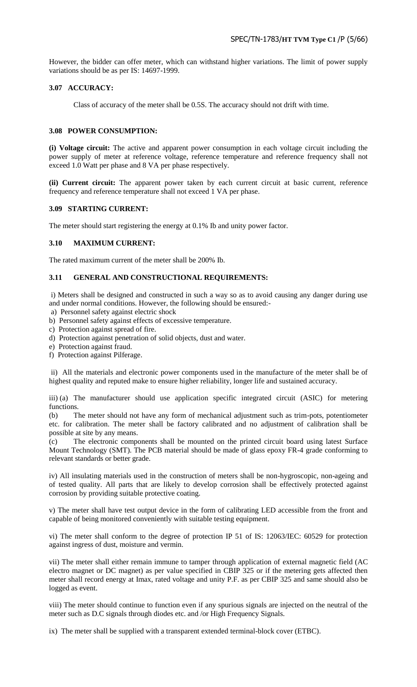However, the bidder can offer meter, which can withstand higher variations. The limit of power supply variations should be as per IS: 14697-1999.

# **3.07 ACCURACY:**

Class of accuracy of the meter shall be 0.5S. The accuracy should not drift with time.

#### **3.08 POWER CONSUMPTION:**

**(i) Voltage circuit:** The active and apparent power consumption in each voltage circuit including the power supply of meter at reference voltage, reference temperature and reference frequency shall not exceed 1.0 Watt per phase and 8 VA per phase respectively.

**(ii) Current circuit:** The apparent power taken by each current circuit at basic current, reference frequency and reference temperature shall not exceed 1 VA per phase.

#### **3.09 STARTING CURRENT:**

The meter should start registering the energy at 0.1% Ib and unity power factor.

# **3.10 MAXIMUM CURRENT:**

The rated maximum current of the meter shall be 200% Ib.

#### **3.11 GENERAL AND CONSTRUCTIONAL REQUIREMENTS:**

i) Meters shall be designed and constructed in such a way so as to avoid causing any danger during use and under normal conditions. However, the following should be ensured:-

- a) Personnel safety against electric shock
- b) Personnel safety against effects of excessive temperature.
- c) Protection against spread of fire.
- d) Protection against penetration of solid objects, dust and water.
- e) Protection against fraud.
- f) Protection against Pilferage.

ii) All the materials and electronic power components used in the manufacture of the meter shall be of highest quality and reputed make to ensure higher reliability, longer life and sustained accuracy.

iii) (a) The manufacturer should use application specific integrated circuit (ASIC) for metering functions.

(b) The meter should not have any form of mechanical adjustment such as trim-pots, potentiometer etc. for calibration. The meter shall be factory calibrated and no adjustment of calibration shall be possible at site by any means.

(c) The electronic components shall be mounted on the printed circuit board using latest Surface Mount Technology (SMT). The PCB material should be made of glass epoxy FR-4 grade conforming to relevant standards or better grade.

iv) All insulating materials used in the construction of meters shall be non-hygroscopic, non-ageing and of tested quality. All parts that are likely to develop corrosion shall be effectively protected against corrosion by providing suitable protective coating.

v) The meter shall have test output device in the form of calibrating LED accessible from the front and capable of being monitored conveniently with suitable testing equipment.

vi) The meter shall conform to the degree of protection IP 51 of IS: 12063/IEC: 60529 for protection against ingress of dust, moisture and vermin.

vii) The meter shall either remain immune to tamper through application of external magnetic field (AC electro magnet or DC magnet) as per value specified in CBIP 325 or if the metering gets affected then meter shall record energy at Imax, rated voltage and unity P.F. as per CBIP 325 and same should also be logged as event.

viii) The meter should continue to function even if any spurious signals are injected on the neutral of the meter such as D.C signals through diodes etc. and /or High Frequency Signals.

ix) The meter shall be supplied with a transparent extended terminal-block cover (ETBC).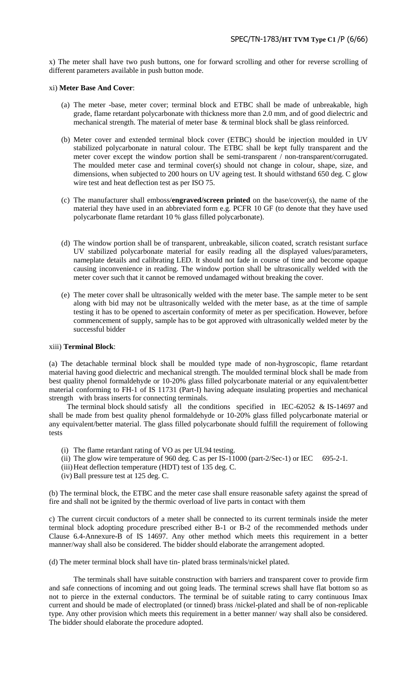x) The meter shall have two push buttons, one for forward scrolling and other for reverse scrolling of different parameters available in push button mode.

#### xi) **Meter Base And Cover**:

- (a) The meter -base, meter cover; terminal block and ETBC shall be made of unbreakable, high grade, flame retardant polycarbonate with thickness more than 2.0 mm, and of good dielectric and mechanical strength. The material of meter base & terminal block shall be glass reinforced.
- (b) Meter cover and extended terminal block cover (ETBC) should be injection moulded in UV stabilized polycarbonate in natural colour. The ETBC shall be kept fully transparent and the meter cover except the window portion shall be semi-transparent / non-transparent/corrugated. The moulded meter case and terminal cover(s) should not change in colour, shape, size, and dimensions, when subjected to 200 hours on UV ageing test. It should withstand 650 deg. C glow wire test and heat deflection test as per ISO 75.
- (c) The manufacturer shall emboss/**engraved/screen printed** on the base/cover(s), the name of the material they have used in an abbreviated form e.g. PCFR 10 GF (to denote that they have used polycarbonate flame retardant 10 % glass filled polycarbonate).
- (d) The window portion shall be of transparent, unbreakable, silicon coated, scratch resistant surface UV stabilized polycarbonate material for easily reading all the displayed values/parameters, nameplate details and calibrating LED. It should not fade in course of time and become opaque causing inconvenience in reading. The window portion shall be ultrasonically welded with the meter cover such that it cannot be removed undamaged without breaking the cover.
- (e) The meter cover shall be ultrasonically welded with the meter base. The sample meter to be sent along with bid may not be ultrasonically welded with the meter base, as at the time of sample testing it has to be opened to ascertain conformity of meter as per specification. However, before commencement of supply, sample has to be got approved with ultrasonically welded meter by the successful bidder

#### xiii) **Terminal Block**:

(a) The detachable terminal block shall be moulded type made of non-hygroscopic, flame retardant material having good dielectric and mechanical strength. The moulded terminal block shall be made from best quality phenol formaldehyde or 10-20% glass filled polycarbonate material or any equivalent/better material conforming to FH-1 of IS 11731 (Part-I) having adequate insulating properties and mechanical strength with brass inserts for connecting terminals.

The terminal block should satisfy all the conditions specified in IEC-62052 & IS-14697 and shall be made from best quality phenol formaldehyde or 10-20% glass filled polycarbonate material or any equivalent/better material. The glass filled polycarbonate should fulfill the requirement of following tests

- (i) The flame retardant rating of VO as per UL94 testing.
- (ii) The glow wire temperature of 960 deg. C as per  $IS-11000$  (part-2/Sec-1) or IEC 695-2-1.
- (iii)Heat deflection temperature (HDT) test of 135 deg. C.
- (iv) Ball pressure test at 125 deg. C.

(b) The terminal block, the ETBC and the meter case shall ensure reasonable safety against the spread of fire and shall not be ignited by the thermic overload of live parts in contact with them

c) The current circuit conductors of a meter shall be connected to its current terminals inside the meter terminal block adopting procedure prescribed either B-1 or B-2 of the recommended methods under Clause 6.4-Annexure-B of IS 14697. Any other method which meets this requirement in a better manner/way shall also be considered. The bidder should elaborate the arrangement adopted.

(d) The meter terminal block shall have tin- plated brass terminals/nickel plated.

The terminals shall have suitable construction with barriers and transparent cover to provide firm and safe connections of incoming and out going leads. The terminal screws shall have flat bottom so as not to pierce in the external conductors. The terminal be of suitable rating to carry continuous Imax current and should be made of electroplated (or tinned) brass /nickel-plated and shall be of non-replicable type. Any other provision which meets this requirement in a better manner/ way shall also be considered. The bidder should elaborate the procedure adopted.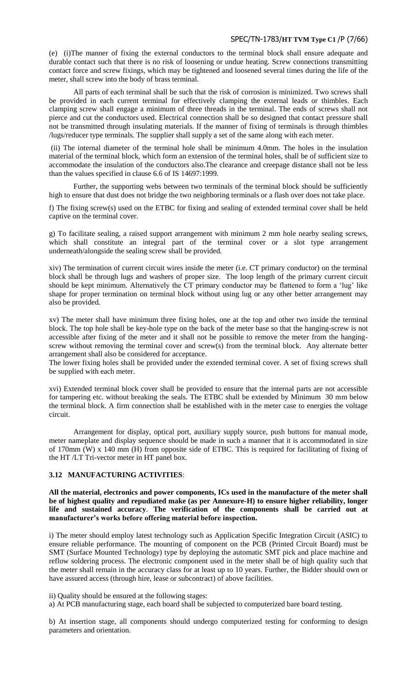#### SPEC/TN-1783/**HT TVM Type C1** /P (7/66)

(e) (i)The manner of fixing the external conductors to the terminal block shall ensure adequate and durable contact such that there is no risk of loosening or undue heating. Screw connections transmitting contact force and screw fixings, which may be tightened and loosened several times during the life of the meter, shall screw into the body of brass terminal.

All parts of each terminal shall be such that the risk of corrosion is minimized. Two screws shall be provided in each current terminal for effectively clamping the external leads or thimbles. Each clamping screw shall engage a minimum of three threads in the terminal. The ends of screws shall not pierce and cut the conductors used. Electrical connection shall be so designed that contact pressure shall not be transmitted through insulating materials. If the manner of fixing of terminals is through thimbles /lugs/reducer type terminals. The supplier shall supply a set of the same along with each meter.

(ii) The internal diameter of the terminal hole shall be minimum 4.0mm. The holes in the insulation material of the terminal block, which form an extension of the terminal holes, shall be of sufficient size to accommodate the insulation of the conductors also.The clearance and creepage distance shall not be less than the values specified in clause 6.6 of IS 14697:1999.

Further, the supporting webs between two terminals of the terminal block should be sufficiently high to ensure that dust does not bridge the two neighboring terminals or a flash over does not take place.

f) The fixing screw(s) used on the ETBC for fixing and sealing of extended terminal cover shall be held captive on the terminal cover.

g) To facilitate sealing, a raised support arrangement with minimum 2 mm hole nearby sealing screws, which shall constitute an integral part of the terminal cover or a slot type arrangement underneath/alongside the sealing screw shall be provided.

xiv) The termination of current circuit wires inside the meter (i.e. CT primary conductor) on the terminal block shall be through lugs and washers of proper size. The loop length of the primary current circuit should be kept minimum. Alternatively the CT primary conductor may be flattened to form a 'lug' like shape for proper termination on terminal block without using lug or any other better arrangement may also be provided.

xv) The meter shall have minimum three fixing holes, one at the top and other two inside the terminal block. The top hole shall be key-hole type on the back of the meter base so that the hanging-screw is not accessible after fixing of the meter and it shall not be possible to remove the meter from the hangingscrew without removing the terminal cover and screw(s) from the terminal block. Any alternate better arrangement shall also be considered for acceptance.

The lower fixing holes shall be provided under the extended terminal cover. A set of fixing screws shall be supplied with each meter.

xvi) Extended terminal block cover shall be provided to ensure that the internal parts are not accessible for tampering etc. without breaking the seals. The ETBC shall be extended by Minimum 30 mm below the terminal block. A firm connection shall be established with in the meter case to energies the voltage circuit.

Arrangement for display, optical port, auxiliary supply source, push buttons for manual mode, meter nameplate and display sequence should be made in such a manner that it is accommodated in size of 170mm (W) x 140 mm (H) from opposite side of ETBC. This is required for facilitating of fixing of the HT /LT Tri-vector meter in HT panel box.

# **3.12 MANUFACTURING ACTIVITIES**:

**All the material, electronics and power components, ICs used in the manufacture of the meter shall be of highest quality and repudiated make (as per Annexure-H) to ensure higher reliability, longer life and sustained accuracy**. **The verification of the components shall be carried out at manufacturer"s works before offering material before inspection.** 

i) The meter should employ latest technology such as Application Specific Integration Circuit (ASIC) to ensure reliable performance. The mounting of component on the PCB (Printed Circuit Board) must be SMT (Surface Mounted Technology) type by deploying the automatic SMT pick and place machine and reflow soldering process. The electronic component used in the meter shall be of high quality such that the meter shall remain in the accuracy class for at least up to 10 years. Further, the Bidder should own or have assured access (through hire, lease or subcontract) of above facilities.

ii) Quality should be ensured at the following stages:

a) At PCB manufacturing stage, each board shall be subjected to computerized bare board testing.

b) At insertion stage, all components should undergo computerized testing for conforming to design parameters and orientation.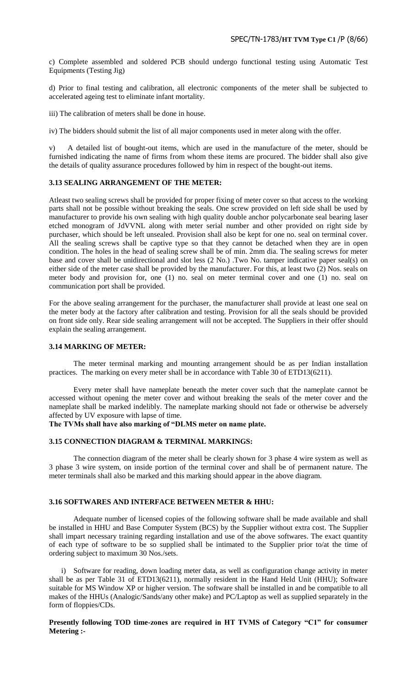c) Complete assembled and soldered PCB should undergo functional testing using Automatic Test Equipments (Testing Jig)

d) Prior to final testing and calibration, all electronic components of the meter shall be subjected to accelerated ageing test to eliminate infant mortality.

iii) The calibration of meters shall be done in house.

iv) The bidders should submit the list of all major components used in meter along with the offer.

v) A detailed list of bought-out items, which are used in the manufacture of the meter, should be furnished indicating the name of firms from whom these items are procured. The bidder shall also give the details of quality assurance procedures followed by him in respect of the bought-out items.

#### **3.13 SEALING ARRANGEMENT OF THE METER:**

Atleast two sealing screws shall be provided for proper fixing of meter cover so that access to the working parts shall not be possible without breaking the seals. One screw provided on left side shall be used by manufacturer to provide his own sealing with high quality double anchor polycarbonate seal bearing laser etched monogram of JdVVNL along with meter serial number and other provided on right side by purchaser, which should be left unsealed. Provision shall also be kept for one no. seal on terminal cover. All the sealing screws shall be captive type so that they cannot be detached when they are in open condition. The holes in the head of sealing screw shall be of min. 2mm dia. The sealing screws for meter base and cover shall be unidirectional and slot less (2 No.) .Two No. tamper indicative paper seal(s) on either side of the meter case shall be provided by the manufacturer. For this, at least two (2) Nos. seals on meter body and provision for, one (1) no. seal on meter terminal cover and one (1) no. seal on communication port shall be provided.

For the above sealing arrangement for the purchaser, the manufacturer shall provide at least one seal on the meter body at the factory after calibration and testing. Provision for all the seals should be provided on front side only. Rear side sealing arrangement will not be accepted. The Suppliers in their offer should explain the sealing arrangement.

#### **3.14 MARKING OF METER:**

The meter terminal marking and mounting arrangement should be as per Indian installation practices. The marking on every meter shall be in accordance with Table 30 of ETD13(6211).

Every meter shall have nameplate beneath the meter cover such that the nameplate cannot be accessed without opening the meter cover and without breaking the seals of the meter cover and the nameplate shall be marked indelibly. The nameplate marking should not fade or otherwise be adversely affected by UV exposure with lapse of time.

**The TVMs shall have also marking of "DLMS meter on name plate.**

#### **3.15 CONNECTION DIAGRAM & TERMINAL MARKINGS:**

The connection diagram of the meter shall be clearly shown for 3 phase 4 wire system as well as 3 phase 3 wire system, on inside portion of the terminal cover and shall be of permanent nature. The meter terminals shall also be marked and this marking should appear in the above diagram.

#### **3.16 SOFTWARES AND INTERFACE BETWEEN METER & HHU:**

Adequate number of licensed copies of the following software shall be made available and shall be installed in HHU and Base Computer System (BCS) by the Supplier without extra cost. The Supplier shall impart necessary training regarding installation and use of the above softwares. The exact quantity of each type of software to be so supplied shall be intimated to the Supplier prior to/at the time of ordering subject to maximum 30 Nos./sets.

i) Software for reading, down loading meter data, as well as configuration change activity in meter shall be as per Table 31 of ETD13(6211), normally resident in the Hand Held Unit (HHU); Software suitable for MS Window XP or higher version. The software shall be installed in and be compatible to all makes of the HHUs (Analogic/Sands/any other make) and PC/Laptop as well as supplied separately in the form of floppies/CDs.

# **Presently following TOD time-zones are required in HT TVMS of Category "C1" for consumer Metering :-**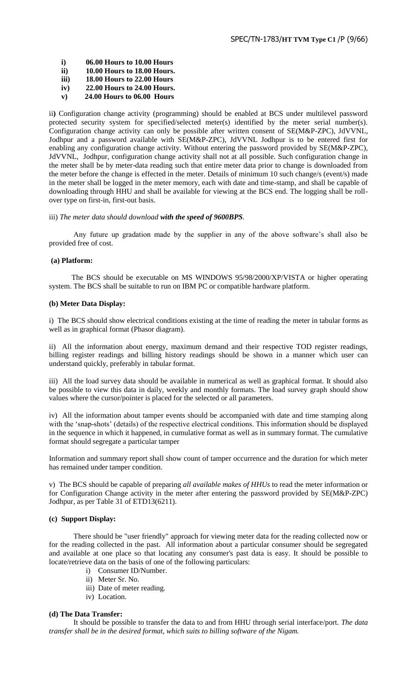- **i) 06.00 Hours to 10.00 Hours**
- **ii) 10.00 Hours to 18.00 Hours.**
- **iii) 18.00 Hours to 22.00 Hours**
- **iv) 22.00 Hours to 24.00 Hours.**
- **v) 24.00 Hours to 06.00 Hours**

ii**)** Configuration change activity (programming) should be enabled at BCS under multilevel password protected security system for specified/selected meter(s) identified by the meter serial number(s). Configuration change activity can only be possible after written consent of SE(M&P-ZPC), JdVVNL, Jodhpur and a password available with SE(M&P-ZPC), JdVVNL Jodhpur is to be entered first for enabling any configuration change activity. Without entering the password provided by SE(M&P-ZPC), JdVVNL, Jodhpur, configuration change activity shall not at all possible. Such configuration change in the meter shall be by meter-data reading such that entire meter data prior to change is downloaded from the meter before the change is effected in the meter. Details of minimum 10 such change/s (event/s) made in the meter shall be logged in the meter memory, each with date and time-stamp, and shall be capable of downloading through HHU and shall be available for viewing at the BCS end. The logging shall be rollover type on first-in, first-out basis.

#### iii) *The meter data should download with the speed of 9600BPS.*

Any future up gradation made by the supplier in any of the above software's shall also be provided free of cost.

#### **(a) Platform:**

 The BCS should be executable on MS WINDOWS 95/98/2000/XP/VISTA or higher operating system. The BCS shall be suitable to run on IBM PC or compatible hardware platform.

#### **(b) Meter Data Display:**

i) The BCS should show electrical conditions existing at the time of reading the meter in tabular forms as well as in graphical format (Phasor diagram).

ii) All the information about energy, maximum demand and their respective TOD register readings, billing register readings and billing history readings should be shown in a manner which user can understand quickly, preferably in tabular format.

iii) All the load survey data should be available in numerical as well as graphical format. It should also be possible to view this data in daily, weekly and monthly formats. The load survey graph should show values where the cursor/pointer is placed for the selected or all parameters.

iv) All the information about tamper events should be accompanied with date and time stamping along with the "snap-shots" (details) of the respective electrical conditions. This information should be displayed in the sequence in which it happened, in cumulative format as well as in summary format. The cumulative format should segregate a particular tamper

Information and summary report shall show count of tamper occurrence and the duration for which meter has remained under tamper condition.

v) The BCS should be capable of preparing *all available makes of HHUs* to read the meter information or for Configuration Change activity in the meter after entering the password provided by SE(M&P-ZPC) Jodhpur, as per Table 31 of ETD13(6211).

# **(c) Support Display:**

There should be "user friendly" approach for viewing meter data for the reading collected now or for the reading collected in the past. All information about a particular consumer should be segregated and available at one place so that locating any consumer's past data is easy. It should be possible to locate/retrieve data on the basis of one of the following particulars:

- i) Consumer ID/Number.
- ii) Meter Sr. No.
- iii) Date of meter reading.
- iv) Location.

# **(d) The Data Transfer:**

It should be possible to transfer the data to and from HHU through serial interface/port. *The data transfer shall be in the desired format, which suits to billing software of the Nigam.*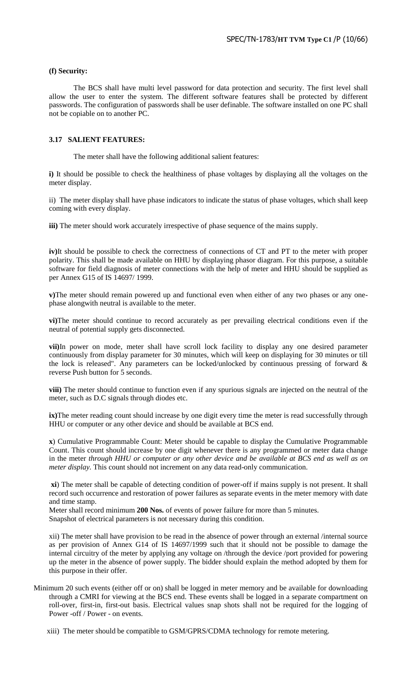#### **(f) Security:**

The BCS shall have multi level password for data protection and security. The first level shall allow the user to enter the system. The different software features shall be protected by different passwords. The configuration of passwords shall be user definable. The software installed on one PC shall not be copiable on to another PC.

#### **3.17 SALIENT FEATURES:**

The meter shall have the following additional salient features:

**i)** It should be possible to check the healthiness of phase voltages by displaying all the voltages on the meter display.

ii) The meter display shall have phase indicators to indicate the status of phase voltages, which shall keep coming with every display.

**iii)** The meter should work accurately irrespective of phase sequence of the mains supply.

**iv)**It should be possible to check the correctness of connections of CT and PT to the meter with proper polarity. This shall be made available on HHU by displaying phasor diagram. For this purpose, a suitable software for field diagnosis of meter connections with the help of meter and HHU should be supplied as per Annex G15 of IS 14697/ 1999.

**v)**The meter should remain powered up and functional even when either of any two phases or any onephase alongwith neutral is available to the meter.

**vi)**The meter should continue to record accurately as per prevailing electrical conditions even if the neutral of potential supply gets disconnected.

**vii)**In power on mode, meter shall have scroll lock facility to display any one desired parameter continuously from display parameter for 30 minutes, which will keep on displaying for 30 minutes or till the lock is released". Any parameters can be locked/unlocked by continuous pressing of forward & reverse Push button for 5 seconds.

**viii)** The meter should continue to function even if any spurious signals are injected on the neutral of the meter, such as D.C signals through diodes etc.

**ix)**The meter reading count should increase by one digit every time the meter is read successfully through HHU or computer or any other device and should be available at BCS end.

**x**) Cumulative Programmable Count: Meter should be capable to display the Cumulative Programmable Count. This count should increase by one digit whenever there is any programmed or meter data change in the meter *through HHU or computer or any other device and be available at BCS end as well as on meter display.* This count should not increment on any data read-only communication.

**xi**) The meter shall be capable of detecting condition of power-off if mains supply is not present. It shall record such occurrence and restoration of power failures as separate events in the meter memory with date and time stamp.

Meter shall record minimum **200 Nos.** of events of power failure for more than 5 minutes.

Snapshot of electrical parameters is not necessary during this condition.

xii) The meter shall have provision to be read in the absence of power through an external /internal source as per provision of Annex G14 of IS 14697/1999 such that it should not be possible to damage the internal circuitry of the meter by applying any voltage on /through the device /port provided for powering up the meter in the absence of power supply. The bidder should explain the method adopted by them for this purpose in their offer.

Minimum 20 such events (either off or on) shall be logged in meter memory and be available for downloading through a CMRI for viewing at the BCS end. These events shall be logged in a separate compartment on roll-over, first-in, first-out basis. Electrical values snap shots shall not be required for the logging of Power -off / Power - on events.

xiii) The meter should be compatible to GSM/GPRS/CDMA technology for remote metering.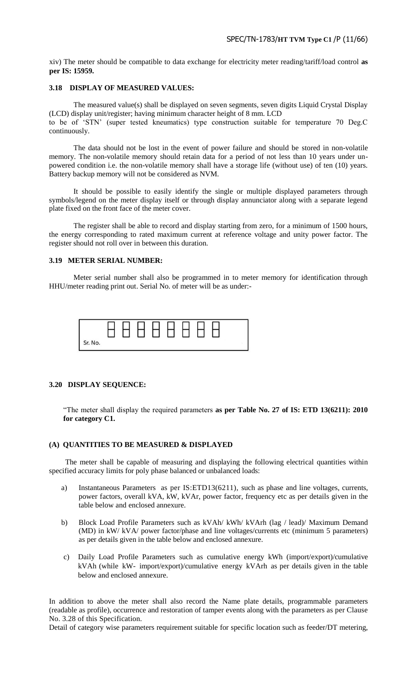xiv) The meter should be compatible to data exchange for electricity meter reading/tariff/load control **as per IS: 15959.** 

#### **3.18 DISPLAY OF MEASURED VALUES:**

The measured value(s) shall be displayed on seven segments, seven digits Liquid Crystal Display (LCD) display unit/register; having minimum character height of 8 mm. LCD to be of "STN" (super tested kneumatics) type construction suitable for temperature 70 Deg.C continuously.

The data should not be lost in the event of power failure and should be stored in non-volatile memory. The non-volatile memory should retain data for a period of not less than 10 years under unpowered condition i.e. the non-volatile memory shall have a storage life (without use) of ten (10) years. Battery backup memory will not be considered as NVM.

It should be possible to easily identify the single or multiple displayed parameters through symbols/legend on the meter display itself or through display annunciator along with a separate legend plate fixed on the front face of the meter cover.

The register shall be able to record and display starting from zero, for a minimum of 1500 hours, the energy corresponding to rated maximum current at reference voltage and unity power factor. The register should not roll over in between this duration.

# **3.19 METER SERIAL NUMBER:**

Meter serial number shall also be programmed in to meter memory for identification through HHU/meter reading print out. Serial No. of meter will be as under:-

|         |  | $\Box$ | LI. |  |  |
|---------|--|--------|-----|--|--|
| Sr. No. |  |        |     |  |  |

# **3.20 DISPLAY SEQUENCE:**

"The meter shall display the required parameters **as per Table No. 27 of IS: ETD 13(6211): 2010 for category C1.**

# **(A) QUANTITIES TO BE MEASURED & DISPLAYED**

 The meter shall be capable of measuring and displaying the following electrical quantities within specified accuracy limits for poly phase balanced or unbalanced loads:

- a) Instantaneous Parameters as per IS:ETD13(6211), such as phase and line voltages, currents, power factors, overall kVA, kW, kVAr, power factor, frequency etc as per details given in the table below and enclosed annexure.
- b) Block Load Profile Parameters such as kVAh/ kWh/ kVArh (lag / lead)/ Maximum Demand (MD) in kW/ kVA/ power factor/phase and line voltages/currents etc (minimum 5 parameters) as per details given in the table below and enclosed annexure.
- c) Daily Load Profile Parameters such as cumulative energy kWh (import/export)/cumulative kVAh (while kW- import/export)/cumulative energy kVArh as per details given in the table below and enclosed annexure.

In addition to above the meter shall also record the Name plate details, programmable parameters (readable as profile), occurrence and restoration of tamper events along with the parameters as per Clause No. 3.28 of this Specification.

Detail of category wise parameters requirement suitable for specific location such as feeder/DT metering,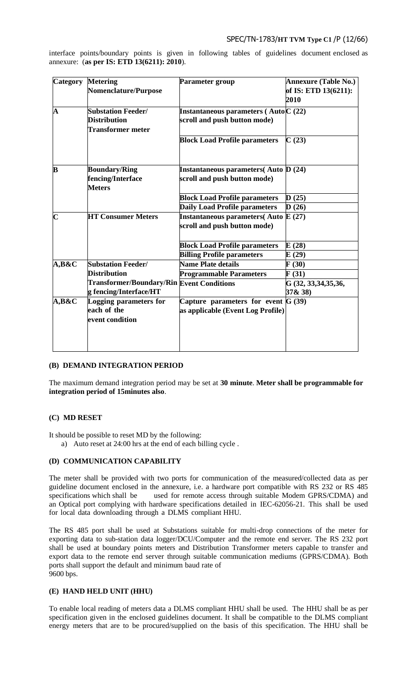# SPEC/TN-1783/**HT TVM Type C1** /P (12/66)

interface points/boundary points is given in following tables of guidelines document enclosed as annexure: (**as per IS: ETD 13(6211): 2010**).

| <b>Category</b>         | <b>Metering</b><br><b>Nomenclature/Purpose</b>                               | <b>Parameter group</b>                                                       | <b>Annexure (Table No.)</b><br>of IS: ETD 13(6211):<br>2010 |
|-------------------------|------------------------------------------------------------------------------|------------------------------------------------------------------------------|-------------------------------------------------------------|
| $\overline{\mathbf{A}}$ | <b>Substation Feeder/</b><br><b>Distribution</b><br><b>Transformer meter</b> | Instantaneous parameters ( $Auto C(22)$<br>scroll and push button mode)      |                                                             |
|                         |                                                                              | <b>Block Load Profile parameters</b>                                         | C(23)                                                       |
| B                       | <b>Boundary/Ring</b><br>fencing/Interface<br><b>Meters</b>                   | <b>Instantaneous parameters</b> (Auto D (24)<br>scroll and push button mode) |                                                             |
|                         |                                                                              | <b>Block Load Profile parameters</b>                                         | D(25)                                                       |
|                         |                                                                              | <b>Daily Load Profile parameters</b>                                         | D(26)                                                       |
| $\overline{\mathbf{C}}$ | <b>HT Consumer Meters</b>                                                    | Instantaneous parameters (Auto $E(27)$<br>scroll and push button mode)       |                                                             |
|                         |                                                                              | <b>Block Load Profile parameters</b>                                         | E(28)                                                       |
|                         |                                                                              | <b>Billing Profile parameters</b>                                            | E(29)                                                       |
| $A,B\&C$                | <b>Substation Feeder/</b>                                                    | <b>Name Plate details</b>                                                    | F(30)                                                       |
|                         | <b>Distribution</b>                                                          | <b>Programmable Parameters</b>                                               | F(31)                                                       |
|                         | <b>Transformer/Boundary/Rin Event Conditions</b><br>g fencing/Interface/HT   |                                                                              | G (32, 33, 34, 35, 36,<br>37 & 38)                          |
| $A, B\&C$               | Logging parameters for<br>each of the<br>event condition                     | Capture parameters for event $G(39)$<br>as applicable (Event Log Profile)    |                                                             |

# **(B) DEMAND INTEGRATION PERIOD**

The maximum demand integration period may be set at **30 minute**. **Meter shall be programmable for integration period of 15minutes also**.

# **(C) MD RESET**

It should be possible to reset MD by the following:

a) Auto reset at 24:00 hrs at the end of each billing cycle .

# **(D) COMMUNICATION CAPABILITY**

The meter shall be provided with two ports for communication of the measured/collected data as per guideline document enclosed in the annexure, i.e. a hardware port compatible with RS 232 or RS 485 specifications which shall be used for remote access through suitable Modem GPRS/CDMA) and an Optical port complying with hardware specifications detailed in IEC-62056-21. This shall be used for local data downloading through a DLMS compliant HHU.

The RS 485 port shall be used at Substations suitable for multi-drop connections of the meter for exporting data to sub-station data logger/DCU/Computer and the remote end server. The RS 232 port shall be used at boundary points meters and Distribution Transformer meters capable to transfer and export data to the remote end server through suitable communication mediums (GPRS/CDMA). Both ports shall support the default and minimum baud rate of 9600 bps.

# **(E) HAND HELD UNIT (HHU)**

To enable local reading of meters data a DLMS compliant HHU shall be used. The HHU shall be as per specification given in the enclosed guidelines document. It shall be compatible to the DLMS compliant energy meters that are to be procured/supplied on the basis of this specification. The HHU shall be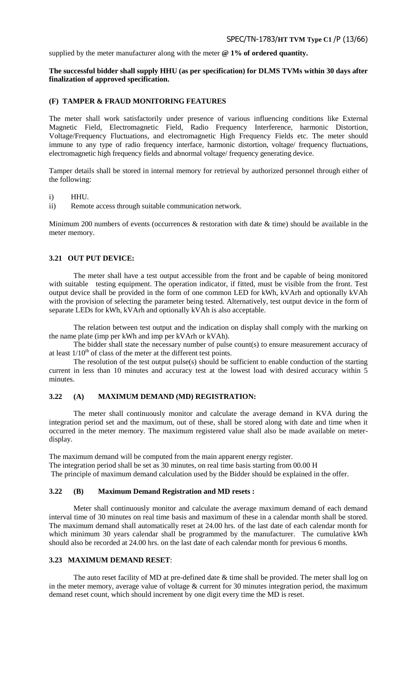supplied by the meter manufacturer along with the meter **@ 1% of ordered quantity.**

## **The successful bidder shall supply HHU (as per specification) for DLMS TVMs within 30 days after finalization of approved specification.**

## **(F) TAMPER & FRAUD MONITORING FEATURES**

The meter shall work satisfactorily under presence of various influencing conditions like External Magnetic Field, Electromagnetic Field, Radio Frequency Interference, harmonic Distortion, Voltage/Frequency Fluctuations, and electromagnetic High Frequency Fields etc. The meter should immune to any type of radio frequency interface, harmonic distortion, voltage/ frequency fluctuations, electromagnetic high frequency fields and abnormal voltage/ frequency generating device.

Tamper details shall be stored in internal memory for retrieval by authorized personnel through either of the following:

#### i) HHU.

ii) Remote access through suitable communication network.

Minimum 200 numbers of events (occurrences  $\&$  restoration with date  $\&$  time) should be available in the meter memory.

#### **3.21 OUT PUT DEVICE:**

The meter shall have a test output accessible from the front and be capable of being monitored with suitable testing equipment. The operation indicator, if fitted, must be visible from the front. Test output device shall be provided in the form of one common LED for kWh, kVArh and optionally kVAh with the provision of selecting the parameter being tested. Alternatively, test output device in the form of separate LEDs for kWh, kVArh and optionally kVAh is also acceptable.

The relation between test output and the indication on display shall comply with the marking on the name plate (imp per kWh and imp per kVArh or kVAh).

The bidder shall state the necessary number of pulse count(s) to ensure measurement accuracy of at least  $1/10^{th}$  of class of the meter at the different test points.

The resolution of the test output  $pulse(s)$  should be sufficient to enable conduction of the starting current in less than 10 minutes and accuracy test at the lowest load with desired accuracy within 5 minutes.

# **3.22 (A) MAXIMUM DEMAND (MD) REGISTRATION:**

The meter shall continuously monitor and calculate the average demand in KVA during the integration period set and the maximum, out of these, shall be stored along with date and time when it occurred in the meter memory. The maximum registered value shall also be made available on meterdisplay.

The maximum demand will be computed from the main apparent energy register. The integration period shall be set as 30 minutes, on real time basis starting from 00.00 H The principle of maximum demand calculation used by the Bidder should be explained in the offer.

#### **3.22 (B) Maximum Demand Registration and MD resets :**

Meter shall continuously monitor and calculate the average maximum demand of each demand interval time of 30 minutes on real time basis and maximum of these in a calendar month shall be stored. The maximum demand shall automatically reset at 24.00 hrs. of the last date of each calendar month for which minimum 30 years calendar shall be programmed by the manufacturer. The cumulative kWh should also be recorded at 24.00 hrs. on the last date of each calendar month for previous 6 months.

#### **3.23 MAXIMUM DEMAND RESET**:

The auto reset facility of MD at pre-defined date & time shall be provided. The meter shall log on in the meter memory, average value of voltage & current for 30 minutes integration period, the maximum demand reset count, which should increment by one digit every time the MD is reset.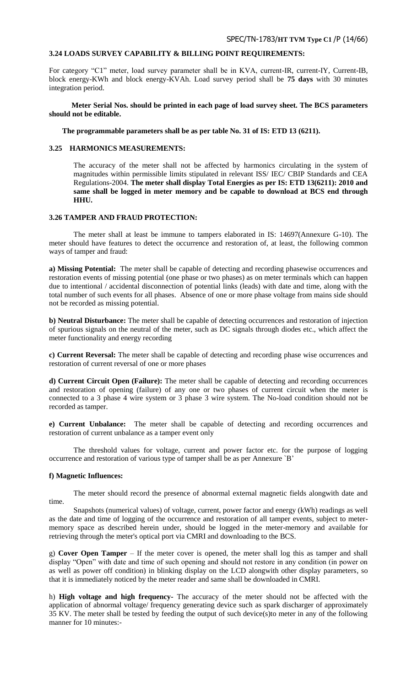# **3.24 LOADS SURVEY CAPABILITY & BILLING POINT REQUIREMENTS:**

For category "C1" meter, load survey parameter shall be in KVA, current-IR, current-IY, Current-IB, block energy-KWh and block energy-KVAh. Load survey period shall be **75 days** with 30 minutes integration period.

 **Meter Serial Nos. should be printed in each page of load survey sheet. The BCS parameters should not be editable.**

 **The programmable parameters shall be as per table No. 31 of IS: ETD 13 (6211).**

# **3.25 HARMONICS MEASUREMENTS:**

The accuracy of the meter shall not be affected by harmonics circulating in the system of magnitudes within permissible limits stipulated in relevant ISS/ IEC/ CBIP Standards and CEA Regulations-2004. **The meter shall display Total Energies as per IS: ETD 13(6211): 2010 and same shall be logged in meter memory and be capable to download at BCS end through HHU.**

# **3.26 TAMPER AND FRAUD PROTECTION:**

The meter shall at least be immune to tampers elaborated in IS: 14697(Annexure G-10). The meter should have features to detect the occurrence and restoration of, at least, the following common ways of tamper and fraud:

**a) Missing Potential:** The meter shall be capable of detecting and recording phasewise occurrences and restoration events of missing potential (one phase or two phases) as on meter terminals which can happen due to intentional / accidental disconnection of potential links (leads) with date and time, along with the total number of such events for all phases. Absence of one or more phase voltage from mains side should not be recorded as missing potential.

**b) Neutral Disturbance:** The meter shall be capable of detecting occurrences and restoration of injection of spurious signals on the neutral of the meter, such as DC signals through diodes etc., which affect the meter functionality and energy recording

**c) Current Reversal:** The meter shall be capable of detecting and recording phase wise occurrences and restoration of current reversal of one or more phases

**d) Current Circuit Open (Failure):** The meter shall be capable of detecting and recording occurrences and restoration of opening (failure) of any one or two phases of current circuit when the meter is connected to a 3 phase 4 wire system or 3 phase 3 wire system. The No-load condition should not be recorded as tamper.

**e) Current Unbalance:** The meter shall be capable of detecting and recording occurrences and restoration of current unbalance as a tamper event only

The threshold values for voltage, current and power factor etc. for the purpose of logging occurrence and restoration of various type of tamper shall be as per Annexure `B"

#### **f) Magnetic Influences:**

The meter should record the presence of abnormal external magnetic fields alongwith date and time.

Snapshots (numerical values) of voltage, current, power factor and energy (kWh) readings as well as the date and time of logging of the occurrence and restoration of all tamper events, subject to metermemory space as described herein under, should be logged in the meter-memory and available for retrieving through the meter's optical port via CMRI and downloading to the BCS.

g) **Cover Open Tamper** – If the meter cover is opened, the meter shall log this as tamper and shall display "Open" with date and time of such opening and should not restore in any condition (in power on as well as power off condition) in blinking display on the LCD alongwith other display parameters, so that it is immediately noticed by the meter reader and same shall be downloaded in CMRI.

h) **High voltage and high frequency-** The accuracy of the meter should not be affected with the application of abnormal voltage/ frequency generating device such as spark discharger of approximately 35 KV. The meter shall be tested by feeding the output of such device(s)to meter in any of the following manner for 10 minutes:-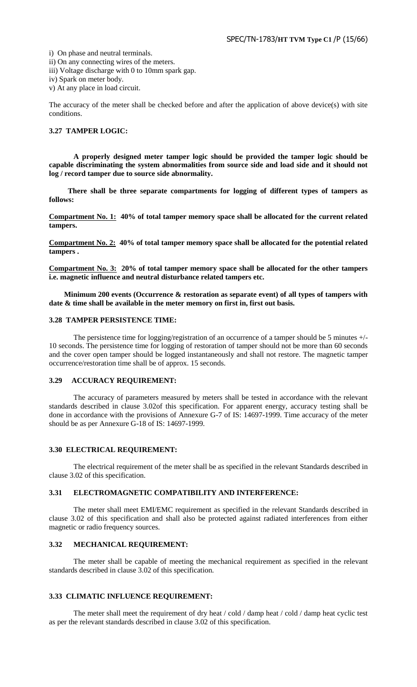i) On phase and neutral terminals.

ii) On any connecting wires of the meters.

iii) Voltage discharge with 0 to 10mm spark gap.

iv) Spark on meter body.

v) At any place in load circuit.

The accuracy of the meter shall be checked before and after the application of above device(s) with site conditions.

# **3.27 TAMPER LOGIC:**

**A properly designed meter tamper logic should be provided the tamper logic should be capable discriminating the system abnormalities from source side and load side and it should not log / record tamper due to source side abnormality.** 

 **There shall be three separate compartments for logging of different types of tampers as follows:** 

**Compartment No. 1: 40% of total tamper memory space shall be allocated for the current related tampers.**

**Compartment No. 2: 40% of total tamper memory space shall be allocated for the potential related tampers .**

**Compartment No. 3: 20% of total tamper memory space shall be allocated for the other tampers i.e. magnetic influence and neutral disturbance related tampers etc.**

 **Minimum 200 events (Occurrence & restoration as separate event) of all types of tampers with date & time shall be available in the meter memory on first in, first out basis.** 

#### **3.28 TAMPER PERSISTENCE TIME:**

The persistence time for logging/registration of an occurrence of a tamper should be 5 minutes +/- 10 seconds. The persistence time for logging of restoration of tamper should not be more than 60 seconds and the cover open tamper should be logged instantaneously and shall not restore. The magnetic tamper occurrence/restoration time shall be of approx. 15 seconds.

#### **3.29 ACCURACY REQUIREMENT:**

The accuracy of parameters measured by meters shall be tested in accordance with the relevant standards described in clause 3.02of this specification. For apparent energy, accuracy testing shall be done in accordance with the provisions of Annexure G-7 of IS: 14697-1999. Time accuracy of the meter should be as per Annexure G-18 of IS: 14697-1999.

#### **3.30 ELECTRICAL REQUIREMENT:**

The electrical requirement of the meter shall be as specified in the relevant Standards described in clause 3.02 of this specification.

## **3.31 ELECTROMAGNETIC COMPATIBILITY AND INTERFERENCE:**

The meter shall meet EMI/EMC requirement as specified in the relevant Standards described in clause 3.02 of this specification and shall also be protected against radiated interferences from either magnetic or radio frequency sources.

#### **3.32 MECHANICAL REQUIREMENT:**

The meter shall be capable of meeting the mechanical requirement as specified in the relevant standards described in clause 3.02 of this specification.

# **3.33 CLIMATIC INFLUENCE REQUIREMENT:**

The meter shall meet the requirement of dry heat / cold / damp heat / cold / damp heat cyclic test as per the relevant standards described in clause 3.02 of this specification.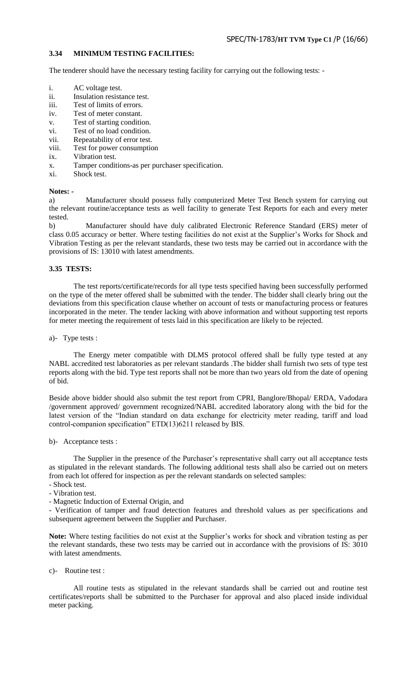# **3.34 MINIMUM TESTING FACILITIES:**

The tenderer should have the necessary testing facility for carrying out the following tests: -

- i. AC voltage test.
- ii. Insulation resistance test.
- iii. Test of limits of errors.
- iv. Test of meter constant.
- v. Test of starting condition.
- vi. Test of no load condition.
- vii. Repeatability of error test.
- viii. Test for power consumption
- ix. Vibration test.
- x. Tamper conditions-as per purchaser specification.
- xi. Shock test.

#### **Notes: -**

a) Manufacturer should possess fully computerized Meter Test Bench system for carrying out the relevant routine/acceptance tests as well facility to generate Test Reports for each and every meter tested.

b) Manufacturer should have duly calibrated Electronic Reference Standard (ERS) meter of class 0.05 accuracy or better. Where testing facilities do not exist at the Supplier"s Works for Shock and Vibration Testing as per the relevant standards, these two tests may be carried out in accordance with the provisions of IS: 13010 with latest amendments.

#### **3.35 TESTS:**

The test reports/certificate/records for all type tests specified having been successfully performed on the type of the meter offered shall be submitted with the tender. The bidder shall clearly bring out the deviations from this specification clause whether on account of tests or manufacturing process or features incorporated in the meter. The tender lacking with above information and without supporting test reports for meter meeting the requirement of tests laid in this specification are likely to be rejected.

a)- Type tests :

The Energy meter compatible with DLMS protocol offered shall be fully type tested at any NABL accredited test laboratories as per relevant standards .The bidder shall furnish two sets of type test reports along with the bid. Type test reports shall not be more than two years old from the date of opening of bid.

Beside above bidder should also submit the test report from CPRI, Banglore/Bhopal/ ERDA, Vadodara /government approved/ government recognized/NABL accredited laboratory along with the bid for the latest version of the "Indian standard on data exchange for electricity meter reading, tariff and load control-companion specification" ETD(13)6211 released by BIS.

b)- Acceptance tests :

The Supplier in the presence of the Purchaser's representative shall carry out all acceptance tests as stipulated in the relevant standards. The following additional tests shall also be carried out on meters from each lot offered for inspection as per the relevant standards on selected samples:

- Shock test.
- Vibration test.
- Magnetic Induction of External Origin, and

- Verification of tamper and fraud detection features and threshold values as per specifications and subsequent agreement between the Supplier and Purchaser.

Note: Where testing facilities do not exist at the Supplier's works for shock and vibration testing as per the relevant standards, these two tests may be carried out in accordance with the provisions of IS: 3010 with latest amendments.

c)- Routine test :

All routine tests as stipulated in the relevant standards shall be carried out and routine test certificates/reports shall be submitted to the Purchaser for approval and also placed inside individual meter packing.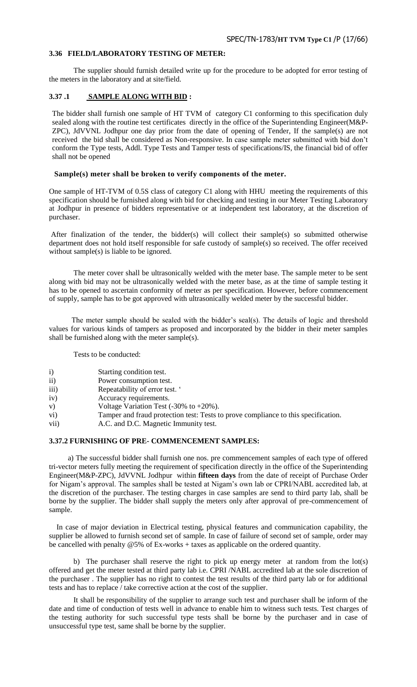# **3.36 FIELD/LABORATORY TESTING OF METER:**

The supplier should furnish detailed write up for the procedure to be adopted for error testing of the meters in the laboratory and at site/field.

#### **3.37 .1 SAMPLE ALONG WITH BID :**

The bidder shall furnish one sample of HT TVM of category C1 conforming to this specification duly sealed along with the routine test certificates directly in the office of the Superintending Engineer(M&P-ZPC), JdVVNL Jodhpur one day prior from the date of opening of Tender, If the sample(s) are not received the bid shall be considered as Non-responsive. In case sample meter submitted with bid don"t conform the Type tests, Addl. Type Tests and Tamper tests of specifications/IS, the financial bid of offer shall not be opened

#### **Sample(s) meter shall be broken to verify components of the meter.**

One sample of HT-TVM of 0.5S class of category C1 along with HHU meeting the requirements of this specification should be furnished along with bid for checking and testing in our Meter Testing Laboratory at Jodhpur in presence of bidders representative or at independent test laboratory, at the discretion of purchaser.

After finalization of the tender, the bidder(s) will collect their sample(s) so submitted otherwise department does not hold itself responsible for safe custody of sample(s) so received. The offer received without sample(s) is liable to be ignored.

The meter cover shall be ultrasonically welded with the meter base. The sample meter to be sent along with bid may not be ultrasonically welded with the meter base, as at the time of sample testing it has to be opened to ascertain conformity of meter as per specification. However, before commencement of supply, sample has to be got approved with ultrasonically welded meter by the successful bidder.

 The meter sample should be sealed with the bidder"s seal(s). The details of logic and threshold values for various kinds of tampers as proposed and incorporated by the bidder in their meter samples shall be furnished along with the meter sample(s).

Tests to be conducted:

- i) Starting condition test.
- ii) Power consumption test.
- iii) Repeatability of error test.
- iv) Accuracy requirements.
- v) Voltage Variation Test  $(-30\% \text{ to } +20\%).$
- vi) Tamper and fraud protection test: Tests to prove compliance to this specification.
- vii) A.C. and D.C. Magnetic Immunity test.

#### **3.37.2 FURNISHING OF PRE- COMMENCEMENT SAMPLES:**

 a) The successful bidder shall furnish one nos. pre commencement samples of each type of offered tri-vector meters fully meeting the requirement of specification directly in the office of the Superintending Engineer(M&P-ZPC), JdVVNL Jodhpur within **fifteen days** from the date of receipt of Purchase Order for Nigam"s approval. The samples shall be tested at Nigam"s own lab or CPRI/NABL accredited lab, at the discretion of the purchaser. The testing charges in case samples are send to third party lab, shall be borne by the supplier. The bidder shall supply the meters only after approval of pre-commencement of sample.

 In case of major deviation in Electrical testing, physical features and communication capability, the supplier be allowed to furnish second set of sample. In case of failure of second set of sample, order may be cancelled with penalty @5% of Ex-works + taxes as applicable on the ordered quantity.

b) The purchaser shall reserve the right to pick up energy meter at random from the lot(s) offered and get the meter tested at third party lab i.e. CPRI /NABL accredited lab at the sole discretion of the purchaser . The supplier has no right to contest the test results of the third party lab or for additional tests and has to replace / take corrective action at the cost of the supplier.

It shall be responsibility of the supplier to arrange such test and purchaser shall be inform of the date and time of conduction of tests well in advance to enable him to witness such tests. Test charges of the testing authority for such successful type tests shall be borne by the purchaser and in case of unsuccessful type test, same shall be borne by the supplier.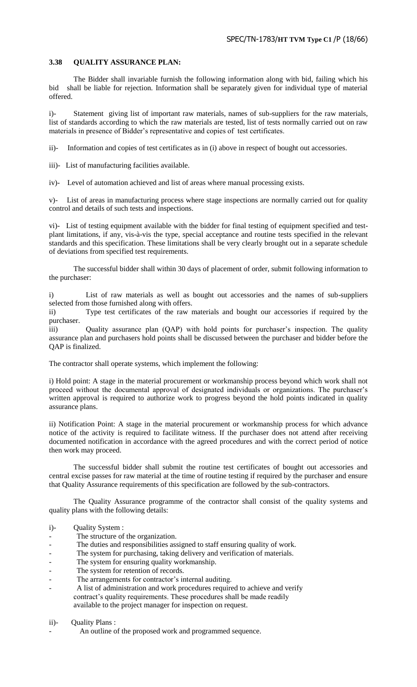# **3.38 QUALITY ASSURANCE PLAN:**

The Bidder shall invariable furnish the following information along with bid, failing which his bid shall be liable for rejection. Information shall be separately given for individual type of material offered.

i)- Statement giving list of important raw materials, names of sub-suppliers for the raw materials, list of standards according to which the raw materials are tested, list of tests normally carried out on raw materials in presence of Bidder"s representative and copies of test certificates.

ii)- Information and copies of test certificates as in (i) above in respect of bought out accessories.

iii)- List of manufacturing facilities available.

iv)- Level of automation achieved and list of areas where manual processing exists.

v)- List of areas in manufacturing process where stage inspections are normally carried out for quality control and details of such tests and inspections.

vi)- List of testing equipment available with the bidder for final testing of equipment specified and testplant limitations, if any, vis-à-vis the type, special acceptance and routine tests specified in the relevant standards and this specification. These limitations shall be very clearly brought out in a separate schedule of deviations from specified test requirements.

The successful bidder shall within 30 days of placement of order, submit following information to the purchaser:

List of raw materials as well as bought out accessories and the names of sub-suppliers selected from those furnished along with offers.

ii) Type test certificates of the raw materials and bought our accessories if required by the purchaser.

iii) Quality assurance plan (QAP) with hold points for purchaser's inspection. The quality assurance plan and purchasers hold points shall be discussed between the purchaser and bidder before the QAP is finalized.

The contractor shall operate systems, which implement the following:

i) Hold point: A stage in the material procurement or workmanship process beyond which work shall not proceed without the documental approval of designated individuals or organizations. The purchaser's written approval is required to authorize work to progress beyond the hold points indicated in quality assurance plans.

ii) Notification Point: A stage in the material procurement or workmanship process for which advance notice of the activity is required to facilitate witness. If the purchaser does not attend after receiving documented notification in accordance with the agreed procedures and with the correct period of notice then work may proceed.

The successful bidder shall submit the routine test certificates of bought out accessories and central excise passes for raw material at the time of routine testing if required by the purchaser and ensure that Quality Assurance requirements of this specification are followed by the sub-contractors.

The Quality Assurance programme of the contractor shall consist of the quality systems and quality plans with the following details:

- i)- Quality System :
- The structure of the organization.
- The duties and responsibilities assigned to staff ensuring quality of work.
- The system for purchasing, taking delivery and verification of materials.
- The system for ensuring quality workmanship.
- The system for retention of records.
- The arrangements for contractor's internal auditing.
- A list of administration and work procedures required to achieve and verify contract's quality requirements. These procedures shall be made readily available to the project manager for inspection on request.
- ii)- Quality Plans :
- An outline of the proposed work and programmed sequence.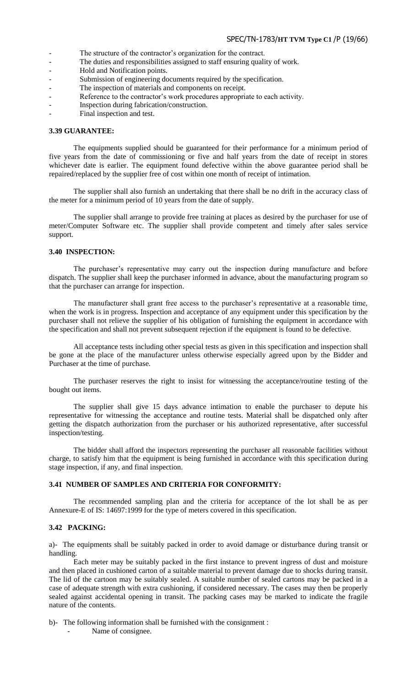- The structure of the contractor's organization for the contract.
- The duties and responsibilities assigned to staff ensuring quality of work.
- Hold and Notification points.
- Submission of engineering documents required by the specification.
- The inspection of materials and components on receipt.
- Reference to the contractor's work procedures appropriate to each activity.
- Inspection during fabrication/construction.
- Final inspection and test.

# **3.39 GUARANTEE:**

The equipments supplied should be guaranteed for their performance for a minimum period of five years from the date of commissioning or five and half years from the date of receipt in stores whichever date is earlier. The equipment found defective within the above guarantee period shall be repaired/replaced by the supplier free of cost within one month of receipt of intimation.

The supplier shall also furnish an undertaking that there shall be no drift in the accuracy class of the meter for a minimum period of 10 years from the date of supply.

The supplier shall arrange to provide free training at places as desired by the purchaser for use of meter/Computer Software etc. The supplier shall provide competent and timely after sales service support.

#### **3.40 INSPECTION:**

The purchaser's representative may carry out the inspection during manufacture and before dispatch. The supplier shall keep the purchaser informed in advance, about the manufacturing program so that the purchaser can arrange for inspection.

The manufacturer shall grant free access to the purchaser's representative at a reasonable time, when the work is in progress. Inspection and acceptance of any equipment under this specification by the purchaser shall not relieve the supplier of his obligation of furnishing the equipment in accordance with the specification and shall not prevent subsequent rejection if the equipment is found to be defective.

All acceptance tests including other special tests as given in this specification and inspection shall be gone at the place of the manufacturer unless otherwise especially agreed upon by the Bidder and Purchaser at the time of purchase.

The purchaser reserves the right to insist for witnessing the acceptance/routine testing of the bought out items.

The supplier shall give 15 days advance intimation to enable the purchaser to depute his representative for witnessing the acceptance and routine tests. Material shall be dispatched only after getting the dispatch authorization from the purchaser or his authorized representative, after successful inspection/testing.

The bidder shall afford the inspectors representing the purchaser all reasonable facilities without charge, to satisfy him that the equipment is being furnished in accordance with this specification during stage inspection, if any, and final inspection.

# **3.41 NUMBER OF SAMPLES AND CRITERIA FOR CONFORMITY:**

The recommended sampling plan and the criteria for acceptance of the lot shall be as per Annexure-E of IS: 14697:1999 for the type of meters covered in this specification.

#### **3.42 PACKING:**

a)- The equipments shall be suitably packed in order to avoid damage or disturbance during transit or handling.

Each meter may be suitably packed in the first instance to prevent ingress of dust and moisture and then placed in cushioned carton of a suitable material to prevent damage due to shocks during transit. The lid of the cartoon may be suitably sealed. A suitable number of sealed cartons may be packed in a case of adequate strength with extra cushioning, if considered necessary. The cases may then be properly sealed against accidental opening in transit. The packing cases may be marked to indicate the fragile nature of the contents.

b)- The following information shall be furnished with the consignment :

Name of consignee.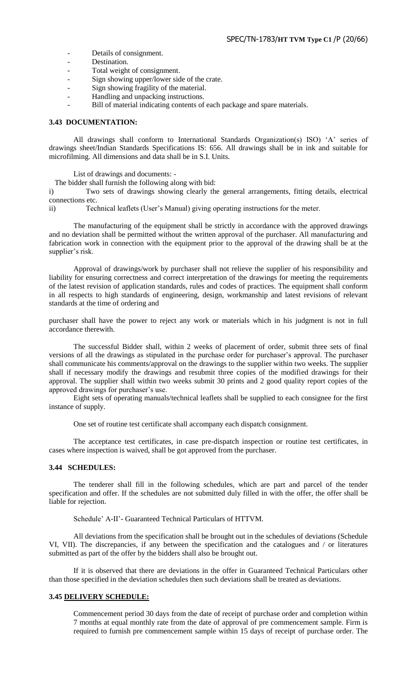- Details of consignment.
- Destination.
- Total weight of consignment.
- Sign showing upper/lower side of the crate.
- Sign showing fragility of the material.
- Handling and unpacking instructions.
- Bill of material indicating contents of each package and spare materials.

# **3.43 DOCUMENTATION:**

All drawings shall conform to International Standards Organization(s) ISO) "A" series of drawings sheet/Indian Standards Specifications IS: 656. All drawings shall be in ink and suitable for microfilming. All dimensions and data shall be in S.I. Units.

List of drawings and documents: -

The bidder shall furnish the following along with bid:

i) Two sets of drawings showing clearly the general arrangements, fitting details, electrical connections etc.

ii) Technical leaflets (User"s Manual) giving operating instructions for the meter.

The manufacturing of the equipment shall be strictly in accordance with the approved drawings and no deviation shall be permitted without the written approval of the purchaser. All manufacturing and fabrication work in connection with the equipment prior to the approval of the drawing shall be at the supplier's risk.

Approval of drawings/work by purchaser shall not relieve the supplier of his responsibility and liability for ensuring correctness and correct interpretation of the drawings for meeting the requirements of the latest revision of application standards, rules and codes of practices. The equipment shall conform in all respects to high standards of engineering, design, workmanship and latest revisions of relevant standards at the time of ordering and

purchaser shall have the power to reject any work or materials which in his judgment is not in full accordance therewith.

The successful Bidder shall, within 2 weeks of placement of order, submit three sets of final versions of all the drawings as stipulated in the purchase order for purchaser's approval. The purchaser shall communicate his comments/approval on the drawings to the supplier within two weeks. The supplier shall if necessary modify the drawings and resubmit three copies of the modified drawings for their approval. The supplier shall within two weeks submit 30 prints and 2 good quality report copies of the approved drawings for purchaser's use.

Eight sets of operating manuals/technical leaflets shall be supplied to each consignee for the first instance of supply.

One set of routine test certificate shall accompany each dispatch consignment.

The acceptance test certificates, in case pre-dispatch inspection or routine test certificates, in cases where inspection is waived, shall be got approved from the purchaser.

#### **3.44 SCHEDULES:**

The tenderer shall fill in the following schedules, which are part and parcel of the tender specification and offer. If the schedules are not submitted duly filled in with the offer, the offer shall be liable for rejection.

Schedule" A-II"- Guaranteed Technical Particulars of HTTVM.

All deviations from the specification shall be brought out in the schedules of deviations (Schedule VI, VII). The discrepancies, if any between the specification and the catalogues and / or literatures submitted as part of the offer by the bidders shall also be brought out.

If it is observed that there are deviations in the offer in Guaranteed Technical Particulars other than those specified in the deviation schedules then such deviations shall be treated as deviations.

#### **3.45 DELIVERY SCHEDULE:**

Commencement period 30 days from the date of receipt of purchase order and completion within 7 months at equal monthly rate from the date of approval of pre commencement sample. Firm is required to furnish pre commencement sample within 15 days of receipt of purchase order. The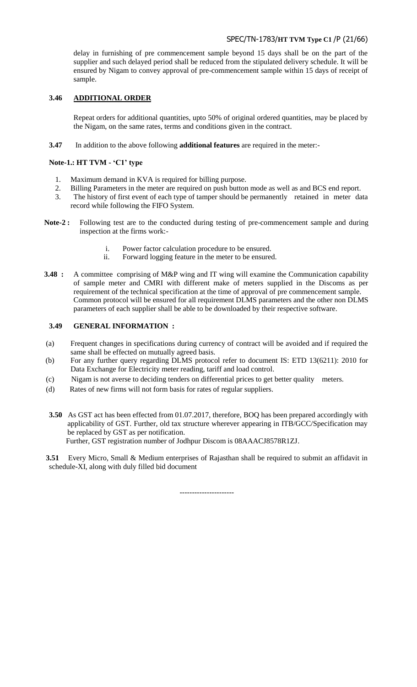# SPEC/TN-1783/**HT TVM Type C1** /P (21/66)

delay in furnishing of pre commencement sample beyond 15 days shall be on the part of the supplier and such delayed period shall be reduced from the stipulated delivery schedule. It will be ensured by Nigam to convey approval of pre-commencement sample within 15 days of receipt of sample.

# **3.46 ADDITIONAL ORDER**

Repeat orders for additional quantities, upto 50% of original ordered quantities, may be placed by the Nigam, on the same rates, terms and conditions given in the contract.

**3.47** In addition to the above following **additional features** are required in the meter:-

# **Note-1.: HT TVM - "C1" type**

- 1. Maximum demand in KVA is required for billing purpose.
- 2. Billing Parameters in the meter are required on push button mode as well as and BCS end report.
- 3. The history of first event of each type of tamper should be permanently retained in meter data record while following the FIFO System.
- **Note-2 :** Following test are to the conducted during testing of pre-commencement sample and during inspection at the firms work:
	- i. Power factor calculation procedure to be ensured.
	- ii. Forward logging feature in the meter to be ensured.
- **3.48 :** A committee comprising of M&P wing and IT wing will examine the Communication capability of sample meter and CMRI with different make of meters supplied in the Discoms as per requirement of the technical specification at the time of approval of pre commencement sample. Common protocol will be ensured for all requirement DLMS parameters and the other non DLMS parameters of each supplier shall be able to be downloaded by their respective software.

# **3.49 GENERAL INFORMATION :**

- (a) Frequent changes in specifications during currency of contract will be avoided and if required the same shall be effected on mutually agreed basis.
- (b) For any further query regarding DLMS protocol refer to document IS: ETD 13(6211): 2010 for Data Exchange for Electricity meter reading, tariff and load control.
- (c) Nigam is not averse to deciding tenders on differential prices to get better quality meters.
- (d) Rates of new firms will not form basis for rates of regular suppliers.
- **3.50** As GST act has been effected from 01.07.2017, therefore, BOQ has been prepared accordingly with applicability of GST. Further, old tax structure wherever appearing in ITB/GCC/Specification may be replaced by GST as per notification. Further, GST registration number of Jodhpur Discom is 08AAACJ8578R1ZJ.

**3.51** Every Micro, Small & Medium enterprises of Rajasthan shall be required to submit an affidavit in schedule-XI, along with duly filled bid document

----------------------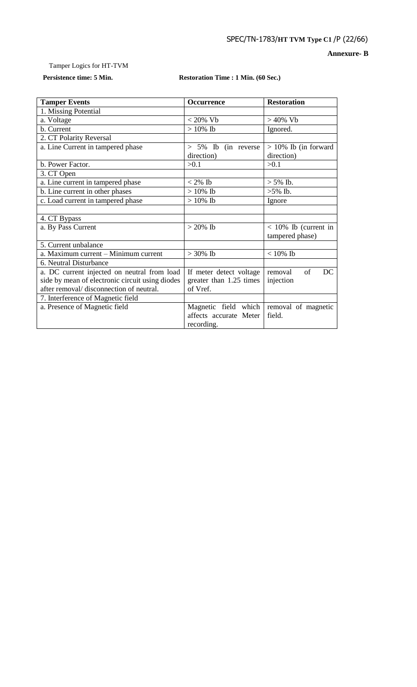**Annexure- B**

# Tamper Logics for HT-TVM

# **Persistence time: 5 Min. Restoration Time : 1 Min. (60 Sec.)**

| <b>Tamper Events</b>                            | <b>Occurrence</b>       | <b>Restoration</b>      |  |
|-------------------------------------------------|-------------------------|-------------------------|--|
| 1. Missing Potential                            |                         |                         |  |
| a. Voltage                                      | $< 20\%$ Vb             | $>$ 40% Vb              |  |
| b. Current                                      | $> 10\%$ Ib             | Ignored.                |  |
| 2. CT Polarity Reversal                         |                         |                         |  |
| a. Line Current in tampered phase               | > 5% Ib (in reverse     | $> 10\%$ Ib (in forward |  |
|                                                 | direction)              | direction)              |  |
| b. Power Factor.                                | >0.1                    | >0.1                    |  |
| 3. CT Open                                      |                         |                         |  |
| a. Line current in tampered phase               | $< 2\%$ Ib              | $> 5\%$ Ib.             |  |
| b. Line current in other phases                 | $>10\%$ Ib              | $>5\%$ Ib.              |  |
| c. Load current in tampered phase               | $>10\%$ Ib              | Ignore                  |  |
|                                                 |                         |                         |  |
| 4. CT Bypass                                    |                         |                         |  |
| a. By Pass Current                              | $>20\%$ Ib              | $<$ 10% Ib (current in  |  |
|                                                 |                         | tampered phase)         |  |
| 5. Current unbalance                            |                         |                         |  |
| a. Maximum current - Minimum current            | $>30\%$ Ib              | $<10\%$ Ib              |  |
| 6. Neutral Disturbance                          |                         |                         |  |
| a. DC current injected on neutral from load     | If meter detect voltage | of<br>DC<br>removal     |  |
| side by mean of electronic circuit using diodes | greater than 1.25 times | injection               |  |
| after removal/ disconnection of neutral.        | of Vref.                |                         |  |
| 7. Interference of Magnetic field               |                         |                         |  |
| a. Presence of Magnetic field                   | Magnetic field which    | removal of magnetic     |  |
|                                                 | affects accurate Meter  | field.                  |  |
|                                                 | recording.              |                         |  |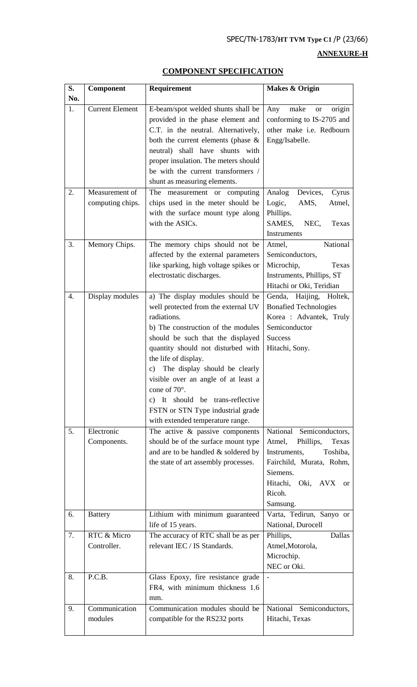SPEC/TN-1783/**HT TVM Type C1** /P (23/66)

# **ANNEXURE-H**

# **COMPONENT SPECIFICATION**

| S.  | <b>Component</b>         | Requirement                                                                                                                                                                                                                                                                                                                                                                                                                                | Makes & Origin                                                                                                                                               |
|-----|--------------------------|--------------------------------------------------------------------------------------------------------------------------------------------------------------------------------------------------------------------------------------------------------------------------------------------------------------------------------------------------------------------------------------------------------------------------------------------|--------------------------------------------------------------------------------------------------------------------------------------------------------------|
| No. |                          |                                                                                                                                                                                                                                                                                                                                                                                                                                            |                                                                                                                                                              |
| 1.  | <b>Current Element</b>   | E-beam/spot welded shunts shall be<br>provided in the phase element and<br>C.T. in the neutral. Alternatively,<br>both the current elements (phase $\&$<br>neutral) shall have shunts with<br>proper insulation. The meters should<br>be with the current transformers /<br>shunt as measuring elements.                                                                                                                                   | Any<br>make<br>origin<br><b>or</b><br>conforming to IS-2705 and<br>other make i.e. Redbourn<br>Engg/Isabelle.                                                |
| 2.  | Measurement of           | The measurement or computing                                                                                                                                                                                                                                                                                                                                                                                                               | Devices,<br>Analog<br>Cyrus                                                                                                                                  |
|     | computing chips.         | chips used in the meter should be<br>with the surface mount type along<br>with the ASICs.                                                                                                                                                                                                                                                                                                                                                  | Logic,<br>AMS,<br>Atmel,<br>Phillips.<br>SAMES, NEC,<br>Texas<br>Instruments                                                                                 |
| 3.  | Memory Chips.            | The memory chips should not be<br>affected by the external parameters<br>like sparking, high voltage spikes or<br>electrostatic discharges.                                                                                                                                                                                                                                                                                                | National<br>Atmel,<br>Semiconductors,<br>Microchip,<br>Texas<br>Instruments, Phillips, ST<br>Hitachi or Oki, Teridian                                        |
| 4.  | Display modules          | a) The display modules should be<br>well protected from the external UV<br>radiations.<br>b) The construction of the modules<br>should be such that the displayed<br>quantity should not disturbed with<br>the life of display.<br>The display should be clearly<br>c)<br>visible over an angle of at least a<br>cone of 70°.<br>c) It should be trans-reflective<br>FSTN or STN Type industrial grade<br>with extended temperature range. | Genda, Haijing, Holtek,<br><b>Bonafied Technologies</b><br>Korea : Advantek, Truly<br>Semiconductor<br><b>Success</b><br>Hitachi, Sony.                      |
| 5.  | Electronic               | The active $\&$ passive components                                                                                                                                                                                                                                                                                                                                                                                                         | National Semiconductors,                                                                                                                                     |
|     | Components.              | should be of the surface mount type<br>and are to be handled & soldered by<br>the state of art assembly processes.                                                                                                                                                                                                                                                                                                                         | Atmel,<br>Phillips,<br>Texas<br>Instruments,<br>Toshiba,<br>Fairchild, Murata, Rohm,<br>Siemens.<br>Hitachi, Oki, AVX<br><sub>or</sub><br>Ricoh.<br>Samsung. |
| 6.  | <b>Battery</b>           | Lithium with minimum guaranteed<br>life of 15 years.                                                                                                                                                                                                                                                                                                                                                                                       | Varta, Tedirun, Sanyo or<br>National, Durocell                                                                                                               |
| 7.  | RTC & Micro              | The accuracy of RTC shall be as per                                                                                                                                                                                                                                                                                                                                                                                                        | Phillips,<br>Dallas                                                                                                                                          |
|     | Controller.              | relevant IEC / IS Standards.                                                                                                                                                                                                                                                                                                                                                                                                               | Atmel, Motorola,<br>Microchip.<br>NEC or Oki.                                                                                                                |
| 8.  | P.C.B.                   | Glass Epoxy, fire resistance grade<br>FR4, with minimum thickness 1.6<br>mm.                                                                                                                                                                                                                                                                                                                                                               |                                                                                                                                                              |
| 9.  | Communication<br>modules | Communication modules should be<br>compatible for the RS232 ports                                                                                                                                                                                                                                                                                                                                                                          | National Semiconductors,<br>Hitachi, Texas                                                                                                                   |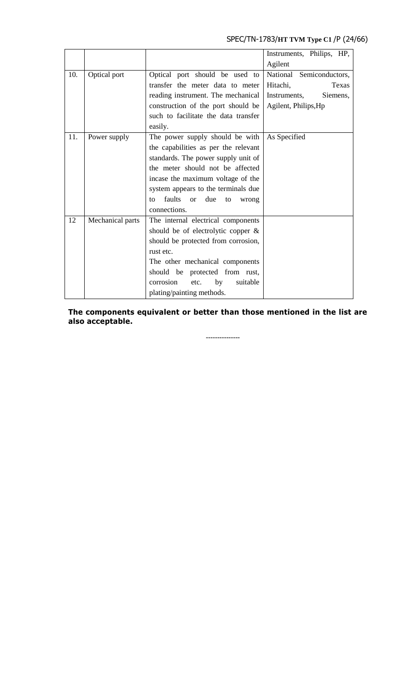# SPEC/TN-1783/**HT TVM Type C1** /P (24/66)

|     |                  |                                                     | Instruments, Philips, HP, |
|-----|------------------|-----------------------------------------------------|---------------------------|
|     |                  |                                                     | Agilent                   |
| 10. | Optical port     | Optical port should be used to                      | National Semiconductors,  |
|     |                  | transfer the meter data to meter                    | Hitachi,<br>Texas         |
|     |                  | reading instrument. The mechanical                  | Instruments,<br>Siemens,  |
|     |                  | construction of the port should be                  | Agilent, Philips, Hp      |
|     |                  | such to facilitate the data transfer                |                           |
|     |                  | easily.                                             |                           |
| 11. | Power supply     | The power supply should be with                     | As Specified              |
|     |                  | the capabilities as per the relevant                |                           |
|     |                  | standards. The power supply unit of                 |                           |
|     |                  | the meter should not be affected                    |                           |
|     |                  | incase the maximum voltage of the                   |                           |
|     |                  | system appears to the terminals due                 |                           |
|     |                  | faults<br>due<br><sub>or</sub><br>to<br>to<br>wrong |                           |
|     |                  | connections.                                        |                           |
| 12  | Mechanical parts | The internal electrical components                  |                           |
|     |                  | should be of electrolytic copper $\&$               |                           |
|     |                  | should be protected from corrosion,                 |                           |
|     |                  | rust etc.                                           |                           |
|     |                  | The other mechanical components                     |                           |
|     |                  | should be protected from rust,                      |                           |
|     |                  | corrosion<br>etc.<br>by<br>suitable                 |                           |
|     |                  | plating/painting methods.                           |                           |

**The components equivalent or better than those mentioned in the list are also acceptable.** 

**---------------**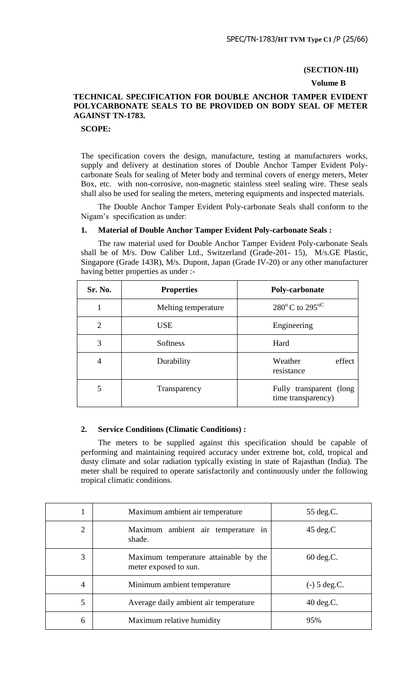#### **(SECTION-III)**

#### **Volume B**

# **TECHNICAL SPECIFICATION FOR DOUBLE ANCHOR TAMPER EVIDENT POLYCARBONATE SEALS TO BE PROVIDED ON BODY SEAL OF METER AGAINST TN-1783.**

#### **SCOPE:**

The specification covers the design, manufacture, testing at manufacturers works, supply and delivery at destination stores of Double Anchor Tamper Evident Polycarbonate Seals for sealing of Meter body and terminal covers of energy meters, Meter Box, etc. with non-corrosive, non-magnetic stainless steel sealing wire. These seals shall also be used for sealing the meters, metering equipments and inspected materials.

The Double Anchor Tamper Evident Poly-carbonate Seals shall conform to the Nigam"s specification as under:

# **1. Material of Double Anchor Tamper Evident Poly-carbonate Seals :**

The raw material used for Double Anchor Tamper Evident Poly-carbonate Seals shall be of M/s. Dow Caliber Ltd., Switzerland (Grade-201- 15), M/s.GE Plastic, Singapore (Grade 143R), M/s. Dupont, Japan (Grade IV-20) or any other manufacturer having better properties as under :-

| Sr. No.        | <b>Properties</b>   | Poly-carbonate                                |
|----------------|---------------------|-----------------------------------------------|
|                | Melting temperature | $280^{\circ}$ C to $295^{\circ}$ C            |
| $\mathfrak{D}$ | <b>USE</b>          | Engineering                                   |
| 3              | <b>Softness</b>     | Hard                                          |
| 4              | Durability          | Weather<br>effect<br>resistance               |
| 5              | Transparency        | Fully transparent (long<br>time transparency) |

# **2. Service Conditions (Climatic Conditions) :**

The meters to be supplied against this specification should be capable of performing and maintaining required accuracy under extreme hot, cold, tropical and dusty climate and solar radiation typically existing in state of Rajasthan (India). The meter shall be required to operate satisfactorily and continuously under the following tropical climatic conditions.

| 1              | Maximum ambient air temperature                                | 55 deg.C.           |
|----------------|----------------------------------------------------------------|---------------------|
| $\overline{2}$ | Maximum ambient air temperature in<br>shade.                   | $45 \text{ deg.C}$  |
| 3              | Maximum temperature attainable by the<br>meter exposed to sun. | $60 \deg.C.$        |
| 4              | Minimum ambient temperature                                    | $(-)$ 5 deg.C.      |
| 5              | Average daily ambient air temperature                          | $40 \text{ deg.C.}$ |
| 6              | Maximum relative humidity                                      | 95%                 |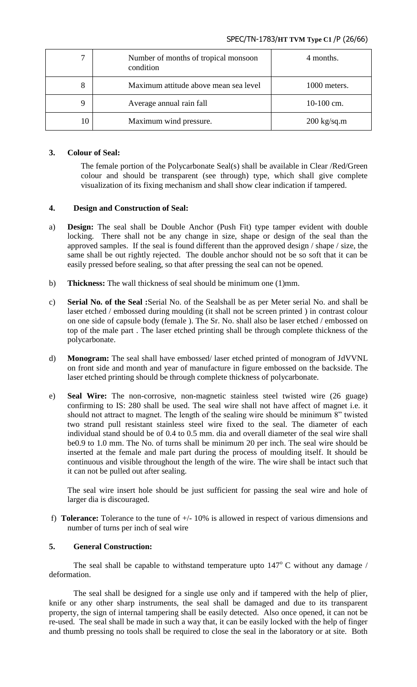# SPEC/TN-1783/**HT TVM Type C1** /P (26/66)

| 7  | Number of months of tropical monsoon<br>condition | 4 months.             |
|----|---------------------------------------------------|-----------------------|
| 8  | Maximum attitude above mean sea level             | 1000 meters.          |
| 9  | Average annual rain fall                          | $10-100$ cm.          |
| 10 | Maximum wind pressure.                            | $200 \text{ kg/sq.m}$ |

# **3. Colour of Seal:**

The female portion of the Polycarbonate Seal(s) shall be available in Clear /Red/Green colour and should be transparent (see through) type, which shall give complete visualization of its fixing mechanism and shall show clear indication if tampered.

# **4. Design and Construction of Seal:**

- a) **Design:** The seal shall be Double Anchor (Push Fit) type tamper evident with double locking. There shall not be any change in size, shape or design of the seal than the approved samples. If the seal is found different than the approved design / shape / size, the same shall be out rightly rejected. The double anchor should not be so soft that it can be easily pressed before sealing, so that after pressing the seal can not be opened.
- b) **Thickness:** The wall thickness of seal should be minimum one (1)mm.
- c) **Serial No. of the Seal :**Serial No. of the Sealshall be as per Meter serial No. and shall be laser etched / embossed during moulding (it shall not be screen printed ) in contrast colour on one side of capsule body (female ). The Sr. No. shall also be laser etched / embossed on top of the male part . The laser etched printing shall be through complete thickness of the polycarbonate.
- d) **Monogram:** The seal shall have embossed/ laser etched printed of monogram of JdVVNL on front side and month and year of manufacture in figure embossed on the backside. The laser etched printing should be through complete thickness of polycarbonate.
- e) **Seal Wire:** The non-corrosive, non-magnetic stainless steel twisted wire (26 guage) confirming to IS: 280 shall be used. The seal wire shall not have affect of magnet i.e. it should not attract to magnet. The length of the sealing wire should be minimum 8" twisted two strand pull resistant stainless steel wire fixed to the seal. The diameter of each individual stand should be of 0.4 to 0.5 mm. dia and overall diameter of the seal wire shall be0.9 to 1.0 mm. The No. of turns shall be minimum 20 per inch. The seal wire should be inserted at the female and male part during the process of moulding itself. It should be continuous and visible throughout the length of the wire. The wire shall be intact such that it can not be pulled out after sealing.

The seal wire insert hole should be just sufficient for passing the seal wire and hole of larger dia is discouraged.

f) **Tolerance:** Tolerance to the tune of +/- 10% is allowed in respect of various dimensions and number of turns per inch of seal wire

# **5. General Construction:**

The seal shall be capable to withstand temperature upto  $147^{\circ}$  C without any damage / deformation.

The seal shall be designed for a single use only and if tampered with the help of plier, knife or any other sharp instruments, the seal shall be damaged and due to its transparent property, the sign of internal tampering shall be easily detected. Also once opened, it can not be re-used. The seal shall be made in such a way that, it can be easily locked with the help of finger and thumb pressing no tools shall be required to close the seal in the laboratory or at site. Both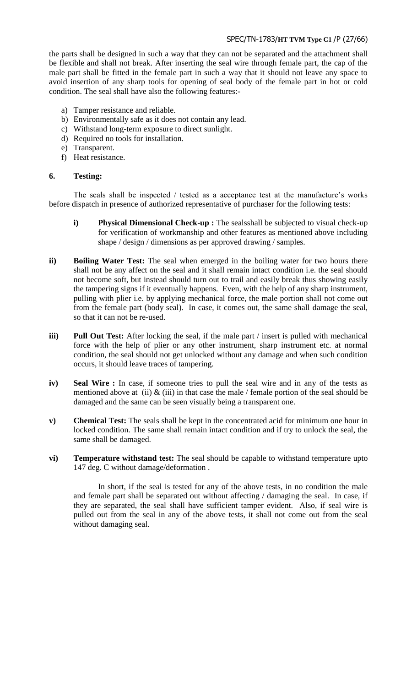# SPEC/TN-1783/**HT TVM Type C1** /P (27/66)

the parts shall be designed in such a way that they can not be separated and the attachment shall be flexible and shall not break. After inserting the seal wire through female part, the cap of the male part shall be fitted in the female part in such a way that it should not leave any space to avoid insertion of any sharp tools for opening of seal body of the female part in hot or cold condition. The seal shall have also the following features:-

- a) Tamper resistance and reliable.
- b) Environmentally safe as it does not contain any lead.
- c) Withstand long-term exposure to direct sunlight.
- d) Required no tools for installation.
- e) Transparent.
- f) Heat resistance.

# **6. Testing:**

The seals shall be inspected / tested as a acceptance test at the manufacture's works before dispatch in presence of authorized representative of purchaser for the following tests:

- **i) Physical Dimensional Check-up :** The sealsshall be subjected to visual check-up for verification of workmanship and other features as mentioned above including shape / design / dimensions as per approved drawing / samples.
- **ii) Boiling Water Test:** The seal when emerged in the boiling water for two hours there shall not be any affect on the seal and it shall remain intact condition i.e. the seal should not become soft, but instead should turn out to trail and easily break thus showing easily the tampering signs if it eventually happens. Even, with the help of any sharp instrument, pulling with plier i.e. by applying mechanical force, the male portion shall not come out from the female part (body seal). In case, it comes out, the same shall damage the seal, so that it can not be re-used.
- **iii) Pull Out Test:** After locking the seal, if the male part / insert is pulled with mechanical force with the help of plier or any other instrument, sharp instrument etc. at normal condition, the seal should not get unlocked without any damage and when such condition occurs, it should leave traces of tampering.
- **iv) Seal Wire :** In case, if someone tries to pull the seal wire and in any of the tests as mentioned above at (ii)  $\&$  (iii) in that case the male / female portion of the seal should be damaged and the same can be seen visually being a transparent one.
- **v) Chemical Test:** The seals shall be kept in the concentrated acid for minimum one hour in locked condition. The same shall remain intact condition and if try to unlock the seal, the same shall be damaged.
- **vi) Temperature withstand test:** The seal should be capable to withstand temperature upto 147 deg. C without damage/deformation .

In short, if the seal is tested for any of the above tests, in no condition the male and female part shall be separated out without affecting / damaging the seal. In case, if they are separated, the seal shall have sufficient tamper evident. Also, if seal wire is pulled out from the seal in any of the above tests, it shall not come out from the seal without damaging seal.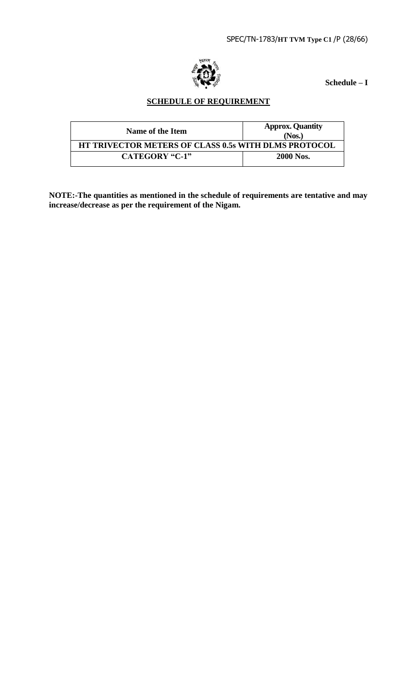

**Schedule – I**

# **SCHEDULE OF REQUIREMENT**

| Name of the Item                                            | <b>Approx. Quantity</b><br>(Nos.) |
|-------------------------------------------------------------|-----------------------------------|
| <b>HT TRIVECTOR METERS OF CLASS 0.5s WITH DLMS PROTOCOL</b> |                                   |
| CATEGORY "C-1"                                              | <b>2000 Nos.</b>                  |

**NOTE:-The quantities as mentioned in the schedule of requirements are tentative and may increase/decrease as per the requirement of the Nigam.**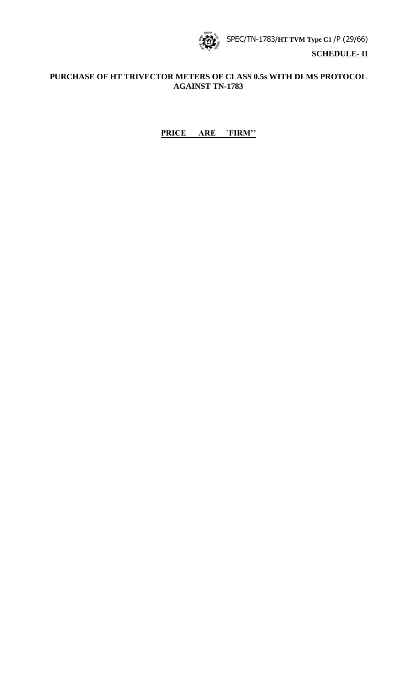SPEC/TN-1783/**HT TVM Type C1** /P (29/66)



# **PURCHASE OF HT TRIVECTOR METERS OF CLASS 0.5s WITH DLMS PROTOCOL AGAINST TN-1783**

# **PRICE ARE `FIRM""**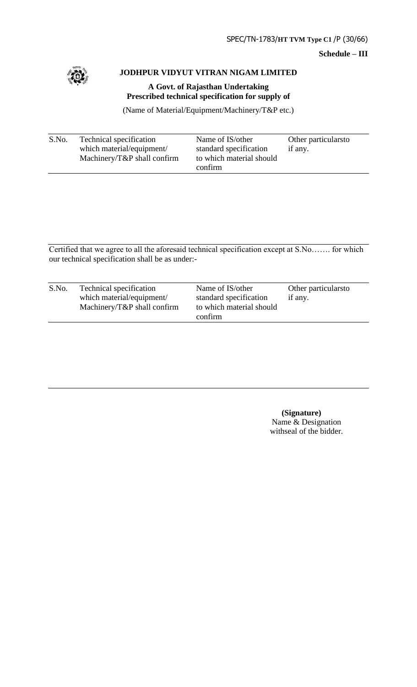**Schedule – III**



# **JODHPUR VIDYUT VITRAN NIGAM LIMITED**

**A Govt. of Rajasthan Undertaking Prescribed technical specification for supply of** 

(Name of Material/Equipment/Machinery/T&P etc.)

| S.No. | Technical specification<br>which material/equipment/<br>Machinery/ $T\&P$ shall confirm | Name of IS/other<br>standard specification<br>to which material should | Other particulars to<br>if any. |
|-------|-----------------------------------------------------------------------------------------|------------------------------------------------------------------------|---------------------------------|
|       |                                                                                         | confirm                                                                |                                 |

Certified that we agree to all the aforesaid technical specification except at S.No……. for which our technical specification shall be as under:-

| S.No. | Technical specification<br>which material/equipment/<br>Machinery/ $T\&P$ shall confirm | Name of IS/other<br>standard specification<br>to which material should<br>confirm | Other particularsto<br>if any. |  |
|-------|-----------------------------------------------------------------------------------------|-----------------------------------------------------------------------------------|--------------------------------|--|
|       |                                                                                         |                                                                                   |                                |  |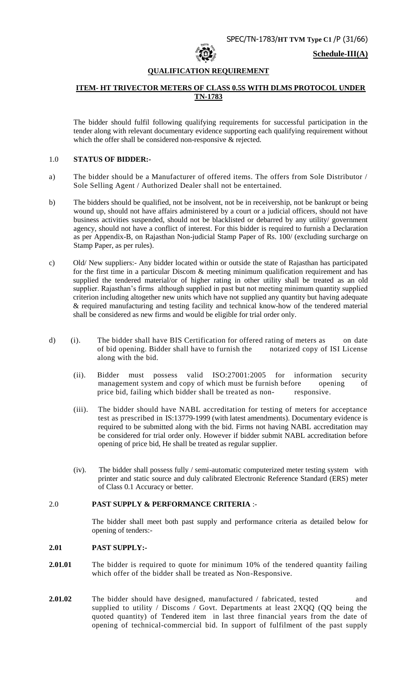

**Schedule-III(A)**

#### **QUALIFICATION REQUIREMENT**

# **ITEM- HT TRIVECTOR METERS OF CLASS 0.5S WITH DLMS PROTOCOL UNDER TN-1783**

The bidder should fulfil following qualifying requirements for successful participation in the tender along with relevant documentary evidence supporting each qualifying requirement without which the offer shall be considered non-responsive & rejected.

## 1.0 **STATUS OF BIDDER:-**

- a) The bidder should be a Manufacturer of offered items. The offers from Sole Distributor / Sole Selling Agent / Authorized Dealer shall not be entertained.
- b) The bidders should be qualified, not be insolvent, not be in receivership, not be bankrupt or being wound up, should not have affairs administered by a court or a judicial officers, should not have business activities suspended, should not be blacklisted or debarred by any utility/ government agency, should not have a conflict of interest. For this bidder is required to furnish a Declaration as per Appendix-B, on Rajasthan Non-judicial Stamp Paper of Rs. 100/ (excluding surcharge on Stamp Paper, as per rules).
- c) Old/ New suppliers:- Any bidder located within or outside the state of Rajasthan has participated for the first time in a particular Discom & meeting minimum qualification requirement and has supplied the tendered material/or of higher rating in other utility shall be treated as an old supplier. Rajasthan's firms although supplied in past but not meeting minimum quantity supplied criterion including altogether new units which have not supplied any quantity but having adequate & required manufacturing and testing facility and technical know-how of the tendered material shall be considered as new firms and would be eligible for trial order only.
- d) (i). The bidder shall have BIS Certification for offered rating of meters as on date of bid opening. Bidder shall have to furnish the notarized copy of ISI License along with the bid.
	- (ii). Bidder must possess valid ISO:27001:2005 for information security management system and copy of which must be furnish before opening of price bid, failing which bidder shall be treated as non- responsive.
	- (iii). The bidder should have NABL accreditation for testing of meters for acceptance test as prescribed in IS:13779-1999 (with latest amendments). Documentary evidence is required to be submitted along with the bid. Firms not having NABL accreditation may be considered for trial order only. However if bidder submit NABL accreditation before opening of price bid, He shall be treated as regular supplier.
	- (iv). The bidder shall possess fully / semi-automatic computerized meter testing system with printer and static source and duly calibrated Electronic Reference Standard (ERS) meter of Class 0.1 Accuracy or better.

# 2.0 **PAST SUPPLY & PERFORMANCE CRITERIA** :-

The bidder shall meet both past supply and performance criteria as detailed below for opening of tenders:-

#### **2.01 PAST SUPPLY:-**

- **2.01.01** The bidder is required to quote for minimum 10% of the tendered quantity failing which offer of the bidder shall be treated as Non-Responsive.
- **2.01.02** The bidder should have designed, manufactured / fabricated, tested and supplied to utility / Discoms / Govt. Departments at least 2XQQ (QQ being the quoted quantity) of Tendered item in last three financial years from the date of opening of technical-commercial bid. In support of fulfilment of the past supply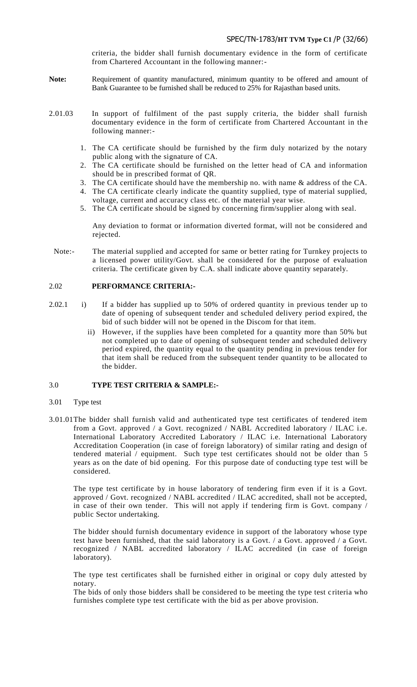# SPEC/TN-1783/**HT TVM Type C1** /P (32/66)

criteria, the bidder shall furnish documentary evidence in the form of certificate from Chartered Accountant in the following manner:-

- Note: Requirement of quantity manufactured, minimum quantity to be offered and amount of Bank Guarantee to be furnished shall be reduced to 25% for Rajasthan based units.
- 2.01.03 In support of fulfilment of the past supply criteria, the bidder shall furnish documentary evidence in the form of certificate from Chartered Accountant in the following manner:-
	- 1. The CA certificate should be furnished by the firm duly notarized by the notary public along with the signature of CA.
	- 2. The CA certificate should be furnished on the letter head of CA and information should be in prescribed format of QR.
	- 3. The CA certificate should have the membership no. with name & address of the CA.
	- 4. The CA certificate clearly indicate the quantity supplied, type of material supplied, voltage, current and accuracy class etc. of the material year wise.
	- 5. The CA certificate should be signed by concerning firm/supplier along with seal.

Any deviation to format or information diverted format, will not be considered and rejected.

Note:- The material supplied and accepted for same or better rating for Turnkey projects to a licensed power utility/Govt. shall be considered for the purpose of evaluation criteria. The certificate given by C.A. shall indicate above quantity separately.

#### 2.02 **PERFORMANCE CRITERIA:-**

- 2.02.1 i) If a bidder has supplied up to 50% of ordered quantity in previous tender up to date of opening of subsequent tender and scheduled delivery period expired, the bid of such bidder will not be opened in the Discom for that item.
	- ii) However, if the supplies have been completed for a quantity more than 50% but not completed up to date of opening of subsequent tender and scheduled delivery period expired, the quantity equal to the quantity pending in previous tender for that item shall be reduced from the subsequent tender quantity to be allocated to the bidder.

# 3.0 **TYPE TEST CRITERIA & SAMPLE:-**

- 3.01 Type test
- 3.01.01The bidder shall furnish valid and authenticated type test certificates of tendered item from a Govt. approved / a Govt. recognized / NABL Accredited laboratory / ILAC i.e. International Laboratory Accredited Laboratory / ILAC i.e. International Laboratory Accreditation Cooperation (in case of foreign laboratory) of similar rating and design of tendered material / equipment. Such type test certificates should not be older than 5 years as on the date of bid opening. For this purpose date of conducting type test will be considered.

The type test certificate by in house laboratory of tendering firm even if it is a Govt. approved / Govt. recognized / NABL accredited / ILAC accredited, shall not be accepted, in case of their own tender. This will not apply if tendering firm is Govt. company / public Sector undertaking.

The bidder should furnish documentary evidence in support of the laboratory whose type test have been furnished, that the said laboratory is a Govt. / a Govt. approved / a Govt. recognized / NABL accredited laboratory / ILAC accredited (in case of foreign laboratory).

The type test certificates shall be furnished either in original or copy duly attested by notary.

The bids of only those bidders shall be considered to be meeting the type test c riteria who furnishes complete type test certificate with the bid as per above provision.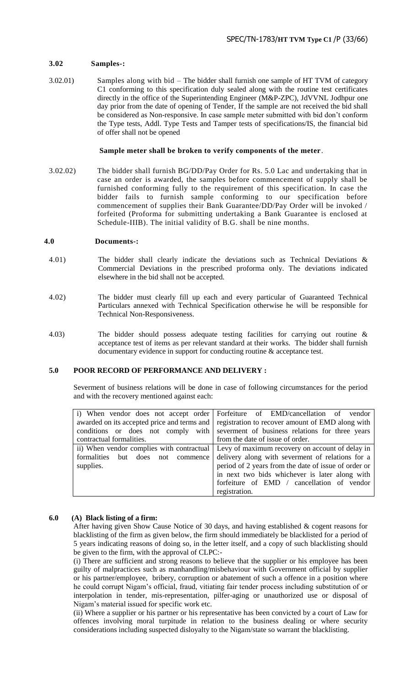# **3.02 Samples-:**

3.02.01) Samples along with bid – The bidder shall furnish one sample of HT TVM of category C1 conforming to this specification duly sealed along with the routine test certificates directly in the office of the Superintending Engineer (M&P-ZPC), JdVVNL Jodhpur one day prior from the date of opening of Tender, If the sample are not received the bid shall be considered as Non-responsive. In case sample meter submitted with bid don"t conform the Type tests, Addl. Type Tests and Tamper tests of specifications/IS, the financial bid of offer shall not be opened

#### **Sample meter shall be broken to verify components of the meter**.

3.02.02) The bidder shall furnish BG/DD/Pay Order for Rs. 5.0 Lac and undertaking that in case an order is awarded, the samples before commencement of supply shall be furnished conforming fully to the requirement of this specification. In case the bidder fails to furnish sample conforming to our specification before commencement of supplies their Bank Guarantee/DD/Pay Order will be invoked / forfeited (Proforma for submitting undertaking a Bank Guarantee is enclosed at Schedule-IIIB). The initial validity of B.G. shall be nine months.

# **4.0 Documents-:**

- 4.01) The bidder shall clearly indicate the deviations such as Technical Deviations & Commercial Deviations in the prescribed proforma only. The deviations indicated elsewhere in the bid shall not be accepted.
- 4.02) The bidder must clearly fill up each and every particular of Guaranteed Technical Particulars annexed with Technical Specification otherwise he will be responsible for Technical Non-Responsiveness.
- 4.03) The bidder should possess adequate testing facilities for carrying out routine & acceptance test of items as per relevant standard at their works. The bidder shall furnish documentary evidence in support for conducting routine & acceptance test.

# **5.0 POOR RECORD OF PERFORMANCE AND DELIVERY :**

Severment of business relations will be done in case of following circumstances for the period and with the recovery mentioned against each:

|                                   | i) When vendor does not accept order Forfeiture of EMD/cancellation of vendor                |
|-----------------------------------|----------------------------------------------------------------------------------------------|
|                                   | awarded on its accepted price and terms and registration to recover amount of EMD along with |
|                                   | conditions or does not comply with severment of business relations for three years           |
| contractual formalities.          | from the date of issue of order.                                                             |
|                                   | ii) When vendor complies with contractual Levy of maximum recovery on account of delay in    |
| formalities but does not commence | delivery along with severment of relations for a                                             |
| supplies.                         | period of 2 years from the date of issue of order or                                         |
|                                   | in next two bids whichever is later along with                                               |
|                                   | forfeiture of EMD / cancellation of vendor                                                   |
|                                   | registration.                                                                                |

# **6.0 (A) Black listing of a firm:**

After having given Show Cause Notice of 30 days, and having established & cogent reasons for blacklisting of the firm as given below, the firm should immediately be blacklisted for a period of 5 years indicating reasons of doing so, in the letter itself, and a copy of such blacklisting should be given to the firm, with the approval of CLPC:-

(i) There are sufficient and strong reasons to believe that the supplier or his employee has been guilty of malpractices such as manhandling/misbehaviour with Government official by supplier or his partner/employee, bribery, corruption or abatement of such a offence in a position where he could corrupt Nigam"s official, fraud, vitiating fair tender process including substitution of or interpolation in tender, mis-representation, pilfer-aging or unauthorized use or disposal of Nigam"s material issued for specific work etc.

(ii) Where a supplier or his partner or his representative has been convicted by a court of Law for offences involving moral turpitude in relation to the business dealing or where security considerations including suspected disloyalty to the Nigam/state so warrant the blacklisting.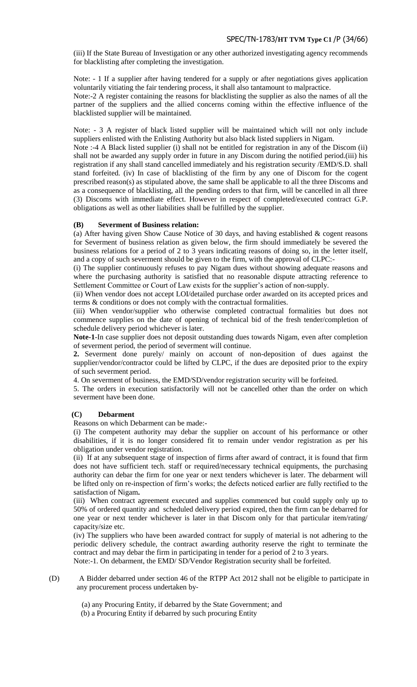(iii) If the State Bureau of Investigation or any other authorized investigating agency recommends for blacklisting after completing the investigation.

Note: - 1 If a supplier after having tendered for a supply or after negotiations gives application voluntarily vitiating the fair tendering process, it shall also tantamount to malpractice.

Note:-2 A register containing the reasons for blacklisting the supplier as also the names of all the partner of the suppliers and the allied concerns coming within the effective influence of the blacklisted supplier will be maintained.

Note: - 3 A register of black listed supplier will be maintained which will not only include suppliers enlisted with the Enlisting Authority but also black listed suppliers in Nigam.

Note :-4 A Black listed supplier (i) shall not be entitled for registration in any of the Discom (ii) shall not be awarded any supply order in future in any Discom during the notified period.(iii) his registration if any shall stand cancelled immediately and his registration security /EMD/S.D. shall stand forfeited. (iv) In case of blacklisting of the firm by any one of Discom for the cogent prescribed reason(s) as stipulated above, the same shall be applicable to all the three Discoms and as a consequence of blacklisting, all the pending orders to that firm, will be cancelled in all three (3) Discoms with immediate effect. However in respect of completed/executed contract G.P. obligations as well as other liabilities shall be fulfilled by the supplier.

# **(B) Severment of Business relation:**

(a) After having given Show Cause Notice of 30 days, and having established  $\&$  cogent reasons for Severment of business relation as given below, the firm should immediately be severed the business relations for a period of 2 to 3 years indicating reasons of doing so, in the letter itself, and a copy of such severment should be given to the firm, with the approval of CLPC:-

(i) The supplier continuously refuses to pay Nigam dues without showing adequate reasons and where the purchasing authority is satisfied that no reasonable dispute attracting reference to Settlement Committee or Court of Law exists for the supplier's action of non-supply.

(ii) When vendor does not accept LOI/detailed purchase order awarded on its accepted prices and terms & conditions or does not comply with the contractual formalities.

(iii) When vendor/supplier who otherwise completed contractual formalities but does not commence supplies on the date of opening of technical bid of the fresh tender/completion of schedule delivery period whichever is later.

**Note-1**-In case supplier does not deposit outstanding dues towards Nigam, even after completion of severment period, the period of severment will continue.

**2.** Severment done purely/ mainly on account of non-deposition of dues against the supplier/vendor/contractor could be lifted by CLPC, if the dues are deposited prior to the expiry of such severment period.

4. On severment of business, the EMD/SD/vendor registration security will be forfeited.

5. The orders in execution satisfactorily will not be cancelled other than the order on which severment have been done.

# **(C) Debarment**

Reasons on which Debarment can be made:-

(i) The competent authority may debar the supplier on account of his performance or other disabilities, if it is no longer considered fit to remain under vendor registration as per his obligation under vendor registration.

(ii) If at any subsequent stage of inspection of firms after award of contract, it is found that firm does not have sufficient tech. staff or required/necessary technical equipments, the purchasing authority can debar the firm for one year or next tenders whichever is later. The debarment will be lifted only on re-inspection of firm"s works; the defects noticed earlier are fully rectified to the satisfaction of Nigam**.** 

(iii) When contract agreement executed and supplies commenced but could supply only up to 50% of ordered quantity and scheduled delivery period expired, then the firm can be debarred for one year or next tender whichever is later in that Discom only for that particular item/rating/ capacity/size etc.

(iv) The suppliers who have been awarded contract for supply of material is not adhering to the periodic delivery schedule, the contract awarding authority reserve the right to terminate the contract and may debar the firm in participating in tender for a period of 2 to 3 years.

Note:-1. On debarment, the EMD/ SD/Vendor Registration security shall be forfeited.

(D) A Bidder debarred under section 46 of the RTPP Act 2012 shall not be eligible to participate in any procurement process undertaken by‐

(a) any Procuring Entity, if debarred by the State Government; and

(b) a Procuring Entity if debarred by such procuring Entity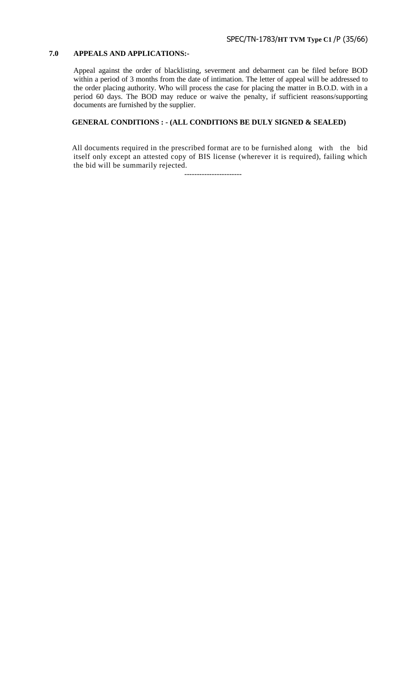# **7.0 APPEALS AND APPLICATIONS:-**

Appeal against the order of blacklisting, severment and debarment can be filed before BOD within a period of 3 months from the date of intimation. The letter of appeal will be addressed to the order placing authority. Who will process the case for placing the matter in B.O.D. with in a period 60 days. The BOD may reduce or waive the penalty, if sufficient reasons/supporting documents are furnished by the supplier.

# **GENERAL CONDITIONS : - (ALL CONDITIONS BE DULY SIGNED & SEALED)**

All documents required in the prescribed format are to be furnished along with the bid itself only except an attested copy of BIS license (wherever it is required), failing which the bid will be summarily rejected.

-----------------------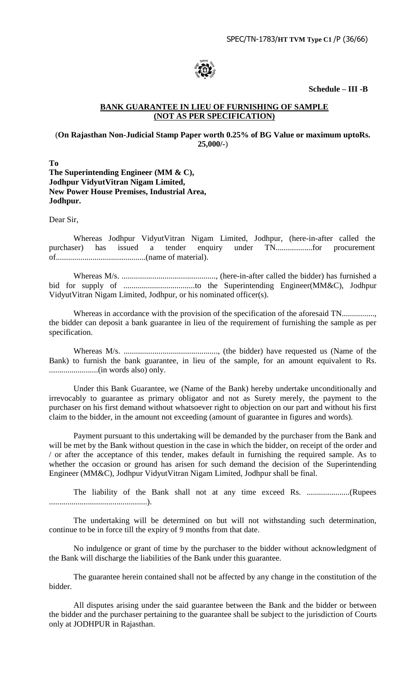

**Schedule – III -B**

# **BANK GUARANTEE IN LIEU OF FURNISHING OF SAMPLE (NOT AS PER SPECIFICATION)**

# (**On Rajasthan Non-Judicial Stamp Paper worth 0.25% of BG Value or maximum uptoRs. 25,000/-**)

**To The Superintending Engineer (MM & C), Jodhpur VidyutVitran Nigam Limited, New Power House Premises, Industrial Area, Jodhpur.** 

Dear Sir,

Whereas Jodhpur VidyutVitran Nigam Limited, Jodhpur, (here-in-after called the purchaser) has issued a tender enquiry under TN..................for procurement of............................................(name of material).

Whereas M/s. .............................................., (here-in-after called the bidder) has furnished a bid for supply of ...................................to the Superintending Engineer(MM&C), Jodhpur VidyutVitran Nigam Limited, Jodhpur, or his nominated officer(s).

Whereas in accordance with the provision of the specification of the aforesaid TN.................. the bidder can deposit a bank guarantee in lieu of the requirement of furnishing the sample as per specification.

Whereas M/s. .............................................., (the bidder) have requested us (Name of the Bank) to furnish the bank guarantee, in lieu of the sample, for an amount equivalent to Rs. ........................(in words also) only.

Under this Bank Guarantee, we (Name of the Bank) hereby undertake unconditionally and irrevocably to guarantee as primary obligator and not as Surety merely, the payment to the purchaser on his first demand without whatsoever right to objection on our part and without his first claim to the bidder, in the amount not exceeding (amount of guarantee in figures and words).

Payment pursuant to this undertaking will be demanded by the purchaser from the Bank and will be met by the Bank without question in the case in which the bidder, on receipt of the order and / or after the acceptance of this tender, makes default in furnishing the required sample. As to whether the occasion or ground has arisen for such demand the decision of the Superintending Engineer (MM&C), Jodhpur VidyutVitran Nigam Limited, Jodhpur shall be final.

The liability of the Bank shall not at any time exceed Rs. .....................(Rupees ................................................).

The undertaking will be determined on but will not withstanding such determination, continue to be in force till the expiry of 9 months from that date.

No indulgence or grant of time by the purchaser to the bidder without acknowledgment of the Bank will discharge the liabilities of the Bank under this guarantee.

The guarantee herein contained shall not be affected by any change in the constitution of the bidder.

All disputes arising under the said guarantee between the Bank and the bidder or between the bidder and the purchaser pertaining to the guarantee shall be subject to the jurisdiction of Courts only at JODHPUR in Rajasthan.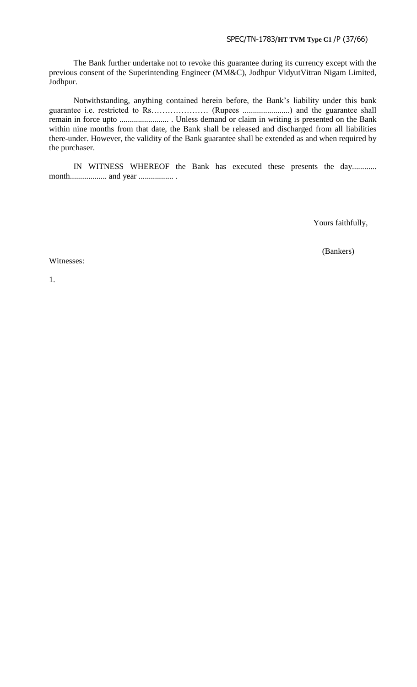# SPEC/TN-1783/**HT TVM Type C1** /P (37/66)

The Bank further undertake not to revoke this guarantee during its currency except with the previous consent of the Superintending Engineer (MM&C), Jodhpur VidyutVitran Nigam Limited, Jodhpur.

Notwithstanding, anything contained herein before, the Bank"s liability under this bank guarantee i.e. restricted to Rs………………… (Rupees .......................) and the guarantee shall remain in force upto ........................ . Unless demand or claim in writing is presented on the Bank within nine months from that date, the Bank shall be released and discharged from all liabilities there-under. However, the validity of the Bank guarantee shall be extended as and when required by the purchaser.

IN WITNESS WHEREOF the Bank has executed these presents the day............ month.................. and year ................. .

Yours faithfully,

(Bankers)

Witnesses:

1.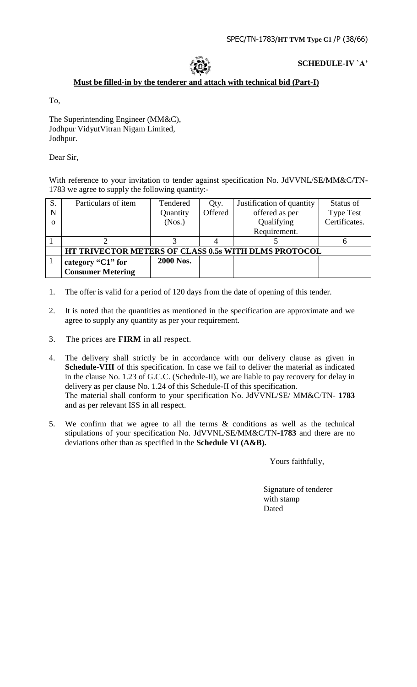# **SCHEDULE-IV `A"**

# **Must be filled-in by the tenderer and attach with technical bid (Part-I)**

To,

The Superintending Engineer (MM&C), Jodhpur VidyutVitran Nigam Limited, Jodhpur.

Dear Sir,

With reference to your invitation to tender against specification No. JdVVNL/SE/MM&C/TN-1783 we agree to supply the following quantity:-

| S.       | Particulars of item                                  | Tendered  | Qty.    | Justification of quantity | Status of        |
|----------|------------------------------------------------------|-----------|---------|---------------------------|------------------|
| N        |                                                      | Quantity  | Offered | offered as per            | <b>Type Test</b> |
| $\Omega$ |                                                      | (Nos.)    |         | Qualifying                | Certificates.    |
|          |                                                      |           |         | Requirement.              |                  |
|          |                                                      |           |         |                           |                  |
|          | HT TRIVECTOR METERS OF CLASS 0.5s WITH DLMS PROTOCOL |           |         |                           |                  |
|          | category "C1" for                                    | 2000 Nos. |         |                           |                  |
|          | <b>Consumer Metering</b>                             |           |         |                           |                  |

- 1. The offer is valid for a period of 120 days from the date of opening of this tender.
- 2. It is noted that the quantities as mentioned in the specification are approximate and we agree to supply any quantity as per your requirement.
- 3. The prices are **FIRM** in all respect.
- 4. The delivery shall strictly be in accordance with our delivery clause as given in Schedule-VIII of this specification. In case we fail to deliver the material as indicated in the clause No. 1.23 of G.C.C. (Schedule-II), we are liable to pay recovery for delay in delivery as per clause No. 1.24 of this Schedule-II of this specification. The material shall conform to your specification No. JdVVNL/SE/ MM&C/TN- **1783** and as per relevant ISS in all respect.
- 5. We confirm that we agree to all the terms & conditions as well as the technical stipulations of your specification No. JdVVNL/SE/MM&C/TN**-1783** and there are no deviations other than as specified in the **Schedule VI (A&B).**

Yours faithfully,

 Signature of tenderer with stamp Dated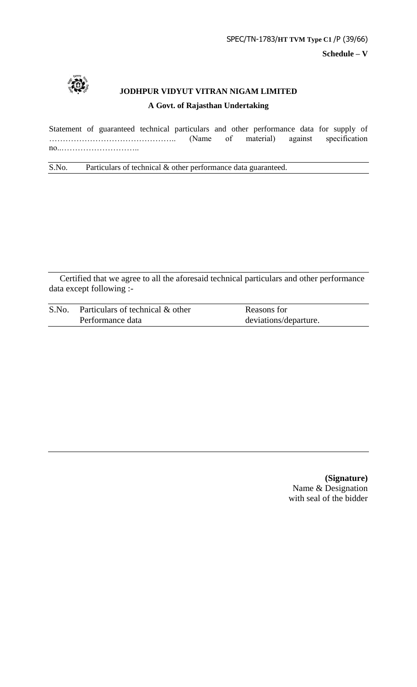

# **JODHPUR VIDYUT VITRAN NIGAM LIMITED A Govt. of Rajasthan Undertaking**

Statement of guaranteed technical particulars and other performance data for supply of ……………………………………….. (Name of material) against specification no..………………………..

S.No. Particulars of technical & other performance data guaranteed.

Certified that we agree to all the aforesaid technical particulars and other performance data except following :-

| S.No. | . Particulars of technical $\&$ other | Reasons for           |
|-------|---------------------------------------|-----------------------|
|       | Performance data                      | deviations/departure. |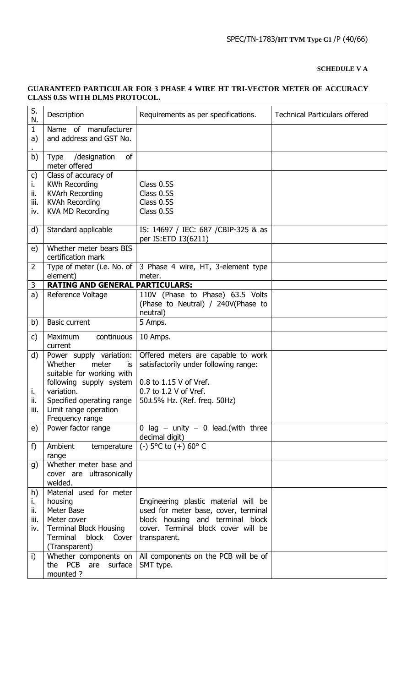# **SCHEDULE V A**

#### S.  $\mathcal{L}$  Description **Requirements as per specifications.** Technical Particulars offered 1 a) . Name of manufacturer and address and GST No. b) Type /designation of meter offered c) i. ii. iii. iv. Class of accuracy of KWh Recording KVArh Recording KVAh Recording KVA MD Recording Class 0.5S Class 0.5S Class 0.5S Class 0.5S d) | Standard applicable  $\overline{I}$  IS: 14697 / IEC: 687 / CBIP-325 & as per IS:ETD 13(6211) e) Whether meter bears BIS certification mark 2 | Type of meter (i.e. No. of element) 3 Phase 4 wire, HT, 3-element type meter. 3 **RATING AND GENERAL PARTICULARS:** a) Reference Voltage 110V (Phase to Phase) 63.5 Volts (Phase to Neutral) / 240V(Phase to neutral) b) | Basic current | 5 Amps. c) Maximum continuous current 10 Amps. d) i. ii. iii. Power supply variation: Whether meter is suitable for working with following supply system variation. Specified operating range Limit range operation Frequency range Offered meters are capable to work satisfactorily under following range: 0.8 to 1.15 V of Vref. 0.7 to 1.2 V of Vref. 50±5% Hz. (Ref. freq. 50Hz) e) | Power factor range  $\begin{vmatrix} 0 & \text{lag} & - & \text{unity} & - & 0 & \text{lead.(with three)} \end{vmatrix}$ decimal digit) f) Ambient temperature range (-) 5°C to (+) 60° C g) Whether meter base and cover are ultrasonically welded. h) i. ii. iii. iv. Material used for meter housing Meter Base Meter cover Terminal Block Housing Terminal block Cover (Transparent) Engineering plastic material will be used for meter base, cover, terminal block housing and terminal block cover. Terminal block cover will be transparent. i) Whether components on the PCB are surface mounted ? All components on the PCB will be of SMT type.

# **GUARANTEED PARTICULAR FOR 3 PHASE 4 WIRE HT TRI-VECTOR METER OF ACCURACY CLASS 0.5S WITH DLMS PROTOCOL.**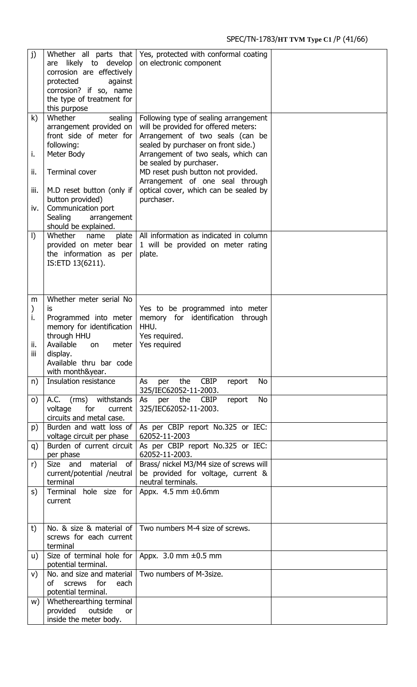| j)                  | Whether all parts that<br>likely to develop<br>are<br>corrosion are effectively<br>protected<br>against<br>corrosion? if so, name<br>the type of treatment for<br>this purpose | Yes, protected with conformal coating<br>on electronic component                                                |  |
|---------------------|--------------------------------------------------------------------------------------------------------------------------------------------------------------------------------|-----------------------------------------------------------------------------------------------------------------|--|
| k)                  | Whether<br>sealing                                                                                                                                                             | Following type of sealing arrangement                                                                           |  |
|                     | arrangement provided on<br>front side of meter for<br>following:                                                                                                               | will be provided for offered meters:<br>Arrangement of two seals (can be<br>sealed by purchaser on front side.) |  |
| i.                  | Meter Body                                                                                                                                                                     | Arrangement of two seals, which can<br>be sealed by purchaser.                                                  |  |
| ii.                 | <b>Terminal cover</b>                                                                                                                                                          | MD reset push button not provided.<br>Arrangement of one seal through                                           |  |
| iii.                | M.D reset button (only if<br>button provided)                                                                                                                                  | optical cover, which can be sealed by<br>purchaser.                                                             |  |
| iv.                 | Communication port<br>Sealing<br>arrangement<br>should be explained.                                                                                                           |                                                                                                                 |  |
| $\vert$             | Whether<br>plate<br>name<br>provided on meter bear<br>the information as per<br>IS:ETD 13(6211).                                                                               | All information as indicated in column<br>1 will be provided on meter rating<br>plate.                          |  |
| m                   | Whether meter serial No                                                                                                                                                        |                                                                                                                 |  |
| $\mathcal{Y}$<br>i. | is<br>Programmed into meter<br>memory for identification<br>through HHU                                                                                                        | Yes to be programmed into meter<br>memory for identification<br>through<br>HHU.<br>Yes required.                |  |
| ii.<br>iii          | Available<br>meter<br><b>on</b><br>display.<br>Available thru bar code<br>with month&year.                                                                                     | Yes required                                                                                                    |  |
| n)                  | Insulation resistance                                                                                                                                                          | CBIP<br>the<br><b>No</b><br>As<br>per<br>report<br>325/IEC62052-11-2003.                                        |  |
| $\circ$ )           | A.C. (rms) withstands<br>voltage<br>for<br>current<br>circuits and metal case.                                                                                                 | <b>No</b><br>the CBIP<br>per<br>report<br>As<br>325/IEC62052-11-2003.                                           |  |
| p)                  | Burden and watt loss of<br>voltage circuit per phase                                                                                                                           | As per CBIP report No.325 or IEC:<br>62052-11-2003                                                              |  |
| q)                  | Burden of current circuit<br>per phase                                                                                                                                         | As per CBIP report No.325 or IEC:<br>62052-11-2003.                                                             |  |
| r)                  | material<br>Size<br>and<br>0f<br>current/potential /neutral<br>terminal                                                                                                        | Brass/ nickel M3/M4 size of screws will<br>be provided for voltage, current &<br>neutral terminals.             |  |
| S)                  | Terminal hole size for<br>current                                                                                                                                              | Appx. $4.5$ mm $\pm 0.6$ mm                                                                                     |  |
| t)                  | No. & size & material of<br>screws for each current<br>terminal                                                                                                                | Two numbers M-4 size of screws.                                                                                 |  |
| u)                  | Size of terminal hole for<br>potential terminal.                                                                                                                               | Appx. $3.0$ mm $\pm 0.5$ mm                                                                                     |  |
| V)                  | No. and size and material<br>οf<br>for<br>screws<br>each<br>potential terminal.                                                                                                | Two numbers of M-3size.                                                                                         |  |
| w)                  | Whetherearthing terminal<br>provided<br>outside<br><b>or</b><br>inside the meter body.                                                                                         |                                                                                                                 |  |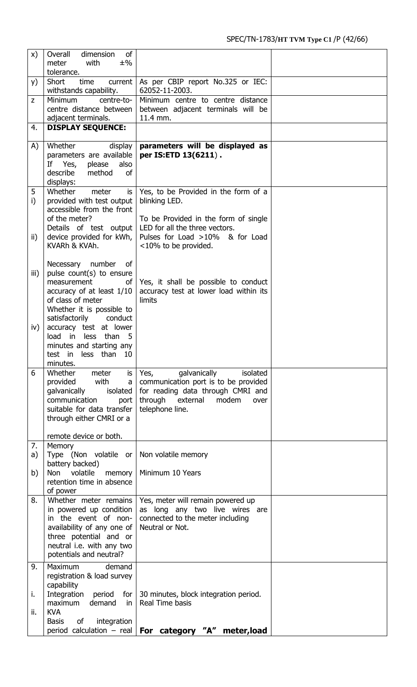| $\mathsf{x})$                       | of<br>Overall<br>dimension                                                                                                                                                                                                                                                                                                                                                                                                                                                                                                                                                                                                            |                                                                                                                                                                                                                                                                                                                                                            |  |
|-------------------------------------|---------------------------------------------------------------------------------------------------------------------------------------------------------------------------------------------------------------------------------------------------------------------------------------------------------------------------------------------------------------------------------------------------------------------------------------------------------------------------------------------------------------------------------------------------------------------------------------------------------------------------------------|------------------------------------------------------------------------------------------------------------------------------------------------------------------------------------------------------------------------------------------------------------------------------------------------------------------------------------------------------------|--|
|                                     | meter<br>with<br>$±\%$<br>tolerance.                                                                                                                                                                                                                                                                                                                                                                                                                                                                                                                                                                                                  |                                                                                                                                                                                                                                                                                                                                                            |  |
| y)                                  | Short<br>time<br>current<br>withstands capability.                                                                                                                                                                                                                                                                                                                                                                                                                                                                                                                                                                                    | As per CBIP report No.325 or IEC:<br>62052-11-2003.                                                                                                                                                                                                                                                                                                        |  |
| Z                                   | <b>Minimum</b><br>centre-to-<br>centre distance between                                                                                                                                                                                                                                                                                                                                                                                                                                                                                                                                                                               | Minimum centre to centre distance<br>between adjacent terminals will be                                                                                                                                                                                                                                                                                    |  |
|                                     | adjacent terminals.                                                                                                                                                                                                                                                                                                                                                                                                                                                                                                                                                                                                                   | 11.4 mm.                                                                                                                                                                                                                                                                                                                                                   |  |
| 4.                                  | <b>DISPLAY SEQUENCE:</b>                                                                                                                                                                                                                                                                                                                                                                                                                                                                                                                                                                                                              |                                                                                                                                                                                                                                                                                                                                                            |  |
| A)                                  | Whether<br>display<br>parameters are available                                                                                                                                                                                                                                                                                                                                                                                                                                                                                                                                                                                        | parameters will be displayed as<br>per IS:ETD 13(6211).                                                                                                                                                                                                                                                                                                    |  |
|                                     | also<br>If Yes,<br>please                                                                                                                                                                                                                                                                                                                                                                                                                                                                                                                                                                                                             |                                                                                                                                                                                                                                                                                                                                                            |  |
|                                     | describe<br>method<br><b>of</b><br>displays:                                                                                                                                                                                                                                                                                                                                                                                                                                                                                                                                                                                          |                                                                                                                                                                                                                                                                                                                                                            |  |
| 5                                   | Whether<br>meter<br>is                                                                                                                                                                                                                                                                                                                                                                                                                                                                                                                                                                                                                | Yes, to be Provided in the form of a                                                                                                                                                                                                                                                                                                                       |  |
| i)                                  | provided with test output                                                                                                                                                                                                                                                                                                                                                                                                                                                                                                                                                                                                             | blinking LED.                                                                                                                                                                                                                                                                                                                                              |  |
|                                     | accessible from the front<br>of the meter?                                                                                                                                                                                                                                                                                                                                                                                                                                                                                                                                                                                            | To be Provided in the form of single                                                                                                                                                                                                                                                                                                                       |  |
|                                     | Details of test output                                                                                                                                                                                                                                                                                                                                                                                                                                                                                                                                                                                                                | LED for all the three vectors.                                                                                                                                                                                                                                                                                                                             |  |
| $\mathsf{ii}$                       | device provided for kWh,<br>KVARh & KVAh.                                                                                                                                                                                                                                                                                                                                                                                                                                                                                                                                                                                             | Pulses for Load >10% & for Load<br><10% to be provided.                                                                                                                                                                                                                                                                                                    |  |
|                                     |                                                                                                                                                                                                                                                                                                                                                                                                                                                                                                                                                                                                                                       |                                                                                                                                                                                                                                                                                                                                                            |  |
|                                     |                                                                                                                                                                                                                                                                                                                                                                                                                                                                                                                                                                                                                                       |                                                                                                                                                                                                                                                                                                                                                            |  |
|                                     | measurement<br>of                                                                                                                                                                                                                                                                                                                                                                                                                                                                                                                                                                                                                     | Yes, it shall be possible to conduct                                                                                                                                                                                                                                                                                                                       |  |
|                                     |                                                                                                                                                                                                                                                                                                                                                                                                                                                                                                                                                                                                                                       |                                                                                                                                                                                                                                                                                                                                                            |  |
|                                     | Whether it is possible to                                                                                                                                                                                                                                                                                                                                                                                                                                                                                                                                                                                                             |                                                                                                                                                                                                                                                                                                                                                            |  |
|                                     | satisfactorily<br>conduct                                                                                                                                                                                                                                                                                                                                                                                                                                                                                                                                                                                                             |                                                                                                                                                                                                                                                                                                                                                            |  |
|                                     | load in<br>than 5<br>less                                                                                                                                                                                                                                                                                                                                                                                                                                                                                                                                                                                                             |                                                                                                                                                                                                                                                                                                                                                            |  |
|                                     | minutes and starting any                                                                                                                                                                                                                                                                                                                                                                                                                                                                                                                                                                                                              |                                                                                                                                                                                                                                                                                                                                                            |  |
|                                     |                                                                                                                                                                                                                                                                                                                                                                                                                                                                                                                                                                                                                                       |                                                                                                                                                                                                                                                                                                                                                            |  |
| 6                                   | Whether<br>meter<br>is                                                                                                                                                                                                                                                                                                                                                                                                                                                                                                                                                                                                                | galvanically<br>Yes,<br>isolated                                                                                                                                                                                                                                                                                                                           |  |
|                                     |                                                                                                                                                                                                                                                                                                                                                                                                                                                                                                                                                                                                                                       |                                                                                                                                                                                                                                                                                                                                                            |  |
|                                     | communication<br>port                                                                                                                                                                                                                                                                                                                                                                                                                                                                                                                                                                                                                 | through external<br>modem<br>over                                                                                                                                                                                                                                                                                                                          |  |
|                                     |                                                                                                                                                                                                                                                                                                                                                                                                                                                                                                                                                                                                                                       |                                                                                                                                                                                                                                                                                                                                                            |  |
|                                     |                                                                                                                                                                                                                                                                                                                                                                                                                                                                                                                                                                                                                                       |                                                                                                                                                                                                                                                                                                                                                            |  |
|                                     |                                                                                                                                                                                                                                                                                                                                                                                                                                                                                                                                                                                                                                       |                                                                                                                                                                                                                                                                                                                                                            |  |
| a)                                  | Type (Non volatile or                                                                                                                                                                                                                                                                                                                                                                                                                                                                                                                                                                                                                 | Non volatile memory                                                                                                                                                                                                                                                                                                                                        |  |
|                                     |                                                                                                                                                                                                                                                                                                                                                                                                                                                                                                                                                                                                                                       |                                                                                                                                                                                                                                                                                                                                                            |  |
|                                     | retention time in absence                                                                                                                                                                                                                                                                                                                                                                                                                                                                                                                                                                                                             |                                                                                                                                                                                                                                                                                                                                                            |  |
|                                     | of power                                                                                                                                                                                                                                                                                                                                                                                                                                                                                                                                                                                                                              |                                                                                                                                                                                                                                                                                                                                                            |  |
|                                     | in powered up condition                                                                                                                                                                                                                                                                                                                                                                                                                                                                                                                                                                                                               | as long any two live wires are                                                                                                                                                                                                                                                                                                                             |  |
|                                     | in the event of non-                                                                                                                                                                                                                                                                                                                                                                                                                                                                                                                                                                                                                  | connected to the meter including                                                                                                                                                                                                                                                                                                                           |  |
|                                     |                                                                                                                                                                                                                                                                                                                                                                                                                                                                                                                                                                                                                                       |                                                                                                                                                                                                                                                                                                                                                            |  |
|                                     | neutral i.e. with any two                                                                                                                                                                                                                                                                                                                                                                                                                                                                                                                                                                                                             |                                                                                                                                                                                                                                                                                                                                                            |  |
|                                     |                                                                                                                                                                                                                                                                                                                                                                                                                                                                                                                                                                                                                                       |                                                                                                                                                                                                                                                                                                                                                            |  |
|                                     |                                                                                                                                                                                                                                                                                                                                                                                                                                                                                                                                                                                                                                       |                                                                                                                                                                                                                                                                                                                                                            |  |
|                                     | capability                                                                                                                                                                                                                                                                                                                                                                                                                                                                                                                                                                                                                            |                                                                                                                                                                                                                                                                                                                                                            |  |
| i.                                  |                                                                                                                                                                                                                                                                                                                                                                                                                                                                                                                                                                                                                                       |                                                                                                                                                                                                                                                                                                                                                            |  |
| ii.                                 | <b>KVA</b>                                                                                                                                                                                                                                                                                                                                                                                                                                                                                                                                                                                                                            |                                                                                                                                                                                                                                                                                                                                                            |  |
|                                     |                                                                                                                                                                                                                                                                                                                                                                                                                                                                                                                                                                                                                                       |                                                                                                                                                                                                                                                                                                                                                            |  |
| iii)<br>iv)<br>7.<br>b)<br>8.<br>9. | Necessary number<br>0f<br>pulse count(s) to ensure<br>accuracy of at least 1/10<br>of class of meter<br>accuracy test at lower<br>test in less than 10<br>minutes.<br>provided<br>with<br>a<br>galvanically<br>isolated<br>suitable for data transfer<br>through either CMRI or a<br>remote device or both.<br>Memory<br>battery backed)<br>volatile<br><b>Non</b><br>memory<br>Whether meter remains<br>availability of any one of<br>three potential and or<br>potentials and neutral?<br><b>Maximum</b><br>demand<br>registration & load survey<br>Integration<br>period<br>maximum<br>demand<br>in.<br>of<br>integration<br>Basis | accuracy test at lower load within its<br>limits<br>communication port is to be provided<br>for reading data through CMRI and<br>telephone line.<br>Minimum 10 Years<br>Yes, meter will remain powered up<br>Neutral or Not.<br>for   30 minutes, block integration period.<br>Real Time basis<br>period calculation - real   For category "A" meter, load |  |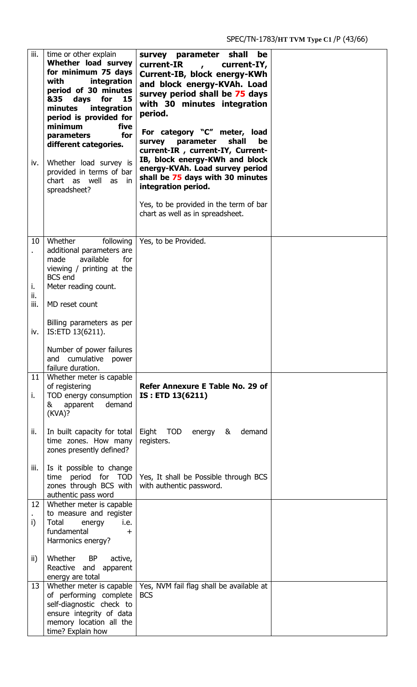| $\overline{\mathsf{iii}}$ .<br>iv. | time or other explain<br>Whether load survey<br>for minimum 75 days<br>with<br>integration<br>period of 30 minutes<br>&35<br>days<br>for<br>15<br>integration<br>minutes<br>period is provided for<br>minimum<br>five<br>for<br>parameters<br>different categories.<br>Whether load survey is<br>provided in terms of bar<br>chart as well<br>as<br>in.<br>spreadsheet? | survey parameter shall<br>be<br>current-IR<br>current-IY,<br>Current-IB, block energy-KWh<br>and block energy-KVAh. Load<br>survey period shall be 75 days<br>with 30 minutes integration<br>period.<br>For category "C" meter, load<br>shall<br>parameter<br>be<br>survey<br>current-IR, current-IY, Current-<br>IB, block energy-KWh and block<br>energy-KVAh. Load survey period<br>shall be 75 days with 30 minutes<br>integration period.<br>Yes, to be provided in the term of bar<br>chart as well as in spreadsheet. |  |
|------------------------------------|-------------------------------------------------------------------------------------------------------------------------------------------------------------------------------------------------------------------------------------------------------------------------------------------------------------------------------------------------------------------------|------------------------------------------------------------------------------------------------------------------------------------------------------------------------------------------------------------------------------------------------------------------------------------------------------------------------------------------------------------------------------------------------------------------------------------------------------------------------------------------------------------------------------|--|
| 10<br>i.                           | Whether<br>following<br>additional parameters are<br>available<br>for<br>made<br>viewing / printing at the<br><b>BCS</b> end<br>Meter reading count.                                                                                                                                                                                                                    | Yes, to be Provided.                                                                                                                                                                                                                                                                                                                                                                                                                                                                                                         |  |
| ii.<br>iii.                        | MD reset count                                                                                                                                                                                                                                                                                                                                                          |                                                                                                                                                                                                                                                                                                                                                                                                                                                                                                                              |  |
| iv.                                | Billing parameters as per<br>IS:ETD 13(6211).                                                                                                                                                                                                                                                                                                                           |                                                                                                                                                                                                                                                                                                                                                                                                                                                                                                                              |  |
|                                    | Number of power failures<br>cumulative<br>and<br>power<br>failure duration.                                                                                                                                                                                                                                                                                             |                                                                                                                                                                                                                                                                                                                                                                                                                                                                                                                              |  |
| 11<br>i.                           | Whether meter is capable<br>of registering<br>TOD energy consumption<br>apparent<br>demand<br>&<br>(KVA)?                                                                                                                                                                                                                                                               | Refer Annexure E Table No. 29 of<br>IS: ETD 13(6211)                                                                                                                                                                                                                                                                                                                                                                                                                                                                         |  |
| ii.                                | In built capacity for total<br>time zones. How many<br>zones presently defined?                                                                                                                                                                                                                                                                                         | Eight<br><b>TOD</b><br>demand<br>energy<br>&<br>registers.                                                                                                                                                                                                                                                                                                                                                                                                                                                                   |  |
| iii.                               | Is it possible to change<br>period for TOD<br>time<br>zones through BCS with<br>authentic pass word                                                                                                                                                                                                                                                                     | Yes, It shall be Possible through BCS<br>with authentic password.                                                                                                                                                                                                                                                                                                                                                                                                                                                            |  |
| 12                                 | Whether meter is capable<br>to measure and register                                                                                                                                                                                                                                                                                                                     |                                                                                                                                                                                                                                                                                                                                                                                                                                                                                                                              |  |
| i)                                 | Total<br>i.e.<br>energy<br>fundamental<br>$\pm$<br>Harmonics energy?                                                                                                                                                                                                                                                                                                    |                                                                                                                                                                                                                                                                                                                                                                                                                                                                                                                              |  |
| ii)                                | Whether<br><b>BP</b><br>active,<br>Reactive and<br>apparent<br>energy are total                                                                                                                                                                                                                                                                                         |                                                                                                                                                                                                                                                                                                                                                                                                                                                                                                                              |  |
| 13                                 | Whether meter is capable<br>of performing complete<br>self-diagnostic check to<br>ensure integrity of data<br>memory location all the<br>time? Explain how                                                                                                                                                                                                              | Yes, NVM fail flag shall be available at<br><b>BCS</b>                                                                                                                                                                                                                                                                                                                                                                                                                                                                       |  |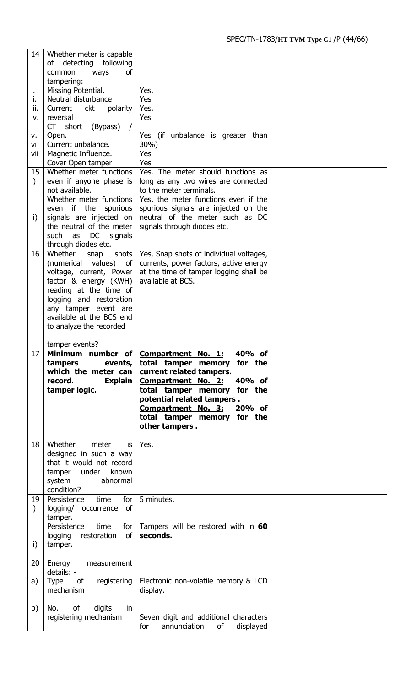| 14   | Whether meter is capable                                |                                                                                 |  |
|------|---------------------------------------------------------|---------------------------------------------------------------------------------|--|
|      | detecting<br>following<br>of<br><b>of</b>               |                                                                                 |  |
|      | common<br>ways<br>tampering:                            |                                                                                 |  |
| i.   | Missing Potential.                                      | Yes.                                                                            |  |
| ii.  | Neutral disturbance                                     | Yes                                                                             |  |
| iii. | Current<br>polarity<br>ckt                              | Yes.                                                                            |  |
| iv.  | reversal                                                | Yes                                                                             |  |
| ٧.   | CT short<br>(Bypass)<br>Open.                           | Yes (if unbalance is greater than                                               |  |
| vi   | Current unbalance.                                      | 30%)                                                                            |  |
| vii  | Magnetic Influence.                                     | Yes                                                                             |  |
|      | Cover Open tamper                                       | Yes                                                                             |  |
| 15   | Whether meter functions                                 | Yes. The meter should functions as                                              |  |
| i)   | even if anyone phase is<br>not available.               | long as any two wires are connected<br>to the meter terminals.                  |  |
|      | Whether meter functions                                 | Yes, the meter functions even if the                                            |  |
|      | even if the spurious                                    | spurious signals are injected on the                                            |  |
| ii)  | signals are injected on                                 | neutral of the meter such as DC                                                 |  |
|      | the neutral of the meter                                | signals through diodes etc.                                                     |  |
|      | DC<br>such<br>as<br>signals                             |                                                                                 |  |
| 16   | through diodes etc.<br>Whether<br>shots<br>snap         | Yes, Snap shots of individual voltages,                                         |  |
|      | (numerical<br>values)<br>οf                             | currents, power factors, active energy                                          |  |
|      | voltage, current, Power                                 | at the time of tamper logging shall be                                          |  |
|      | factor & energy (KWH)                                   | available at BCS.                                                               |  |
|      | reading at the time of<br>logging and restoration       |                                                                                 |  |
|      | any tamper event are                                    |                                                                                 |  |
|      | available at the BCS end                                |                                                                                 |  |
|      | to analyze the recorded                                 |                                                                                 |  |
|      |                                                         |                                                                                 |  |
|      |                                                         |                                                                                 |  |
|      | tamper events?                                          | 40% of                                                                          |  |
| 17   | Minimum number of Compartment No.<br>tampers<br>events, | <u>1:</u><br>total tamper memory for the                                        |  |
|      | which the meter can                                     | current related tampers.                                                        |  |
|      | <b>Explain</b><br>record.                               | 40% of<br><b>Compartment No. 2:</b>                                             |  |
|      | tamper logic.                                           | total tamper memory for the                                                     |  |
|      |                                                         | potential related tampers.<br>20% of<br><b>Compartment No. 3:</b>               |  |
|      |                                                         | total tamper memory for the                                                     |  |
|      |                                                         | other tampers.                                                                  |  |
| 18   | Whether<br>meter<br>is                                  | Yes.                                                                            |  |
|      | designed in such a way                                  |                                                                                 |  |
|      | that it would not record                                |                                                                                 |  |
|      | known<br>tamper under                                   |                                                                                 |  |
|      | system<br>abnormal                                      |                                                                                 |  |
| 19   | condition?<br>time<br>for<br>Persistence                | 5 minutes.                                                                      |  |
| i)   | of<br>logging/ occurrence                               |                                                                                 |  |
|      | tamper.                                                 |                                                                                 |  |
|      | Persistence<br>time<br>for $ $                          | Tampers will be restored with in 60                                             |  |
|      | restoration<br>of<br>logging                            | seconds.                                                                        |  |
| ii)  | tamper.                                                 |                                                                                 |  |
| 20   | Energy<br>measurement                                   |                                                                                 |  |
|      | details: -                                              |                                                                                 |  |
| a)   | Type<br>registering<br>of                               | Electronic non-volatile memory & LCD                                            |  |
|      | mechanism                                               | display.                                                                        |  |
| b)   | of<br>digits<br>No.<br>in                               |                                                                                 |  |
|      | registering mechanism                                   | Seven digit and additional characters<br>for<br>annunciation<br>of<br>displayed |  |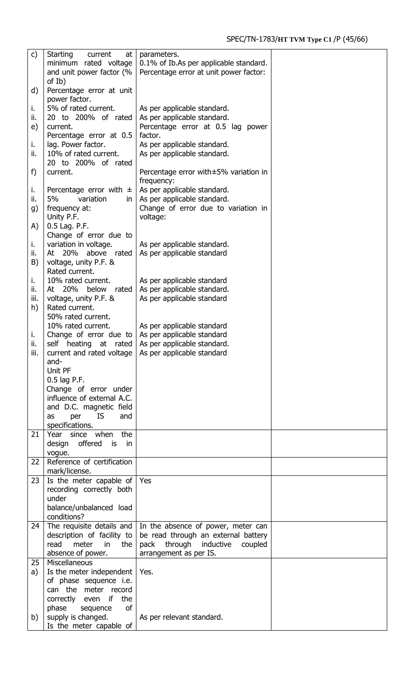| c)        | Starting<br>current<br>at<br>minimum rated voltage<br>and unit power factor (%<br>of Ib) | parameters.<br>0.1% of Ib.As per applicable standard.<br>Percentage error at unit power factor: |  |
|-----------|------------------------------------------------------------------------------------------|-------------------------------------------------------------------------------------------------|--|
| d)        | Percentage error at unit                                                                 |                                                                                                 |  |
| ı.        | power factor.<br>5% of rated current.                                                    | As per applicable standard.                                                                     |  |
| ii.       | 20 to 200% of rated                                                                      | As per applicable standard.                                                                     |  |
| e)        | current.<br>Percentage error at 0.5                                                      | Percentage error at 0.5 lag power<br>factor.                                                    |  |
| i.        | lag. Power factor.                                                                       | As per applicable standard.                                                                     |  |
| ii.       | 10% of rated current.<br>20 to 200% of rated                                             | As per applicable standard.                                                                     |  |
| f)        | current.                                                                                 | Percentage error with±5% variation in<br>frequency:                                             |  |
| ı.        | Percentage error with $\pm$                                                              | As per applicable standard.                                                                     |  |
| ii.       | 5%<br>variation<br>in.                                                                   | As per applicable standard.                                                                     |  |
| g)        | frequency at:<br>Unity P.F.                                                              | Change of error due to variation in<br>voltage:                                                 |  |
| A)        | 0.5 Lag. P.F.<br>Change of error due to                                                  |                                                                                                 |  |
| i.        | variation in voltage.                                                                    | As per applicable standard.                                                                     |  |
| ii.       | At 20% above rated                                                                       | As per applicable standard                                                                      |  |
| B)        | voltage, unity P.F. &<br>Rated current.                                                  |                                                                                                 |  |
| i.<br>ii. | 10% rated current.<br>At 20%<br>below<br>rated                                           | As per applicable standard                                                                      |  |
| iii.      | voltage, unity P.F. &                                                                    | As per applicable standard.<br>As per applicable standard                                       |  |
| h)        | Rated current.                                                                           |                                                                                                 |  |
|           | 50% rated current.<br>10% rated current.                                                 | As per applicable standard                                                                      |  |
| j.        |                                                                                          | Change of error due to $\vert$ As per applicable standard                                       |  |
| ii.       |                                                                                          | self heating at rated   As per applicable standard.                                             |  |
| iii.      | and-                                                                                     | current and rated voltage $\vert$ As per applicable standard                                    |  |
|           | Unit PF                                                                                  |                                                                                                 |  |
|           | 0.5 lag P.F.<br>Change of error under                                                    |                                                                                                 |  |
|           | influence of external A.C.                                                               |                                                                                                 |  |
|           | and D.C. magnetic field                                                                  |                                                                                                 |  |
|           | and<br>per<br>IS.<br>as<br>specifications.                                               |                                                                                                 |  |
| 21        | Year since when<br>the                                                                   |                                                                                                 |  |
|           | design offered<br>is in                                                                  |                                                                                                 |  |
| 22        | vogue.<br>Reference of certification                                                     |                                                                                                 |  |
| 23        | mark/license.<br>Is the meter capable of $\sqrt{ }$ Yes                                  |                                                                                                 |  |
|           | recording correctly both                                                                 |                                                                                                 |  |
|           | under                                                                                    |                                                                                                 |  |
|           | balance/unbalanced load<br>conditions?                                                   |                                                                                                 |  |
| 24        |                                                                                          | The requisite details and $\vert$ In the absence of power, meter can                            |  |
|           | description of facility to                                                               | be read through an external battery                                                             |  |
|           | meter<br>the  <br>read<br>in<br>absence of power.                                        | pack through inductive<br>coupled<br>arrangement as per IS.                                     |  |
| 25        | Miscellaneous                                                                            |                                                                                                 |  |
| a)        | Is the meter independent   Yes.                                                          |                                                                                                 |  |
|           | of phase sequence i.e.<br>can the meter record                                           |                                                                                                 |  |
|           | correctly even<br>if<br>the                                                              |                                                                                                 |  |
|           | phase<br>0f<br>sequence                                                                  |                                                                                                 |  |
| b)        | supply is changed.<br>Is the meter capable of                                            | As per relevant standard.                                                                       |  |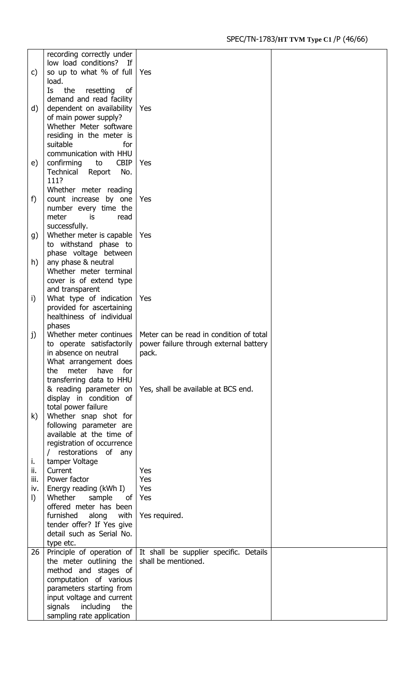|         | recording correctly under       |                                                                          |  |
|---------|---------------------------------|--------------------------------------------------------------------------|--|
|         | low load conditions?<br>If      |                                                                          |  |
| C)      | so up to what % of full         | Yes                                                                      |  |
|         | load.                           |                                                                          |  |
|         |                                 |                                                                          |  |
|         | the<br>Is<br>resetting<br>of    |                                                                          |  |
|         | demand and read facility        |                                                                          |  |
| d)      | dependent on availability       | Yes                                                                      |  |
|         | of main power supply?           |                                                                          |  |
|         | Whether Meter software          |                                                                          |  |
|         | residing in the meter is        |                                                                          |  |
|         | suitable<br>for                 |                                                                          |  |
|         | communication with HHU          |                                                                          |  |
| e)      | <b>CBIP</b><br>confirming<br>to | Yes                                                                      |  |
|         | Technical<br>No.<br>Report      |                                                                          |  |
|         | 111?                            |                                                                          |  |
|         |                                 |                                                                          |  |
|         | Whether meter reading           |                                                                          |  |
| f)      | count increase by one           | Yes                                                                      |  |
|         | number every time the           |                                                                          |  |
|         | meter<br>is<br>read             |                                                                          |  |
|         | successfully.                   |                                                                          |  |
| g)      | Whether meter is capable        | Yes                                                                      |  |
|         | to withstand phase to           |                                                                          |  |
|         | phase voltage between           |                                                                          |  |
| h)      | any phase & neutral             |                                                                          |  |
|         | Whether meter terminal          |                                                                          |  |
|         | cover is of extend type         |                                                                          |  |
|         | and transparent                 |                                                                          |  |
|         |                                 | Yes                                                                      |  |
| i)      | What type of indication         |                                                                          |  |
|         | provided for ascertaining       |                                                                          |  |
|         | healthiness of individual       |                                                                          |  |
|         | phases                          |                                                                          |  |
| j)      | Whether meter continues         | Meter can be read in condition of total                                  |  |
|         | to operate satisfactorily       | power failure through external battery                                   |  |
|         | in absence on neutral           | pack.                                                                    |  |
|         | What arrangement does           |                                                                          |  |
|         | the<br>meter have for           |                                                                          |  |
|         | transferring data to HHU        |                                                                          |  |
|         | & reading parameter on          | Yes, shall be available at BCS end.                                      |  |
|         | display in condition of         |                                                                          |  |
|         | total power failure             |                                                                          |  |
| k)      | Whether snap shot for           |                                                                          |  |
|         |                                 |                                                                          |  |
|         | following parameter are         |                                                                          |  |
|         | available at the time of        |                                                                          |  |
|         | registration of occurrence      |                                                                          |  |
|         | / restorations of any           |                                                                          |  |
| ι.      | tamper Voltage                  |                                                                          |  |
| ii.     | Current                         | Yes                                                                      |  |
| iii.    | Power factor                    | Yes                                                                      |  |
| iv.     | Energy reading (kWh I)          | Yes                                                                      |  |
| $\vert$ | Whether<br>sample<br>of l       | Yes                                                                      |  |
|         | offered meter has been          |                                                                          |  |
|         | furnished<br>along<br>with      | Yes required.                                                            |  |
|         | tender offer? If Yes give       |                                                                          |  |
|         | detail such as Serial No.       |                                                                          |  |
|         | type etc.                       |                                                                          |  |
| 26      |                                 | Principle of operation of $\vert$ It shall be supplier specific. Details |  |
|         | the meter outlining the         | shall be mentioned.                                                      |  |
|         |                                 |                                                                          |  |
|         | method and stages of            |                                                                          |  |
|         | computation of various          |                                                                          |  |
|         | parameters starting from        |                                                                          |  |
|         | input voltage and current       |                                                                          |  |
|         | signals<br>including<br>the     |                                                                          |  |
|         | sampling rate application       |                                                                          |  |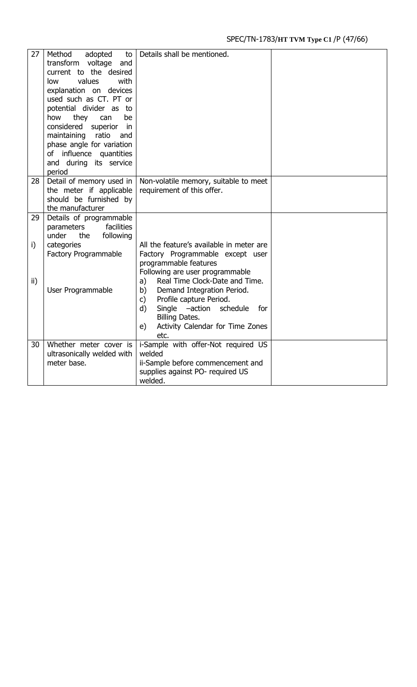| 27  | Method<br>adopted<br>to<br>transform<br>voltage<br>and<br>current to the desired<br>values<br>with<br>low<br>explanation on devices<br>used such as CT. PT or<br>potential divider as<br>to<br>be<br>how<br>they<br>can<br>considered<br>superior<br>in.<br>maintaining<br>ratio<br>and<br>phase angle for variation<br>influence quantities<br>οf<br>and during its service | Details shall be mentioned.                    |  |
|-----|------------------------------------------------------------------------------------------------------------------------------------------------------------------------------------------------------------------------------------------------------------------------------------------------------------------------------------------------------------------------------|------------------------------------------------|--|
| 28  | period<br>Detail of memory used in                                                                                                                                                                                                                                                                                                                                           | Non-volatile memory, suitable to meet          |  |
|     | the meter if applicable                                                                                                                                                                                                                                                                                                                                                      | requirement of this offer.                     |  |
|     | should be furnished by                                                                                                                                                                                                                                                                                                                                                       |                                                |  |
|     | the manufacturer                                                                                                                                                                                                                                                                                                                                                             |                                                |  |
| 29  | Details of programmable                                                                                                                                                                                                                                                                                                                                                      |                                                |  |
|     | facilities<br>parameters<br>under<br>the                                                                                                                                                                                                                                                                                                                                     |                                                |  |
| i)  | following<br>categories                                                                                                                                                                                                                                                                                                                                                      | All the feature's available in meter are       |  |
|     | Factory Programmable                                                                                                                                                                                                                                                                                                                                                         | Factory Programmable except user               |  |
|     |                                                                                                                                                                                                                                                                                                                                                                              | programmable features                          |  |
|     |                                                                                                                                                                                                                                                                                                                                                                              | Following are user programmable                |  |
| ii) |                                                                                                                                                                                                                                                                                                                                                                              | Real Time Clock-Date and Time.<br>a)           |  |
|     | User Programmable                                                                                                                                                                                                                                                                                                                                                            | Demand Integration Period.<br>b)               |  |
|     |                                                                                                                                                                                                                                                                                                                                                                              | Profile capture Period.<br>c)                  |  |
|     |                                                                                                                                                                                                                                                                                                                                                                              | Single -action<br>d)<br>schedule<br>for        |  |
|     |                                                                                                                                                                                                                                                                                                                                                                              | <b>Billing Dates.</b>                          |  |
|     |                                                                                                                                                                                                                                                                                                                                                                              | Activity Calendar for Time Zones<br>e)<br>etc. |  |
| 30  | Whether meter cover is                                                                                                                                                                                                                                                                                                                                                       | i-Sample with offer-Not required US            |  |
|     | ultrasonically welded with                                                                                                                                                                                                                                                                                                                                                   | welded                                         |  |
|     | meter base.                                                                                                                                                                                                                                                                                                                                                                  | ii-Sample before commencement and              |  |
|     |                                                                                                                                                                                                                                                                                                                                                                              | supplies against PO- required US               |  |
|     |                                                                                                                                                                                                                                                                                                                                                                              | welded.                                        |  |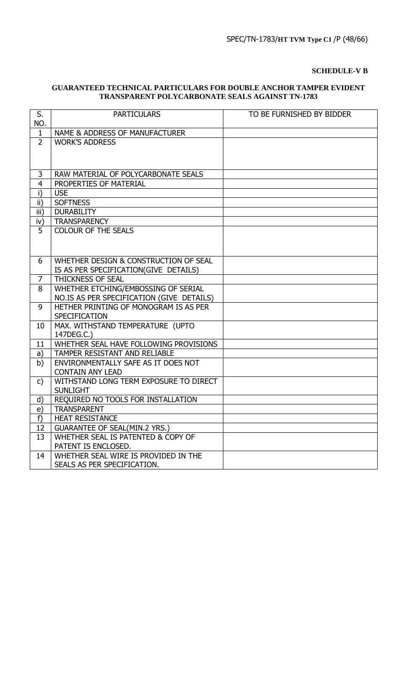# **SCHEDULE-V B**

# **GUARANTEED TECHNICAL PARTICULARS FOR DOUBLE ANCHOR TAMPER EVIDENT TRANSPARENT POLYCARBONATE SEALS AGAINST TN-1783**

| S.<br>NO.      | <b>PARTICULARS</b>                             | TO BE FURNISHED BY BIDDER |
|----------------|------------------------------------------------|---------------------------|
| $\mathbf{1}$   | NAME & ADDRESS OF MANUFACTURER                 |                           |
| $\overline{2}$ | <b>WORK'S ADDRESS</b>                          |                           |
|                |                                                |                           |
|                |                                                |                           |
| 3              | RAW MATERIAL OF POLYCARBONATE SEALS            |                           |
| $\overline{4}$ | PROPERTIES OF MATERIAL                         |                           |
| i)             | <b>USE</b>                                     |                           |
| ii)            | <b>SOFTNESS</b>                                |                           |
| iii)           | <b>DURABILITY</b>                              |                           |
| iv)            | <b>TRANSPARENCY</b>                            |                           |
| 5              | <b>COLOUR OF THE SEALS</b>                     |                           |
|                |                                                |                           |
|                |                                                |                           |
| 6              | WHETHER DESIGN & CONSTRUCTION OF SEAL          |                           |
|                | IS AS PER SPECIFICATION(GIVE DETAILS)          |                           |
| 7              | THICKNESS OF SEAL                              |                           |
| 8              | WHETHER ETCHING/EMBOSSING OF SERIAL            |                           |
|                | NO.IS AS PER SPECIFICATION (GIVE DETAILS)      |                           |
| 9              | HETHER PRINTING OF MONOGRAM IS AS PER          |                           |
|                | SPECIFICATION                                  |                           |
| 10             | MAX. WITHSTAND TEMPERATURE (UPTO<br>147DEG.C.) |                           |
| 11             | WHETHER SEAL HAVE FOLLOWING PROVISIONS         |                           |
| a)             | TAMPER RESISTANT AND RELIABLE                  |                           |
| b)             | ENVIRONMENTALLY SAFE AS IT DOES NOT            |                           |
|                | <b>CONTAIN ANY LEAD</b>                        |                           |
| c)             | WITHSTAND LONG TERM EXPOSURE TO DIRECT         |                           |
|                | <b>SUNLIGHT</b>                                |                           |
| d)             | REQUIRED NO TOOLS FOR INSTALLATION             |                           |
| e)             | <b>TRANSPARENT</b>                             |                           |
| f)             | <b>HEAT RESISTANCE</b>                         |                           |
| 12             | <b>GUARANTEE OF SEAL(MIN.2 YRS.)</b>           |                           |
| 13             | WHETHER SEAL IS PATENTED & COPY OF             |                           |
|                | PATENT IS ENCLOSED.                            |                           |
| 14             | WHETHER SEAL WIRE IS PROVIDED IN THE           |                           |
|                | SEALS AS PER SPECIFICATION.                    |                           |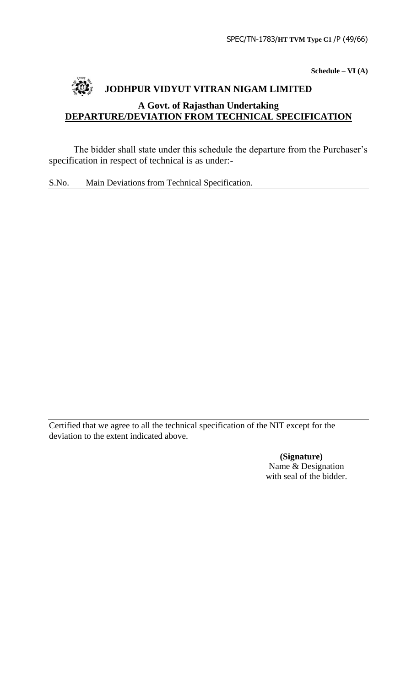**Schedule – VI (A)**

# **JODHPUR VIDYUT VITRAN NIGAM LIMITED A Govt. of Rajasthan Undertaking DEPARTURE/DEVIATION FROM TECHNICAL SPECIFICATION**

The bidder shall state under this schedule the departure from the Purchaser's specification in respect of technical is as under:-

S.No. Main Deviations from Technical Specification.

Certified that we agree to all the technical specification of the NIT except for the deviation to the extent indicated above.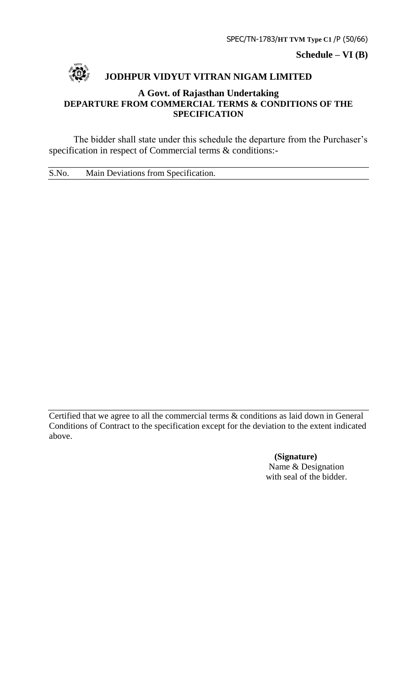SPEC/TN-1783/**HT TVM Type C1** /P (50/66)

**Schedule – VI (B)**



# **JODHPUR VIDYUT VITRAN NIGAM LIMITED**

# **A Govt. of Rajasthan Undertaking DEPARTURE FROM COMMERCIAL TERMS & CONDITIONS OF THE SPECIFICATION**

The bidder shall state under this schedule the departure from the Purchaser's specification in respect of Commercial terms & conditions:-

S.No. Main Deviations from Specification.

Certified that we agree to all the commercial terms & conditions as laid down in General Conditions of Contract to the specification except for the deviation to the extent indicated above.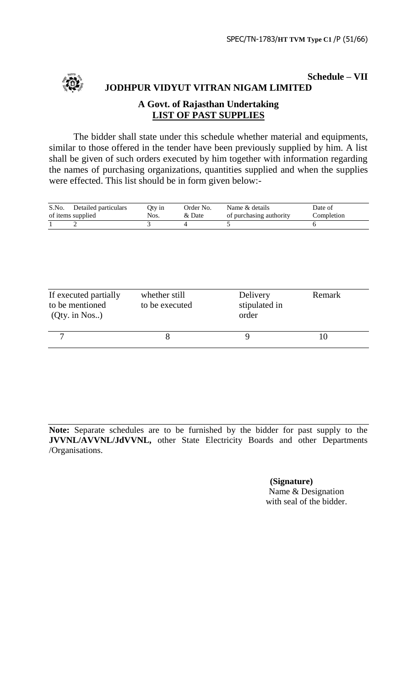

**Schedule – VII JODHPUR VIDYUT VITRAN NIGAM LIMITED**

# **A Govt. of Rajasthan Undertaking LIST OF PAST SUPPLIES**

The bidder shall state under this schedule whether material and equipments, similar to those offered in the tender have been previously supplied by him. A list shall be given of such orders executed by him together with information regarding the names of purchasing organizations, quantities supplied and when the supplies were effected. This list should be in form given below:-

| S.No. | Detailed particulars | Oty in | Order No. | Name & details          | Date of    |
|-------|----------------------|--------|-----------|-------------------------|------------|
|       | of items supplied    | Nos.   | & Date    | of purchasing authority | Completion |
|       |                      |        |           |                         |            |

| If executed partially<br>to be mentioned<br>$(Qty.$ in Nos) | whether still<br>to be executed | Delivery<br>stipulated in<br>order | Remark |
|-------------------------------------------------------------|---------------------------------|------------------------------------|--------|
|                                                             |                                 |                                    |        |

**Note:** Separate schedules are to be furnished by the bidder for past supply to the **JVVNL/AVVNL/JdVVNL,** other State Electricity Boards and other Departments /Organisations.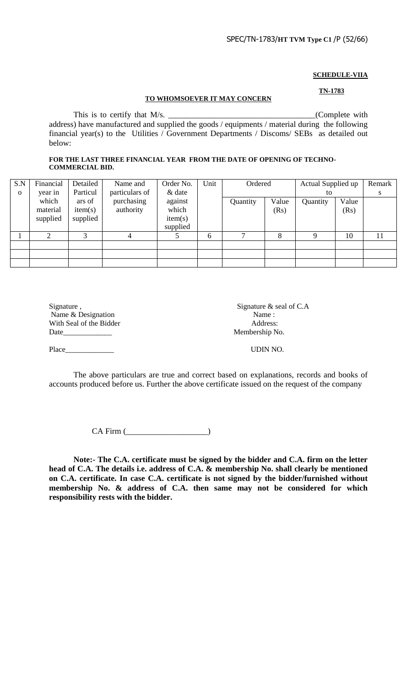# **SCHEDULE-VIIA**

#### **TO WHOMSOEVER IT MAY CONCERN**

**TN-1783**

This is to certify that M/s. \_\_\_\_\_\_\_\_\_\_\_\_\_\_\_\_\_\_\_\_\_\_\_\_\_\_\_\_\_\_\_\_\_\_\_\_(Complete with address) have manufactured and supplied the goods / equipments / material during the following financial year(s) to the Utilities / Government Departments / Discoms/ SEBs as detailed out below:

#### **FOR THE LAST THREE FINANCIAL YEAR FROM THE DATE OF OPENING OF TECHNO-COMMERCIAL BID.**

| S.N         | Financial | Detailed | Name and       | Order No. | Unit | Ordered  |       | Actual Supplied up |       | Remark |
|-------------|-----------|----------|----------------|-----------|------|----------|-------|--------------------|-------|--------|
| $\mathbf 0$ | year in   | Particul | particulars of | & date    |      |          |       | to                 |       | S      |
|             | which     | ars of   | purchasing     | against   |      | Quantity | Value | Quantity           | Value |        |
|             | material  | item(s)  | authority      | which     |      |          | (Rs)  |                    | (Rs)  |        |
|             | supplied  | supplied |                | item(s)   |      |          |       |                    |       |        |
|             |           |          |                | supplied  |      |          |       |                    |       |        |
|             |           | 3        |                |           | 6    | ⇁        | 8     |                    | 10    | 11     |
|             |           |          |                |           |      |          |       |                    |       |        |
|             |           |          |                |           |      |          |       |                    |       |        |
|             |           |          |                |           |      |          |       |                    |       |        |

| Signature,              | Signature $\&$ seal of C.A |
|-------------------------|----------------------------|
| Name & Designation      | Name:                      |
| With Seal of the Bidder | Address:                   |
| Date                    | Membership No.             |
| Place                   | UDIN NO.                   |

The above particulars are true and correct based on explanations, records and books of accounts produced before us. Further the above certificate issued on the request of the company

CA Firm (\_\_\_\_\_\_\_\_\_\_\_\_\_\_\_\_\_\_\_\_)

**Note:- The C.A. certificate must be signed by the bidder and C.A. firm on the letter head of C.A. The details i.e. address of C.A. & membership No. shall clearly be mentioned on C.A. certificate. In case C.A. certificate is not signed by the bidder/furnished without membership No. & address of C.A. then same may not be considered for which responsibility rests with the bidder.**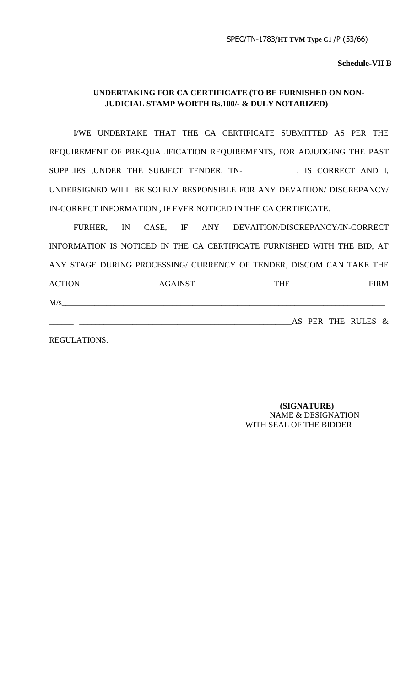**Schedule-VII B**

# **UNDERTAKING FOR CA CERTIFICATE (TO BE FURNISHED ON NON-JUDICIAL STAMP WORTH Rs.100/- & DULY NOTARIZED)**

I/WE UNDERTAKE THAT THE CA CERTIFICATE SUBMITTED AS PER THE REQUIREMENT OF PRE-QUALIFICATION REQUIREMENTS, FOR ADJUDGING THE PAST SUPPLIES ,UNDER THE SUBJECT TENDER, TN-\_**\_\_\_\_\_\_\_\_\_\_\_** , IS CORRECT AND I, UNDERSIGNED WILL BE SOLELY RESPONSIBLE FOR ANY DEVAITION/ DISCREPANCY/ IN-CORRECT INFORMATION , IF EVER NOTICED IN THE CA CERTIFICATE.

FURHER, IN CASE, IF ANY DEVAITION/DISCREPANCY/IN-CORRECT INFORMATION IS NOTICED IN THE CA CERTIFICATE FURNISHED WITH THE BID, AT ANY STAGE DURING PROCESSING/ CURRENCY OF TENDER, DISCOM CAN TAKE THE ACTION AGAINST THE FIRM  $M/s$ 

\_\_\_\_\_\_ \_\_\_\_\_\_\_\_\_\_\_\_\_\_\_\_\_\_\_\_\_\_\_\_\_\_\_\_\_\_\_\_\_\_\_\_\_\_\_\_\_\_\_\_\_\_\_\_\_\_\_\_AS PER THE RULES &

REGULATIONS.

 **(SIGNATURE)** NAME & DESIGNATION WITH SEAL OF THE BIDDER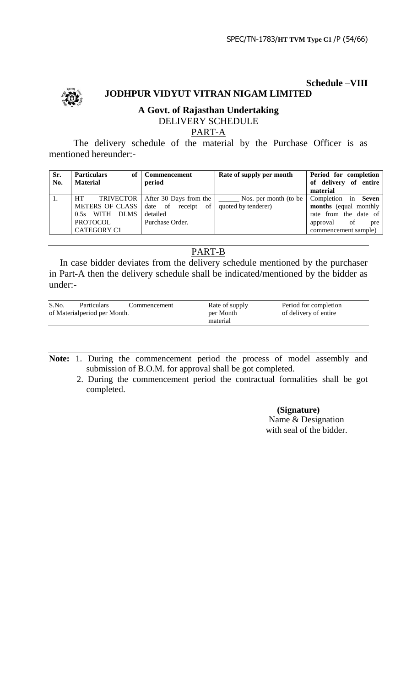

# **Schedule –VIII JODHPUR VIDYUT VITRAN NIGAM LIMITED**

# **A Govt. of Rajasthan Undertaking** DELIVERY SCHEDULE

# PART-A

The delivery schedule of the material by the Purchase Officer is as mentioned hereunder:-

| Sr.<br>No. | <b>Particulars</b><br>of<br><b>Material</b> | <b>Commencement</b><br>period          | Rate of supply per month | Period for completion<br>of delivery of entire |
|------------|---------------------------------------------|----------------------------------------|--------------------------|------------------------------------------------|
|            |                                             |                                        |                          | material                                       |
|            | <b>HT</b>                                   |                                        |                          | Completion in Seven                            |
|            | METERS OF CLASS                             | date of receipt of quoted by tenderer) |                          | months (equal monthly                          |
|            | 0.5s WITH DLMS                              | detailed                               |                          | rate from the date of                          |
|            | PROTOCOL                                    | Purchase Order.                        |                          | of<br>approval<br>pre                          |
|            | <b>CATEGORY C1</b>                          |                                        |                          | commencement sample)                           |

# PART-B

In case bidder deviates from the delivery schedule mentioned by the purchaser in Part-A then the delivery schedule shall be indicated/mentioned by the bidder as under:-

| S.No.                         | <b>Particulars</b> | Commencement | Rate of supply | Period for completion |
|-------------------------------|--------------------|--------------|----------------|-----------------------|
| of Material period per Month. |                    |              | per Month      | of delivery of entire |
|                               |                    |              | material       |                       |

**Note:** 1. During the commencement period the process of model assembly and submission of B.O.M. for approval shall be got completed.

 2. During the commencement period the contractual formalities shall be got completed.

# **(Signature)**

Name & Designation with seal of the bidder.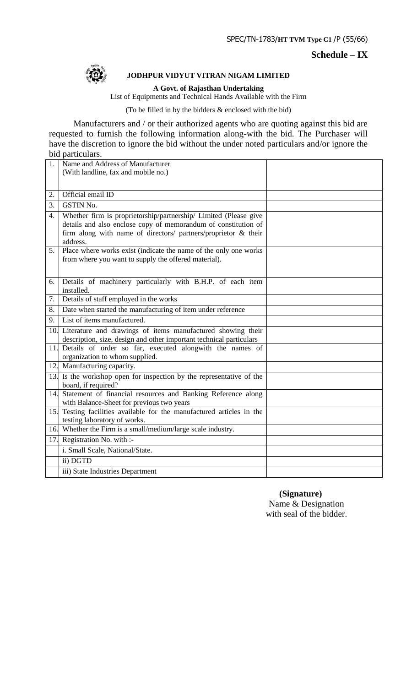# **Schedule – IX**



# **JODHPUR VIDYUT VITRAN NIGAM LIMITED**

**A Govt. of Rajasthan Undertaking**

List of Equipments and Technical Hands Available with the Firm

(To be filled in by the bidders & enclosed with the bid)

Manufacturers and / or their authorized agents who are quoting against this bid are requested to furnish the following information along-with the bid. The Purchaser will have the discretion to ignore the bid without the under noted particulars and/or ignore the bid particulars.

| 1.  | Name and Address of Manufacturer                                                                                                                                                                                 |  |
|-----|------------------------------------------------------------------------------------------------------------------------------------------------------------------------------------------------------------------|--|
|     | (With landline, fax and mobile no.)                                                                                                                                                                              |  |
|     |                                                                                                                                                                                                                  |  |
| 2.  | Official email ID                                                                                                                                                                                                |  |
| 3.  | <b>GSTIN No.</b>                                                                                                                                                                                                 |  |
| 4.  | Whether firm is proprietorship/partnership/ Limited (Please give<br>details and also enclose copy of memorandum of constitution of<br>firm along with name of directors/ partners/proprietor & their<br>address. |  |
| 5.  | Place where works exist (indicate the name of the only one works<br>from where you want to supply the offered material).                                                                                         |  |
| 6.  | Details of machinery particularly with B.H.P. of each item<br>installed.                                                                                                                                         |  |
| 7.  | Details of staff employed in the works                                                                                                                                                                           |  |
| 8.  | Date when started the manufacturing of item under reference                                                                                                                                                      |  |
| 9.  | List of items manufactured.                                                                                                                                                                                      |  |
|     | 10. Literature and drawings of items manufactured showing their                                                                                                                                                  |  |
|     | description, size, design and other important technical particulars                                                                                                                                              |  |
|     | 11. Details of order so far, executed alongwith the names of<br>organization to whom supplied.                                                                                                                   |  |
|     | 12. Manufacturing capacity.                                                                                                                                                                                      |  |
|     | 13. Is the workshop open for inspection by the representative of the<br>board, if required?                                                                                                                      |  |
| 14. | Statement of financial resources and Banking Reference along<br>with Balance-Sheet for previous two years                                                                                                        |  |
| 15. | Testing facilities available for the manufactured articles in the<br>testing laboratory of works.                                                                                                                |  |
|     | 16. Whether the Firm is a small/medium/large scale industry.                                                                                                                                                     |  |
| 17. | Registration No. with :-                                                                                                                                                                                         |  |
|     | i. Small Scale, National/State.                                                                                                                                                                                  |  |
|     | ii) DGTD                                                                                                                                                                                                         |  |
|     | iii) State Industries Department                                                                                                                                                                                 |  |
|     |                                                                                                                                                                                                                  |  |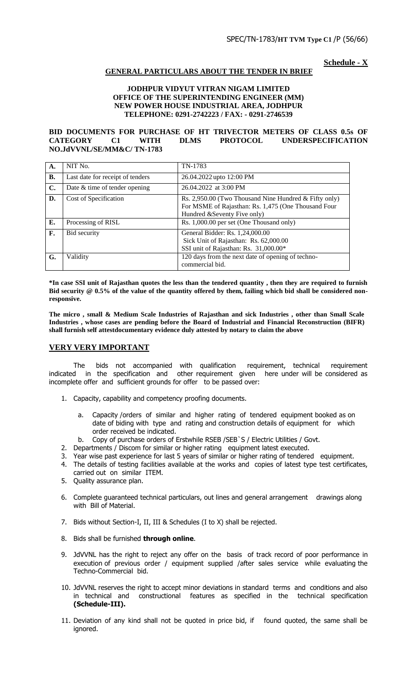**Schedule - X**

# **GENERAL PARTICULARS ABOUT THE TENDER IN BRIEF**

#### **JODHPUR VIDYUT VITRAN NIGAM LIMITED OFFICE OF THE SUPERINTENDING ENGINEER (MM) NEW POWER HOUSE INDUSTRIAL AREA, JODHPUR TELEPHONE: 0291-2742223 / FAX: - 0291-2746539**

#### **BID DOCUMENTS FOR PURCHASE OF HT TRIVECTOR METERS OF CLASS 0.5s OF CATEGORY C1 WITH DLMS PROTOCOL UNDERSPECIFICATION NO.JdVVNL/SE/MM&C/ TN-1783**

| <b>A.</b>      | NIT No.                          | TN-1783                                                                                                                                      |
|----------------|----------------------------------|----------------------------------------------------------------------------------------------------------------------------------------------|
| <b>B.</b>      | Last date for receipt of tenders | 26.04.2022 upto 12:00 PM                                                                                                                     |
| $\mathbf{C}$ . | Date & time of tender opening    | 26.04.2022 at 3:00 PM                                                                                                                        |
| D.             | Cost of Specification            | Rs. 2,950.00 (Two Thousand Nine Hundred & Fifty only)<br>For MSME of Rajasthan: Rs. 1,475 (One Thousand Four<br>Hundred & Seventy Five only) |
| Е.             | Processing of RISL               | Rs. 1,000.00 per set (One Thousand only)                                                                                                     |
| F.             | Bid security                     | General Bidder: Rs. 1,24,000.00<br>Sick Unit of Rajasthan: Rs. 62,000.00<br>SSI unit of Rajasthan: Rs. 31,000.00*                            |
| G.             | Validity                         | 120 days from the next date of opening of techno-<br>commercial bid.                                                                         |

**\*In case SSI unit of Rajasthan quotes the less than the tendered quantity , then they are required to furnish Bid security @ 0.5% of the value of the quantity offered by them, failing which bid shall be considered nonresponsive.**

**The micro , small & Medium Scale Industries of Rajasthan and sick Industries , other than Small Scale Industries , whose cases are pending before the Board of Industrial and Financial Reconstruction (BIFR) shall furnish self attestdocumentary evidence duly attested by notary to claim the above**

#### **VERY VERY IMPORTANT**

The bids not accompanied with qualification requirement, technical requirement indicated in the specification and other requirement given here under will be considered as incomplete offer and sufficient grounds for offer to be passed over:

- 1. Capacity, capability and competency proofing documents.
	- a. Capacity /orders of similar and higher rating of tendered equipment booked as on date of biding with type and rating and construction details of equipment for which order received be indicated.
	- b. Copy of purchase orders of Erstwhile RSEB /SEB`S / Electric Utilities / Govt.
- 2. Departments / Discom for similar or higher rating equipment latest executed.
- 3. Year wise past experience for last 5 years of similar or higher rating of tendered equipment.
- 4. The details of testing facilities available at the works and copies of latest type test certificates, carried out on similar ITEM.
- 5. Quality assurance plan.
- 6. Complete guaranteed technical particulars, out lines and general arrangement drawings along with Bill of Material.
- 7. Bids without Section-I, II, III & Schedules (I to X) shall be rejected.
- 8. Bids shall be furnished **through online**.
- 9. JdVVNL has the right to reject any offer on the basis of track record of poor performance in execution of previous order / equipment supplied /after sales service while evaluating the Techno-Commercial bid.
- 10. JdVVNL reserves the right to accept minor deviations in standard terms and conditions and also in technical and constructional features as specified in the technical specification **(Schedule-III).**
- 11. Deviation of any kind shall not be quoted in price bid, if found quoted, the same shall be ignored.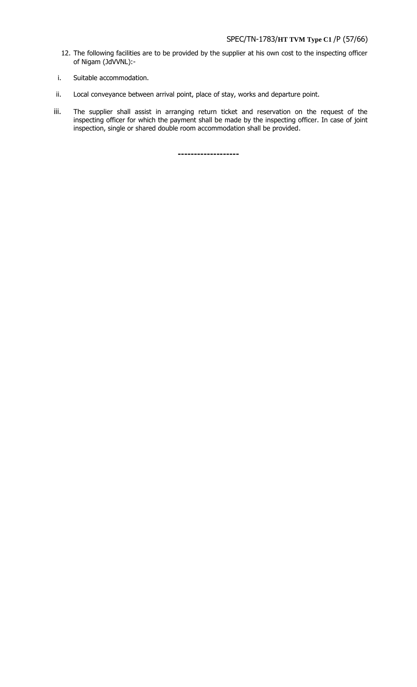- 12. The following facilities are to be provided by the supplier at his own cost to the inspecting officer of Nigam (JdVVNL):-
- i. Suitable accommodation.
- ii. Local conveyance between arrival point, place of stay, works and departure point.
- iii. The supplier shall assist in arranging return ticket and reservation on the request of the inspecting officer for which the payment shall be made by the inspecting officer. In case of joint inspection, single or shared double room accommodation shall be provided.

**-------------------**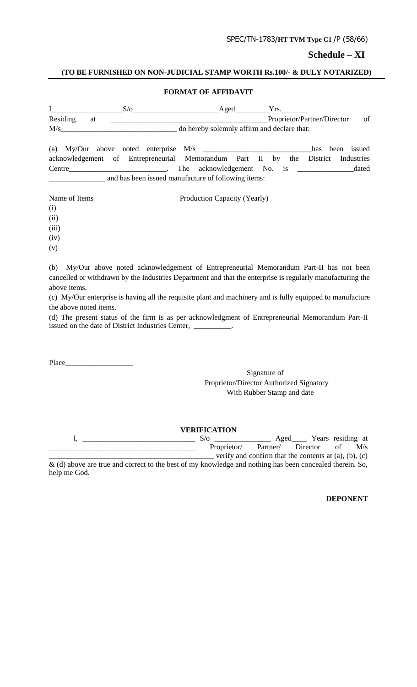# SPEC/TN-1783/**HT TVM Type C1** /P (58/66)

# **Schedule – XI**

# **(TO BE FURNISHED ON NON-JUDICIAL STAMP WORTH Rs.100/- & DULY NOTARIZED)**

# **FORMAT OF AFFIDAVIT**

|          |    | $S/\sigma$ Aged                                              |                                            |  | Yrs. |                             |                |
|----------|----|--------------------------------------------------------------|--------------------------------------------|--|------|-----------------------------|----------------|
| Residing | at |                                                              |                                            |  |      | Proprietor/Partner/Director | <sub>of</sub>  |
|          |    | M/s                                                          | o hereby solemnly affirm and declare that: |  |      |                             |                |
|          |    | (a) My/Our above noted enterprise $M/s$                      |                                            |  |      | has                         | issued<br>been |
|          |    | acknowledgement of Entrepreneurial Memorandum Part II by the |                                            |  |      | District                    | Industries     |
|          |    |                                                              |                                            |  |      |                             | dated          |
|          |    | and has been issued manufacture of following items:          |                                            |  |      |                             |                |

Name of Items Production Capacity (Yearly)

(i)

(ii)

(iii)

(iv)

(v)

(b) My/Our above noted acknowledgement of Entrepreneurial Memorandum Part-II has not been cancelled or withdrawn by the Industries Department and that the enterprise is regularly manufacturing the above items.

(c) My/Our enterprise is having all the requisite plant and machinery and is fully equipped to manufacture the above noted items.

(d) The present status of the firm is as per acknowledgment of Entrepreneurial Memorandum Part-II issued on the date of District Industries Center, \_\_\_\_\_\_\_\_\_\_\_\_\_\_\_\_\_\_\_\_\_\_\_\_\_\_\_\_\_\_\_

Place

Signature of Proprietor/Director Authorized Signatory With Rubber Stamp and date

**VERIFICATION**

I, \_\_\_\_\_\_\_\_\_\_\_\_\_\_\_\_\_\_\_\_\_\_\_\_\_\_\_\_\_\_ S/o \_\_\_\_\_\_\_\_\_\_\_\_\_\_\_ Aged\_\_\_\_ Years residing at Proprietor/ Partner/ Director of M/s  $\gamma$  verify and confirm that the contents at (a), (b), (c)

& (d) above are true and correct to the best of my knowledge and nothing has been concealed therein. So, help me God.

**DEPONENT**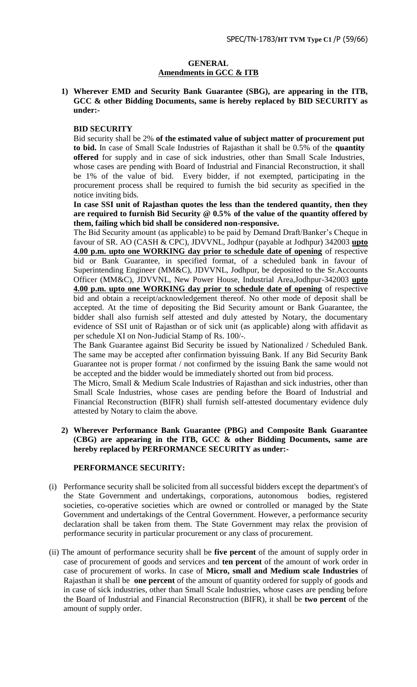# **GENERAL Amendments in GCC & ITB**

**1) Wherever EMD and Security Bank Guarantee (SBG), are appearing in the ITB, GCC & other Bidding Documents, same is hereby replaced by BID SECURITY as under:-**

# **BID SECURITY**

Bid security shall be 2% **of the estimated value of subject matter of procurement put to bid.** In case of Small Scale Industries of Rajasthan it shall be 0.5% of the **quantity offered** for supply and in case of sick industries, other than Small Scale Industries, whose cases are pending with Board of Industrial and Financial Reconstruction, it shall be 1% of the value of bid. Every bidder, if not exempted, participating in the procurement process shall be required to furnish the bid security as specified in the notice inviting bids.

**In case SSI unit of Rajasthan quotes the less than the tendered quantity, then they are required to furnish Bid Security @ 0.5% of the value of the quantity offered by them, failing which bid shall be considered non-responsive.** 

The Bid Security amount (as applicable) to be paid by Demand Draft/Banker"s Cheque in favour of SR. AO (CASH & CPC), JDVVNL, Jodhpur (payable at Jodhpur) 342003 **upto 4.00 p.m. upto one WORKING day prior to schedule date of opening** of respective bid or Bank Guarantee, in specified format, of a scheduled bank in favour of Superintending Engineer (MM&C), JDVVNL, Jodhpur, be deposited to the Sr.Accounts Officer (MM&C), JDVVNL, New Power House, Industrial Area,Jodhpur-342003 **upto 4.00 p.m. upto one WORKING day prior to schedule date of opening** of respective bid and obtain a receipt/acknowledgement thereof. No other mode of deposit shall be accepted. At the time of depositing the Bid Security amount or Bank Guarantee, the bidder shall also furnish self attested and duly attested by Notary, the documentary evidence of SSI unit of Rajasthan or of sick unit (as applicable) along with affidavit as per schedule XI on Non-Judicial Stamp of Rs. 100/-.

The Bank Guarantee against Bid Security be issued by Nationalized / Scheduled Bank. The same may be accepted after confirmation byissuing Bank. If any Bid Security Bank Guarantee not is proper format / not confirmed by the issuing Bank the same would not be accepted and the bidder would be immediately shorted out from bid process.

The Micro, Small & Medium Scale Industries of Rajasthan and sick industries, other than Small Scale Industries, whose cases are pending before the Board of Industrial and Financial Reconstruction (BIFR) shall furnish self-attested documentary evidence duly attested by Notary to claim the above.

# **2) Wherever Performance Bank Guarantee (PBG) and Composite Bank Guarantee (CBG) are appearing in the ITB, GCC & other Bidding Documents, same are hereby replaced by PERFORMANCE SECURITY as under:-**

# **PERFORMANCE SECURITY:**

- (i) Performance security shall be solicited from all successful bidders except the department's of the State Government and undertakings, corporations, autonomous bodies, registered societies, co-operative societies which are owned or controlled or managed by the State Government and undertakings of the Central Government. However, a performance security declaration shall be taken from them. The State Government may relax the provision of performance security in particular procurement or any class of procurement.
- (ii) The amount of performance security shall be **five percent** of the amount of supply order in case of procurement of goods and services and **ten percent** of the amount of work order in case of procurement of works. In case of **Micro, small and Medium scale Industries** of Rajasthan it shall be **one percent** of the amount of quantity ordered for supply of goods and in case of sick industries, other than Small Scale Industries, whose cases are pending before the Board of Industrial and Financial Reconstruction (BIFR), it shall be **two percent** of the amount of supply order.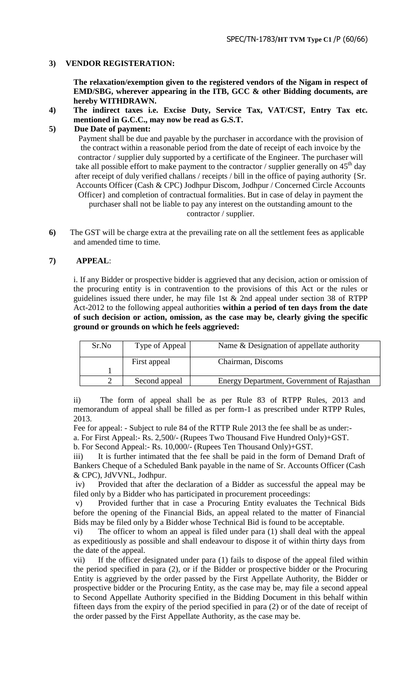# **3) VENDOR REGISTERATION:**

**The relaxation/exemption given to the registered vendors of the Nigam in respect of EMD/SBG, wherever appearing in the ITB, GCC & other Bidding documents, are hereby WITHDRAWN.**

**4) The indirect taxes i.e. Excise Duty, Service Tax, VAT/CST, Entry Tax etc. mentioned in G.C.C., may now be read as G.S.T.**

# **5) Due Date of payment:**

Payment shall be due and payable by the purchaser in accordance with the provision of the contract within a reasonable period from the date of receipt of each invoice by the contractor / supplier duly supported by a certificate of the Engineer. The purchaser will take all possible effort to make payment to the contractor / supplier generally on  $45<sup>th</sup>$  day after receipt of duly verified challans / receipts / bill in the office of paying authority {Sr. Accounts Officer (Cash & CPC) Jodhpur Discom, Jodhpur / Concerned Circle Accounts Officer} and completion of contractual formalities. But in case of delay in payment the purchaser shall not be liable to pay any interest on the outstanding amount to the contractor / supplier.

**6)** The GST will be charge extra at the prevailing rate on all the settlement fees as applicable and amended time to time.

# **7) APPEAL**:

i. If any Bidder or prospective bidder is aggrieved that any decision, action or omission of the procuring entity is in contravention to the provisions of this Act or the rules or guidelines issued there under, he may file 1st  $&$  2nd appeal under section 38 of RTPP Act-2012 to the following appeal authorities **within a period of ten days from the date of such decision or action, omission, as the case may be, clearly giving the specific ground or grounds on which he feels aggrieved:** 

| Sr.No | Type of Appeal | Name & Designation of appellate authority  |
|-------|----------------|--------------------------------------------|
|       | First appeal   | Chairman, Discoms                          |
|       |                |                                            |
|       | Second appeal  | Energy Department, Government of Rajasthan |

ii) The form of appeal shall be as per Rule 83 of RTPP Rules, 2013 and memorandum of appeal shall be filled as per form-1 as prescribed under RTPP Rules, 2013.

Fee for appeal: - Subject to rule 84 of the RTTP Rule 2013 the fee shall be as under: a. For First Appeal:- Rs. 2,500/- (Rupees Two Thousand Five Hundred Only)+GST.

b. For Second Appeal:- Rs. 10,000/- (Rupees Ten Thousand Only)+GST.

iii) It is further intimated that the fee shall be paid in the form of Demand Draft of Bankers Cheque of a Scheduled Bank payable in the name of Sr. Accounts Officer (Cash & CPC), JdVVNL, Jodhpur.

iv) Provided that after the declaration of a Bidder as successful the appeal may be filed only by a Bidder who has participated in procurement proceedings:

Provided further that in case a Procuring Entity evaluates the Technical Bids before the opening of the Financial Bids, an appeal related to the matter of Financial Bids may be filed only by a Bidder whose Technical Bid is found to be acceptable.

vi) The officer to whom an appeal is filed under para (1) shall deal with the appeal as expeditiously as possible and shall endeavour to dispose it of within thirty days from the date of the appeal.

vii) If the officer designated under para (1) fails to dispose of the appeal filed within the period specified in para (2), or if the Bidder or prospective bidder or the Procuring Entity is aggrieved by the order passed by the First Appellate Authority, the Bidder or prospective bidder or the Procuring Entity, as the case may be, may file a second appeal to Second Appellate Authority specified in the Bidding Document in this behalf within fifteen days from the expiry of the period specified in para (2) or of the date of receipt of the order passed by the First Appellate Authority, as the case may be.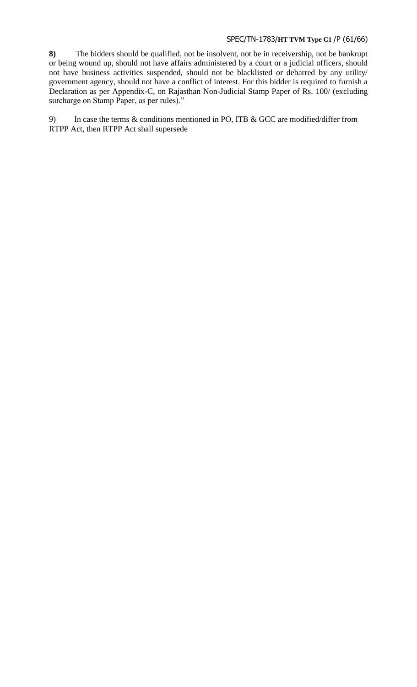# SPEC/TN-1783/**HT TVM Type C1** /P (61/66)

**8)** The bidders should be qualified, not be insolvent, not be in receivership, not be bankrupt or being wound up, should not have affairs administered by a court or a judicial officers, should not have business activities suspended, should not be blacklisted or debarred by any utility/ government agency, should not have a conflict of interest. For this bidder is required to furnish a Declaration as per Appendix-C, on Rajasthan Non-Judicial Stamp Paper of Rs. 100/ (excluding surcharge on Stamp Paper, as per rules)."

9) In case the terms & conditions mentioned in PO, ITB & GCC are modified/differ from RTPP Act, then RTPP Act shall supersede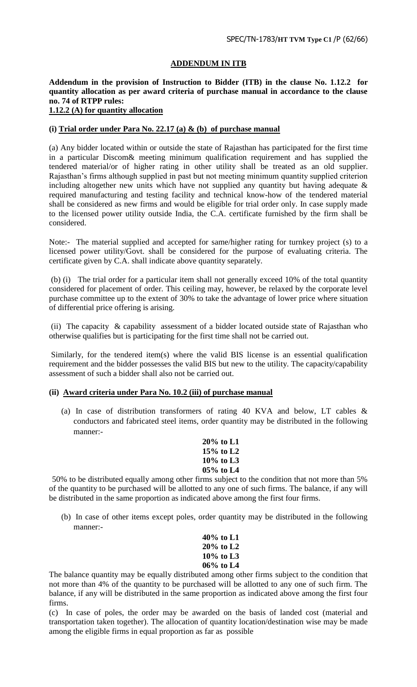# **ADDENDUM IN ITB**

**Addendum in the provision of Instruction to Bidder (ITB) in the clause No. 1.12.2 for quantity allocation as per award criteria of purchase manual in accordance to the clause no. 74 of RTPP rules:**

# **1.12.2 (A) for quantity allocation**

# **(i) Trial order under Para No. 22.17 (a) & (b) of purchase manual**

(a) Any bidder located within or outside the state of Rajasthan has participated for the first time in a particular Discom& meeting minimum qualification requirement and has supplied the tendered material/or of higher rating in other utility shall be treated as an old supplier. Rajasthan"s firms although supplied in past but not meeting minimum quantity supplied criterion including altogether new units which have not supplied any quantity but having adequate  $\&$ required manufacturing and testing facility and technical know-how of the tendered material shall be considered as new firms and would be eligible for trial order only. In case supply made to the licensed power utility outside India, the C.A. certificate furnished by the firm shall be considered.

Note:- The material supplied and accepted for same/higher rating for turnkey project (s) to a licensed power utility/Govt. shall be considered for the purpose of evaluating criteria. The certificate given by C.A. shall indicate above quantity separately.

(b) (i) The trial order for a particular item shall not generally exceed 10% of the total quantity considered for placement of order. This ceiling may, however, be relaxed by the corporate level purchase committee up to the extent of 30% to take the advantage of lower price where situation of differential price offering is arising.

(ii) The capacity & capability assessment of a bidder located outside state of Rajasthan who otherwise qualifies but is participating for the first time shall not be carried out.

Similarly, for the tendered item(s) where the valid BIS license is an essential qualification requirement and the bidder possesses the valid BIS but new to the utility. The capacity/capability assessment of such a bidder shall also not be carried out.

# **(ii) Award criteria under Para No. 10.2 (iii) of purchase manual**

(a) In case of distribution transformers of rating 40 KVA and below, LT cables & conductors and fabricated steel items, order quantity may be distributed in the following manner:-

# **20% to L1 15% to L2 10% to L3 05% to L4**

50% to be distributed equally among other firms subject to the condition that not more than 5% of the quantity to be purchased will be allotted to any one of such firms. The balance, if any will be distributed in the same proportion as indicated above among the first four firms.

(b) In case of other items except poles, order quantity may be distributed in the following manner:-

| 40% to L1    |
|--------------|
| $20\%$ to L2 |
| 10% to L3    |
| 06% to L4    |

The balance quantity may be equally distributed among other firms subject to the condition that not more than 4% of the quantity to be purchased will be allotted to any one of such firm. The balance, if any will be distributed in the same proportion as indicated above among the first four firms.

(c) In case of poles, the order may be awarded on the basis of landed cost (material and transportation taken together). The allocation of quantity location/destination wise may be made among the eligible firms in equal proportion as far as possible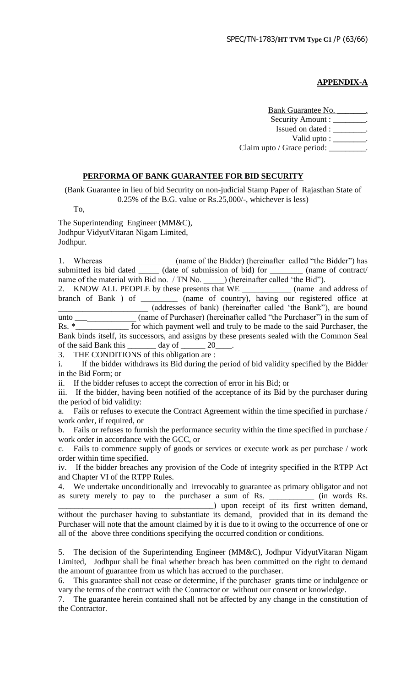# **APPENDIX-A**

Bank Guarantee No. Security Amount : \_\_\_\_\_\_\_\_. Issued on dated : \_\_\_\_\_\_\_\_. Valid upto :  $\frac{\ }{\ }$ . Claim upto / Grace period: \_\_\_\_\_\_\_\_\_.

# **PERFORMA OF BANK GUARANTEE FOR BID SECURITY**

(Bank Guarantee in lieu of bid Security on non-judicial Stamp Paper of Rajasthan State of 0.25% of the B.G. value or Rs.25,000/-, whichever is less)

To,

The Superintending Engineer (MM&C), Jodhpur VidyutVitaran Nigam Limited, Jodhpur.

1. Whereas (name of the Bidder) (hereinafter called "the Bidder") has submitted its bid dated \_\_\_\_\_\_ (date of submission of bid) for \_\_\_\_\_\_\_\_ (name of contract/ name of the material with Bid no. / TN No. \_\_\_\_\_\_) (hereinafter called 'the Bid'').

2. KNOW ALL PEOPLE by these presents that WE \_\_\_\_\_\_\_\_\_\_\_\_\_\_\_\_ (name and address of branch of Bank ) of \_\_\_\_\_\_\_\_\_\_\_\_\_\_\_ (name of country), having our registered office at  $\quad \quad \text{name of country), having our registered office at}$ \_\_\_\_\_\_\_\_\_\_\_\_\_\_\_\_\_\_\_\_\_\_ (addresses of bank) (hereinafter called "the Bank"), are bound unto \_\_\_\_\_\_\_\_\_\_\_\_\_\_\_ (name of Purchaser) (hereinafter called "the Purchaser") in the sum of Rs. \*\_\_\_\_\_\_\_\_\_\_\_\_\_\_ for which payment well and truly to be made to the said Purchaser, the Bank binds itself, its successors, and assigns by these presents sealed with the Common Seal

of the said Bank this  $\_\_\_\_$  day of  $\_\_\_\_$  20

3. THE CONDITIONS of this obligation are :

i. If the bidder withdraws its Bid during the period of bid validity specified by the Bidder in the Bid Form; or

ii. If the bidder refuses to accept the correction of error in his Bid; or

iii. If the bidder, having been notified of the acceptance of its Bid by the purchaser during the period of bid validity:

a. Fails or refuses to execute the Contract Agreement within the time specified in purchase / work order, if required, or

b. Fails or refuses to furnish the performance security within the time specified in purchase / work order in accordance with the GCC, or

c. Fails to commence supply of goods or services or execute work as per purchase / work order within time specified.

iv. If the bidder breaches any provision of the Code of integrity specified in the RTPP Act and Chapter VI of the RTPP Rules.

4. We undertake unconditionally and irrevocably to guarantee as primary obligator and not as surety merely to pay to the purchaser a sum of Rs. \_\_\_\_\_\_\_\_\_\_\_ (in words Rs. \_\_\_\_\_\_\_\_\_\_\_\_\_\_\_\_\_\_\_\_\_\_\_\_\_\_\_\_\_\_\_\_\_\_\_\_\_\_) upon receipt of its first written demand,

without the purchaser having to substantiate its demand, provided that in its demand the Purchaser will note that the amount claimed by it is due to it owing to the occurrence of one or all of the above three conditions specifying the occurred condition or conditions.

5. The decision of the Superintending Engineer (MM&C), Jodhpur VidyutVitaran Nigam Limited, Jodhpur shall be final whether breach has been committed on the right to demand the amount of guarantee from us which has accrued to the purchaser.

6. This guarantee shall not cease or determine, if the purchaser grants time or indulgence or vary the terms of the contract with the Contractor or without our consent or knowledge.

7. The guarantee herein contained shall not be affected by any change in the constitution of the Contractor.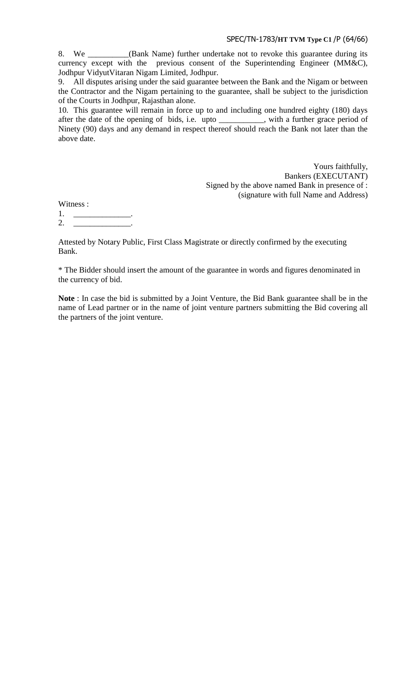8. We \_\_\_\_\_\_\_\_\_\_(Bank Name) further undertake not to revoke this guarantee during its currency except with the previous consent of the Superintending Engineer (MM&C), Jodhpur VidyutVitaran Nigam Limited, Jodhpur.

9. All disputes arising under the said guarantee between the Bank and the Nigam or between the Contractor and the Nigam pertaining to the guarantee, shall be subject to the jurisdiction of the Courts in Jodhpur, Rajasthan alone.

10. This guarantee will remain in force up to and including one hundred eighty (180) days after the date of the opening of bids, i.e. upto \_\_\_\_\_\_\_\_\_\_\_, with a further grace period of Ninety (90) days and any demand in respect thereof should reach the Bank not later than the above date.

> Yours faithfully, Bankers (EXECUTANT) Signed by the above named Bank in presence of : (signature with full Name and Address)

Witness :

1. \_\_\_\_\_\_\_\_\_\_\_\_\_\_.

2. \_\_\_\_\_\_\_\_\_\_\_\_\_\_\_\_\_\_\_\_\_.

Attested by Notary Public, First Class Magistrate or directly confirmed by the executing Bank.

\* The Bidder should insert the amount of the guarantee in words and figures denominated in the currency of bid.

**Note** : In case the bid is submitted by a Joint Venture, the Bid Bank guarantee shall be in the name of Lead partner or in the name of joint venture partners submitting the Bid covering all the partners of the joint venture.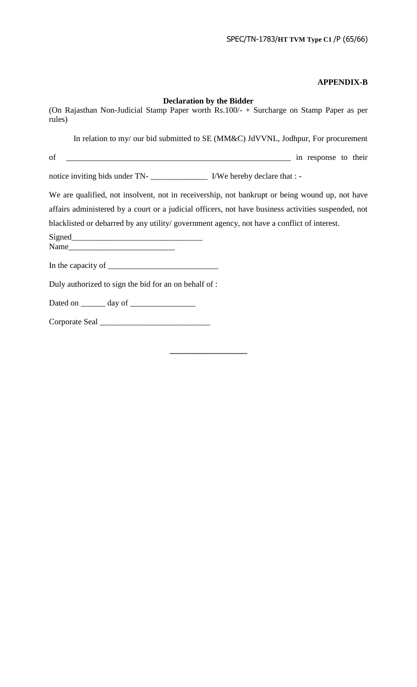# **APPENDIX-B**

**\_\_\_\_\_\_\_\_\_\_\_\_\_\_\_\_\_\_\_**